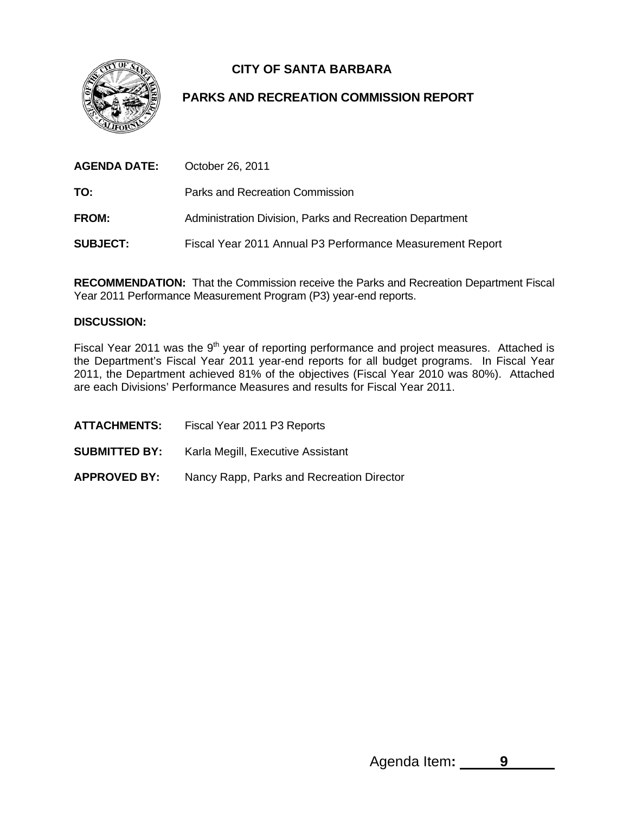### **CITY OF SANTA BARBARA**

### **PARKS AND RECREATION COMMISSION REPORT**

| AGENDA DATE:    | October 26, 2011                                          |
|-----------------|-----------------------------------------------------------|
| TO:             | Parks and Recreation Commission                           |
| <b>FROM:</b>    | Administration Division, Parks and Recreation Department  |
| <b>SUBJECT:</b> | Fiscal Year 2011 Annual P3 Performance Measurement Report |

**RECOMMENDATION:** That the Commission receive the Parks and Recreation Department Fiscal Year 2011 Performance Measurement Program (P3) year-end reports.

#### **DISCUSSION:**

Fiscal Year 2011 was the 9<sup>th</sup> year of reporting performance and project measures. Attached is the Department's Fiscal Year 2011 year-end reports for all budget programs. In Fiscal Year 2011, the Department achieved 81% of the objectives (Fiscal Year 2010 was 80%). Attached are each Divisions' Performance Measures and results for Fiscal Year 2011.

- **ATTACHMENTS:** Fiscal Year 2011 P3 Reports **SUBMITTED BY:** Karla Megill, Executive Assistant
- **APPROVED BY:** Nancy Rapp, Parks and Recreation Director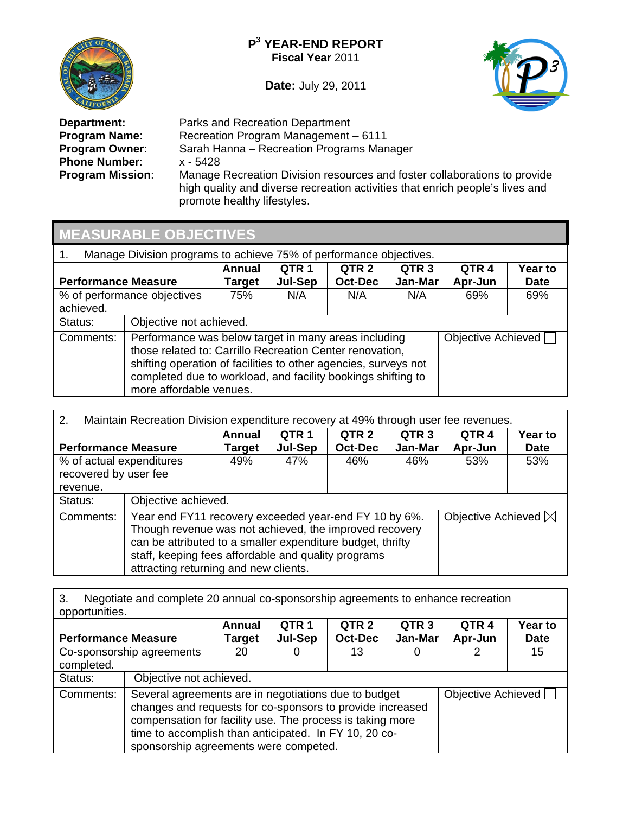

**Date:** July 29, 2011



**Phone Number:<br>Program Mission:** 

**Department:** Parks and Recreation Department<br>**Program Name:** Recreation Program Management **Program Name:** Recreation Program Management – 6111<br>**Program Owner:** Sarah Hanna – Recreation Programs Man Sarah Hanna – Recreation Programs Manager<br>x - 5428 **Manage Recreation Division resources and foster collaborations to provide** high quality and diverse recreation activities that enrich people's lives and promote healthy lifestyles.

### **MEASURABLE OBJECTIVES**

| Manage Division programs to achieve 75% of performance objectives.<br>1. |                                                                                                                                                                                                                                                                                                      |     |     |     |     |     |     |  |
|--------------------------------------------------------------------------|------------------------------------------------------------------------------------------------------------------------------------------------------------------------------------------------------------------------------------------------------------------------------------------------------|-----|-----|-----|-----|-----|-----|--|
|                                                                          | QTR <sub>3</sub><br>QTR <sub>1</sub><br>QTR <sub>2</sub><br>QTR <sub>4</sub><br>Annual<br><b>Year to</b><br>Jan-Mar<br><b>Oct-Dec</b><br><b>Jul-Sep</b><br><b>Performance Measure</b><br>Apr-Jun<br><b>Date</b><br>Target                                                                            |     |     |     |     |     |     |  |
| achieved.                                                                | % of performance objectives                                                                                                                                                                                                                                                                          | 75% | N/A | N/A | N/A | 69% | 69% |  |
| Status:                                                                  | Objective not achieved.                                                                                                                                                                                                                                                                              |     |     |     |     |     |     |  |
| Comments:                                                                | Performance was below target in many areas including<br>Objective Achieved<br>those related to: Carrillo Recreation Center renovation,<br>shifting operation of facilities to other agencies, surveys not<br>completed due to workload, and facility bookings shifting to<br>more affordable venues. |     |     |     |     |     |     |  |

| Maintain Recreation Division expenditure recovery at 49% through user fee revenues.<br>2.                                                                                                                      |                                                                                                                                                                                                                                                                                                                 |     |     |     |     |     |     |  |
|----------------------------------------------------------------------------------------------------------------------------------------------------------------------------------------------------------------|-----------------------------------------------------------------------------------------------------------------------------------------------------------------------------------------------------------------------------------------------------------------------------------------------------------------|-----|-----|-----|-----|-----|-----|--|
| QTR <sub>2</sub><br>QTR <sub>3</sub><br>QTR <sub>4</sub><br>QTR 1<br><b>Annual</b><br><b>Year to</b><br><b>Oct-Dec</b><br>Jan-Mar<br>Jul-Sep<br>Apr-Jun<br><b>Performance Measure</b><br><b>Date</b><br>Target |                                                                                                                                                                                                                                                                                                                 |     |     |     |     |     |     |  |
| % of actual expenditures<br>recovered by user fee<br>revenue.                                                                                                                                                  |                                                                                                                                                                                                                                                                                                                 | 49% | 47% | 46% | 46% | 53% | 53% |  |
| Status:                                                                                                                                                                                                        | Objective achieved.                                                                                                                                                                                                                                                                                             |     |     |     |     |     |     |  |
| Comments:                                                                                                                                                                                                      | Year end FY11 recovery exceeded year-end FY 10 by 6%.<br>Objective Achieved $\boxtimes$<br>Though revenue was not achieved, the improved recovery<br>can be attributed to a smaller expenditure budget, thrifty<br>staff, keeping fees affordable and quality programs<br>attracting returning and new clients. |     |     |     |     |     |     |  |

3. Negotiate and complete 20 annual co-sponsorship agreements to enhance recreation opportunities.

| <b>Performance Measure</b>              |                                                                                                                                                                                                                                                                                  | Annual<br>Target | QTR 1<br>Jul-Sep | QTR <sub>2</sub><br><b>Oct-Dec</b> | QTR <sub>3</sub><br>Jan-Mar | QTR <sub>4</sub><br>Apr-Jun | <b>Year to</b><br><b>Date</b> |
|-----------------------------------------|----------------------------------------------------------------------------------------------------------------------------------------------------------------------------------------------------------------------------------------------------------------------------------|------------------|------------------|------------------------------------|-----------------------------|-----------------------------|-------------------------------|
| Co-sponsorship agreements<br>completed. |                                                                                                                                                                                                                                                                                  | 20               |                  | 13                                 |                             |                             | 15                            |
| Status:                                 | Objective not achieved.                                                                                                                                                                                                                                                          |                  |                  |                                    |                             |                             |                               |
| Comments:                               | Several agreements are in negotiations due to budget<br>changes and requests for co-sponsors to provide increased<br>compensation for facility use. The process is taking more<br>time to accomplish than anticipated. In FY 10, 20 co-<br>sponsorship agreements were competed. |                  |                  |                                    | Objective Achieved          |                             |                               |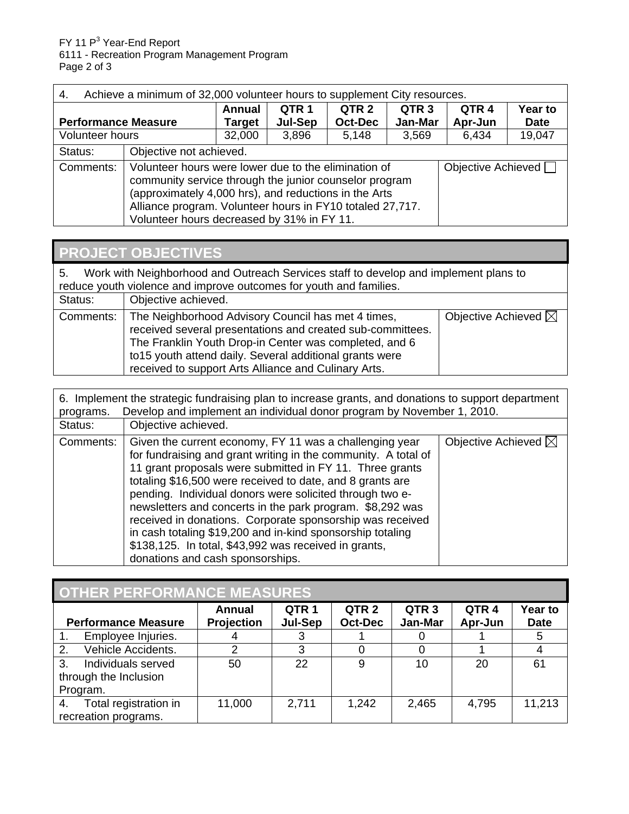| Achieve a minimum of 32,000 volunteer hours to supplement City resources.<br>4.                                                                                                                                    |                                                                                                                                                                                                                                                                                                          |  |  |  |       |        |  |  |
|--------------------------------------------------------------------------------------------------------------------------------------------------------------------------------------------------------------------|----------------------------------------------------------------------------------------------------------------------------------------------------------------------------------------------------------------------------------------------------------------------------------------------------------|--|--|--|-------|--------|--|--|
| QTR <sub>2</sub><br>QTR <sub>1</sub><br>QTR <sub>3</sub><br>QTR <sub>4</sub><br><b>Annual</b><br>Year to<br><b>Oct-Dec</b><br>Jan-Mar<br>Jul-Sep<br>Apr-Jun<br><b>Performance Measure</b><br><b>Date</b><br>Target |                                                                                                                                                                                                                                                                                                          |  |  |  |       |        |  |  |
| Volunteer hours<br>32,000<br>3,896<br>3,569<br>5,148                                                                                                                                                               |                                                                                                                                                                                                                                                                                                          |  |  |  | 6,434 | 19,047 |  |  |
| Status:                                                                                                                                                                                                            | Objective not achieved.                                                                                                                                                                                                                                                                                  |  |  |  |       |        |  |  |
| Comments:                                                                                                                                                                                                          | Volunteer hours were lower due to the elimination of<br>Objective Achieved<br>community service through the junior counselor program<br>(approximately 4,000 hrs), and reductions in the Arts<br>Alliance program. Volunteer hours in FY10 totaled 27,717.<br>Volunteer hours decreased by 31% in FY 11. |  |  |  |       |        |  |  |

# **PROJECT OBJECTIVES**

| 5.        | Work with Neighborhood and Outreach Services staff to develop and implement plans to<br>reduce youth violence and improve outcomes for youth and families.                                                                                                                                    |                                |  |  |  |  |  |  |
|-----------|-----------------------------------------------------------------------------------------------------------------------------------------------------------------------------------------------------------------------------------------------------------------------------------------------|--------------------------------|--|--|--|--|--|--|
| Status:   | Objective achieved.                                                                                                                                                                                                                                                                           |                                |  |  |  |  |  |  |
| Comments: | The Neighborhood Advisory Council has met 4 times,<br>received several presentations and created sub-committees.<br>The Franklin Youth Drop-in Center was completed, and 6<br>to15 youth attend daily. Several additional grants were<br>received to support Arts Alliance and Culinary Arts. | Objective Achieved $\boxtimes$ |  |  |  |  |  |  |

| 6. Implement the strategic fundraising plan to increase grants, and donations to support department<br>Develop and implement an individual donor program by November 1, 2010.<br>programs. |                                                                                                                                                                                                                                                                                                                                                                                                                                                                                                                                                                                                     |                                |  |  |  |  |  |
|--------------------------------------------------------------------------------------------------------------------------------------------------------------------------------------------|-----------------------------------------------------------------------------------------------------------------------------------------------------------------------------------------------------------------------------------------------------------------------------------------------------------------------------------------------------------------------------------------------------------------------------------------------------------------------------------------------------------------------------------------------------------------------------------------------------|--------------------------------|--|--|--|--|--|
| Status:                                                                                                                                                                                    | Objective achieved.                                                                                                                                                                                                                                                                                                                                                                                                                                                                                                                                                                                 |                                |  |  |  |  |  |
| Comments:                                                                                                                                                                                  | Given the current economy, FY 11 was a challenging year<br>for fundraising and grant writing in the community. A total of<br>11 grant proposals were submitted in FY 11. Three grants<br>totaling \$16,500 were received to date, and 8 grants are<br>pending. Individual donors were solicited through two e-<br>newsletters and concerts in the park program. \$8,292 was<br>received in donations. Corporate sponsorship was received<br>in cash totaling \$19,200 and in-kind sponsorship totaling<br>\$138,125. In total, \$43,992 was received in grants,<br>donations and cash sponsorships. | Objective Achieved $\boxtimes$ |  |  |  |  |  |

|    | <b>OTHER PERFORMANCE MEASURES</b> |                             |                             |                                    |                             |                             |                        |  |  |
|----|-----------------------------------|-----------------------------|-----------------------------|------------------------------------|-----------------------------|-----------------------------|------------------------|--|--|
|    | <b>Performance Measure</b>        | Annual<br><b>Projection</b> | QTR <sub>1</sub><br>Jul-Sep | QTR <sub>2</sub><br><b>Oct-Dec</b> | QTR <sub>3</sub><br>Jan-Mar | QTR <sub>4</sub><br>Apr-Jun | Year to<br><b>Date</b> |  |  |
|    | Employee Injuries.                | 4                           | 3                           |                                    |                             |                             | 5                      |  |  |
| 2. | Vehicle Accidents.                | 2                           | 3                           |                                    |                             |                             |                        |  |  |
| 3. | Individuals served                | 50                          | 22                          | 9                                  | 10                          | 20                          | 61                     |  |  |
|    | through the Inclusion             |                             |                             |                                    |                             |                             |                        |  |  |
|    | Program.                          |                             |                             |                                    |                             |                             |                        |  |  |
| 4. | Total registration in             | 11,000                      | 2,711                       | 1,242                              | 2,465                       | 4,795                       | 11,213                 |  |  |
|    | recreation programs.              |                             |                             |                                    |                             |                             |                        |  |  |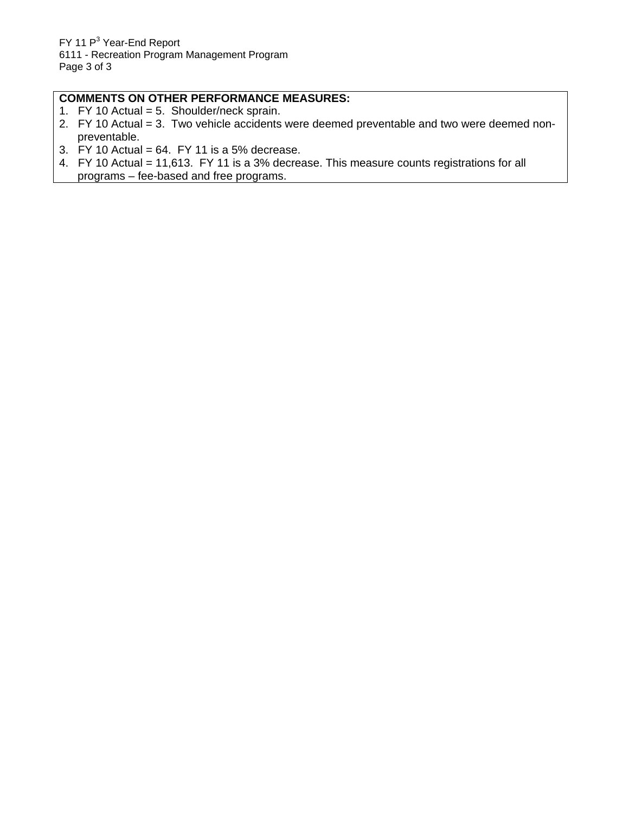#### **COMMENTS ON OTHER PERFORMANCE MEASURES:**

- 1. FY 10 Actual = 5. Shoulder/neck sprain.
- 2. FY 10 Actual = 3. Two vehicle accidents were deemed preventable and two were deemed nonpreventable.
- 3. FY 10 Actual =  $64.$  FY 11 is a 5% decrease.
- 4. FY 10 Actual = 11,613. FY 11 is a 3% decrease. This measure counts registrations for all programs – fee-based and free programs.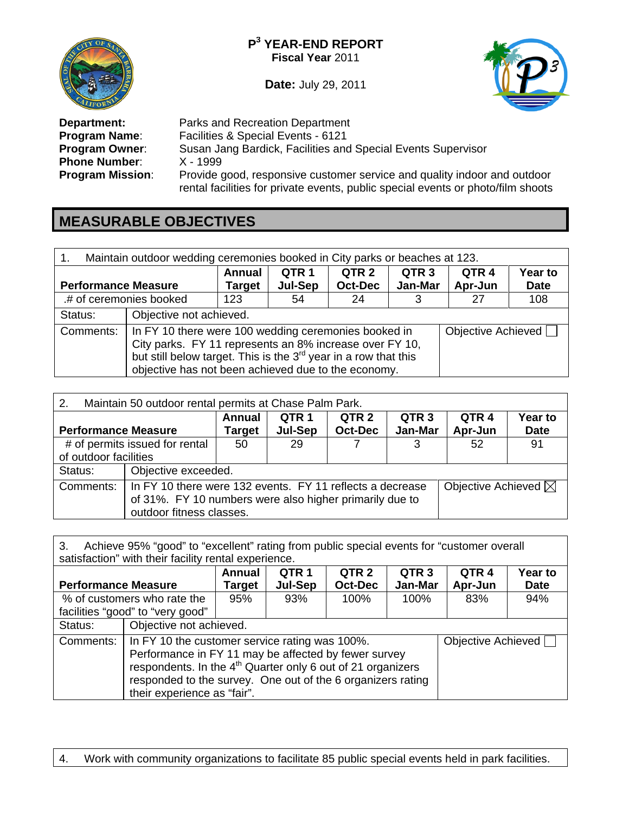

**Date:** July 29, 2011



**Phone Number:**<br>**Program Mission:** 

**Department:** Parks and Recreation Department<br>**Program Name**: Facilities & Special Events - 6121 **Program Name:** Facilities & Special Events - 6121<br>**Program Owner:** Susan Jang Bardick, Facilities and Susan Jang Bardick, Facilities and Special Events Supervisor X - 1999 Provide good, responsive customer service and quality indoor and outdoor rental facilities for private events, public special events or photo/film shoots

## **MEASURABLE OBJECTIVES**

| Maintain outdoor wedding ceremonies booked in City parks or beaches at 123.<br>1.                                                                                                                                         |                                                                                                                                                                                                                                                                             |     |    |    |  |    |     |  |
|---------------------------------------------------------------------------------------------------------------------------------------------------------------------------------------------------------------------------|-----------------------------------------------------------------------------------------------------------------------------------------------------------------------------------------------------------------------------------------------------------------------------|-----|----|----|--|----|-----|--|
| QTR <sub>2</sub><br><b>Annual</b><br>QTR <sub>1</sub><br>QTR <sub>3</sub><br>QTR <sub>4</sub><br>Year to<br>Jan-Mar<br>Jul-Sep<br><b>Oct-Dec</b><br>Apr-Jun<br><b>Performance Measure</b><br><b>Date</b><br><b>Target</b> |                                                                                                                                                                                                                                                                             |     |    |    |  |    |     |  |
|                                                                                                                                                                                                                           | .# of ceremonies booked                                                                                                                                                                                                                                                     | 123 | 54 | 24 |  | 27 | 108 |  |
| Status:                                                                                                                                                                                                                   | Objective not achieved.                                                                                                                                                                                                                                                     |     |    |    |  |    |     |  |
| Comments:                                                                                                                                                                                                                 | Objective Achieved<br>In FY 10 there were 100 wedding ceremonies booked in<br>City parks. FY 11 represents an 8% increase over FY 10,<br>but still below target. This is the 3 <sup>rd</sup> year in a row that this<br>objective has not been achieved due to the economy. |     |    |    |  |    |     |  |

| 2.                                                                                                                                                                                                                        | Maintain 50 outdoor rental permits at Chase Palm Park.                                                                                                                             |                     |  |  |  |  |  |  |
|---------------------------------------------------------------------------------------------------------------------------------------------------------------------------------------------------------------------------|------------------------------------------------------------------------------------------------------------------------------------------------------------------------------------|---------------------|--|--|--|--|--|--|
| QTR <sub>3</sub><br>QTR <sub>2</sub><br>QTR <sub>4</sub><br>QTR <sub>1</sub><br>Year to<br><b>Annual</b><br>Jan-Mar<br>Jul-Sep<br><b>Oct-Dec</b><br>Apr-Jun<br><b>Date</b><br><b>Performance Measure</b><br><b>Target</b> |                                                                                                                                                                                    |                     |  |  |  |  |  |  |
|                                                                                                                                                                                                                           | # of permits issued for rental<br>91<br>29<br>52<br>3<br>50<br>of outdoor facilities                                                                                               |                     |  |  |  |  |  |  |
| Status:                                                                                                                                                                                                                   |                                                                                                                                                                                    | Objective exceeded. |  |  |  |  |  |  |
| Comments:                                                                                                                                                                                                                 | Objective Achieved $\boxtimes$<br>In FY 10 there were 132 events. FY 11 reflects a decrease<br>of 31%. FY 10 numbers were also higher primarily due to<br>outdoor fitness classes. |                     |  |  |  |  |  |  |

3. Achieve 95% "good" to "excellent" rating from public special events for "customer overall satisfaction" with their facility rental experience.

| <b>Performance Measure</b>                                      |                                                                                                                                                                                                                                                                                 | Annual<br><b>Target</b> | QTR <sub>1</sub><br><b>Jul-Sep</b> | QTR <sub>2</sub><br><b>Oct-Dec</b> | QTR <sub>3</sub><br>Jan-Mar | QTR <sub>4</sub><br>Apr-Jun | Year to<br><b>Date</b> |
|-----------------------------------------------------------------|---------------------------------------------------------------------------------------------------------------------------------------------------------------------------------------------------------------------------------------------------------------------------------|-------------------------|------------------------------------|------------------------------------|-----------------------------|-----------------------------|------------------------|
| % of customers who rate the<br>facilities "good" to "very good" |                                                                                                                                                                                                                                                                                 | 95%                     | 93%                                | 100%                               | 100%                        | 83%                         | 94%                    |
| Status:                                                         | Objective not achieved.                                                                                                                                                                                                                                                         |                         |                                    |                                    |                             |                             |                        |
| Comments:                                                       | In FY 10 the customer service rating was 100%.<br>Performance in FY 11 may be affected by fewer survey<br>respondents. In the 4 <sup>th</sup> Quarter only 6 out of 21 organizers<br>responded to the survey. One out of the 6 organizers rating<br>their experience as "fair". |                         |                                    |                                    |                             | Objective Achieved          |                        |

4. Work with community organizations to facilitate 85 public special events held in park facilities.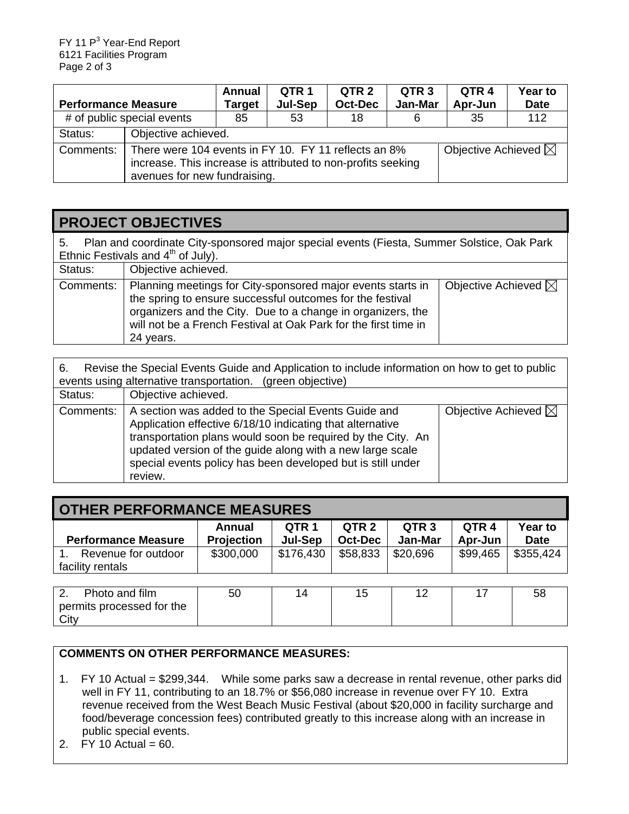| <b>Performance Measure</b> |                                                                                                                                                                                        | Annual<br><b>Target</b> | QTR 1<br>Jul-Sep | QTR <sub>2</sub><br><b>Oct-Dec</b> | QTR <sub>3</sub><br>Jan-Mar | QTR 4<br>Apr-Jun | Year to<br><b>Date</b> |
|----------------------------|----------------------------------------------------------------------------------------------------------------------------------------------------------------------------------------|-------------------------|------------------|------------------------------------|-----------------------------|------------------|------------------------|
| # of public special events |                                                                                                                                                                                        | 85                      | 53               | 18                                 | 6                           | 35               | 112                    |
| Status:                    | Objective achieved.                                                                                                                                                                    |                         |                  |                                    |                             |                  |                        |
| Comments:                  | Objective Achieved $\boxtimes$<br>There were 104 events in FY 10. FY 11 reflects an 8%<br>increase. This increase is attributed to non-profits seeking<br>avenues for new fundraising. |                         |                  |                                    |                             |                  |                        |

### **PROJECT OBJECTIVES**

| Plan and coordinate City-sponsored major special events (Fiesta, Summer Solstice, Oak Park<br>5.<br>Ethnic Festivals and 4 <sup>th</sup> of July). |                                                                                                                                                                                                                                                                         |                                |  |  |  |  |  |
|----------------------------------------------------------------------------------------------------------------------------------------------------|-------------------------------------------------------------------------------------------------------------------------------------------------------------------------------------------------------------------------------------------------------------------------|--------------------------------|--|--|--|--|--|
| Status:                                                                                                                                            | Objective achieved.                                                                                                                                                                                                                                                     |                                |  |  |  |  |  |
| Comments:                                                                                                                                          | Planning meetings for City-sponsored major events starts in<br>the spring to ensure successful outcomes for the festival<br>organizers and the City. Due to a change in organizers, the<br>will not be a French Festival at Oak Park for the first time in<br>24 years. | Objective Achieved $\boxtimes$ |  |  |  |  |  |

| Revise the Special Events Guide and Application to include information on how to get to public<br>6.<br>events using alternative transportation. (green objective) |                                                                                                                                                                                                                                                                                                                        |                                |  |  |  |  |
|--------------------------------------------------------------------------------------------------------------------------------------------------------------------|------------------------------------------------------------------------------------------------------------------------------------------------------------------------------------------------------------------------------------------------------------------------------------------------------------------------|--------------------------------|--|--|--|--|
| Status:                                                                                                                                                            | Objective achieved.                                                                                                                                                                                                                                                                                                    |                                |  |  |  |  |
| Comments:                                                                                                                                                          | A section was added to the Special Events Guide and<br>Application effective 6/18/10 indicating that alternative<br>transportation plans would soon be required by the City. An<br>updated version of the guide along with a new large scale<br>special events policy has been developed but is still under<br>review. | Objective Achieved $\boxtimes$ |  |  |  |  |

| <b>OTHER PERFORMANCE MEASURES</b>       |                             |                  |                             |                             |                  |                        |  |
|-----------------------------------------|-----------------------------|------------------|-----------------------------|-----------------------------|------------------|------------------------|--|
| <b>Performance Measure</b>              | Annual<br><b>Projection</b> | QTR 1<br>Jul-Sep | QTR <sub>2</sub><br>Oct-Dec | QTR <sub>3</sub><br>Jan-Mar | QTR 4<br>Apr-Jun | Year to<br><b>Date</b> |  |
| Revenue for outdoor<br>facility rentals | \$300,000                   | \$176,430        | \$58,833                    | \$20.696                    | \$99,465         | \$355,424              |  |

| <u>.</u> . | Photo and film            | 50 | $\Delta$ |  | 58 |
|------------|---------------------------|----|----------|--|----|
|            | permits processed for the |    |          |  |    |
| City       |                           |    |          |  |    |

#### **COMMENTS ON OTHER PERFORMANCE MEASURES:**

- 1. FY 10 Actual = \$299,344. While some parks saw a decrease in rental revenue, other parks did well in FY 11, contributing to an 18.7% or \$56,080 increase in revenue over FY 10. Extra revenue received from the West Beach Music Festival (about \$20,000 in facility surcharge and food/beverage concession fees) contributed greatly to this increase along with an increase in public special events.
- 2.  $FY$  10 Actual = 60.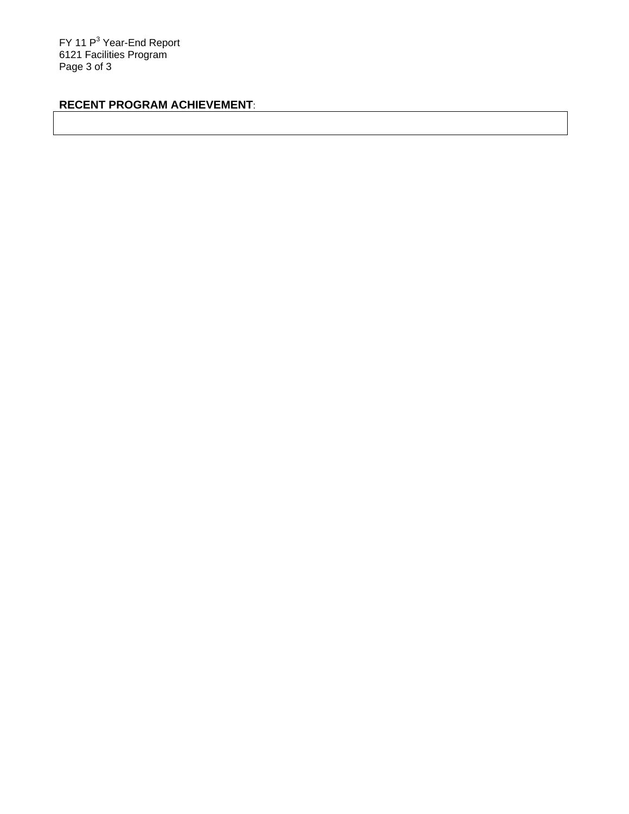FY 11 P<sup>3</sup> Year-End Report 6121 Facilities Program Page 3 of 3

### **RECENT PROGRAM ACHIEVEMENT**: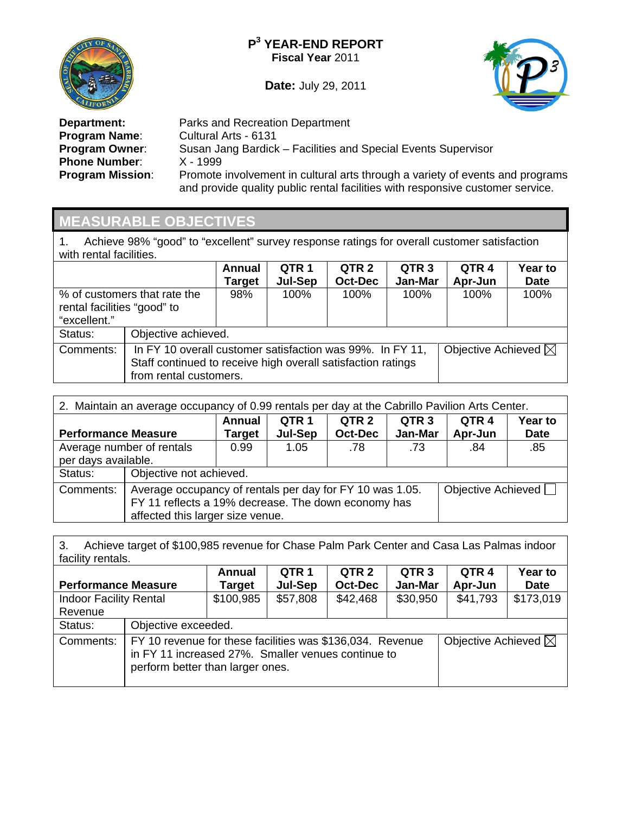

**Date:** July 29, 2011



**Program Name:** Cultural Arts - 6131<br>**Program Owner:** Susan Jang Bardick **Phone Number:**<br>**Program Mission:** 

**Department:** Parks and Recreation Department<br>**Program Name**: Cultural Arts - 6131 Susan Jang Bardick – Facilities and Special Events Supervisor<br>X - 1999 Promote involvement in cultural arts through a variety of events and programs and provide quality public rental facilities with responsive customer service.

## **MEASURABLE OBJECTIVES**

1. Achieve 98% "good" to "excellent" survey response ratings for overall customer satisfaction with rental facilities.

|                              |                                                              | Annual              | QTR <sub>1</sub> | QTR <sub>2</sub> | QTR <sub>3</sub> | QTR <sub>4</sub>               | Year to     |  |  |
|------------------------------|--------------------------------------------------------------|---------------------|------------------|------------------|------------------|--------------------------------|-------------|--|--|
|                              |                                                              | Target              | Jul-Sep          | <b>Oct-Dec</b>   | Jan-Mar          | Apr-Jun                        | <b>Date</b> |  |  |
| % of customers that rate the |                                                              | 98%                 | 100%             | 100%             | $100\%$          | 100%                           | 100%        |  |  |
| rental facilities "good" to  |                                                              |                     |                  |                  |                  |                                |             |  |  |
| "excellent."                 |                                                              |                     |                  |                  |                  |                                |             |  |  |
| Status:                      |                                                              | Objective achieved. |                  |                  |                  |                                |             |  |  |
| Comments:                    | In FY 10 overall customer satisfaction was 99%. In FY 11,    |                     |                  |                  |                  | Objective Achieved $\boxtimes$ |             |  |  |
|                              | Staff continued to receive high overall satisfaction ratings |                     |                  |                  |                  |                                |             |  |  |
|                              | from rental customers.                                       |                     |                  |                  |                  |                                |             |  |  |

| 2. Maintain an average occupancy of 0.99 rentals per day at the Cabrillo Pavilion Arts Center. |                                                                                                                                                                           |                         |                  |                  |                  |                  |             |  |  |
|------------------------------------------------------------------------------------------------|---------------------------------------------------------------------------------------------------------------------------------------------------------------------------|-------------------------|------------------|------------------|------------------|------------------|-------------|--|--|
|                                                                                                |                                                                                                                                                                           | <b>Annual</b>           | QTR <sub>1</sub> | QTR <sub>2</sub> | QTR <sub>3</sub> | QTR <sub>4</sub> | Year to     |  |  |
| <b>Performance Measure</b>                                                                     |                                                                                                                                                                           | Target                  | Jul-Sep          | <b>Oct-Dec</b>   | Jan-Mar          | Apr-Jun          | <b>Date</b> |  |  |
| Average number of rentals                                                                      |                                                                                                                                                                           | 0.99 <sub>0</sub>       | 1.05             | .78              | .73              | .84              | .85         |  |  |
| per days available.                                                                            |                                                                                                                                                                           |                         |                  |                  |                  |                  |             |  |  |
| Status:                                                                                        |                                                                                                                                                                           | Objective not achieved. |                  |                  |                  |                  |             |  |  |
| Comments:                                                                                      | Average occupancy of rentals per day for FY 10 was 1.05.<br>Objective Achieved<br>FY 11 reflects a 19% decrease. The down economy has<br>affected this larger size venue. |                         |                  |                  |                  |                  |             |  |  |

3. Achieve target of \$100,985 revenue for Chase Palm Park Center and Casa Las Palmas indoor facility rentals.

| <b>Performance Measure</b>    |                                                                                                                                                     | Annual<br>Target    | QTR <sub>1</sub><br>Jul-Sep    | QTR <sub>2</sub><br><b>Oct-Dec</b> | QTR <sub>3</sub><br>Jan-Mar | QTR <sub>4</sub><br>Apr-Jun | Year to<br><b>Date</b> |  |  |
|-------------------------------|-----------------------------------------------------------------------------------------------------------------------------------------------------|---------------------|--------------------------------|------------------------------------|-----------------------------|-----------------------------|------------------------|--|--|
| <b>Indoor Facility Rental</b> |                                                                                                                                                     | \$100,985           | \$57,808                       | \$42,468                           | \$30,950                    | \$41,793                    | \$173,019              |  |  |
| Revenue                       |                                                                                                                                                     |                     |                                |                                    |                             |                             |                        |  |  |
| Status:                       |                                                                                                                                                     | Objective exceeded. |                                |                                    |                             |                             |                        |  |  |
| Comments:                     | FY 10 revenue for these facilities was \$136,034. Revenue<br>in FY 11 increased 27%. Smaller venues continue to<br>perform better than larger ones. |                     | Objective Achieved $\boxtimes$ |                                    |                             |                             |                        |  |  |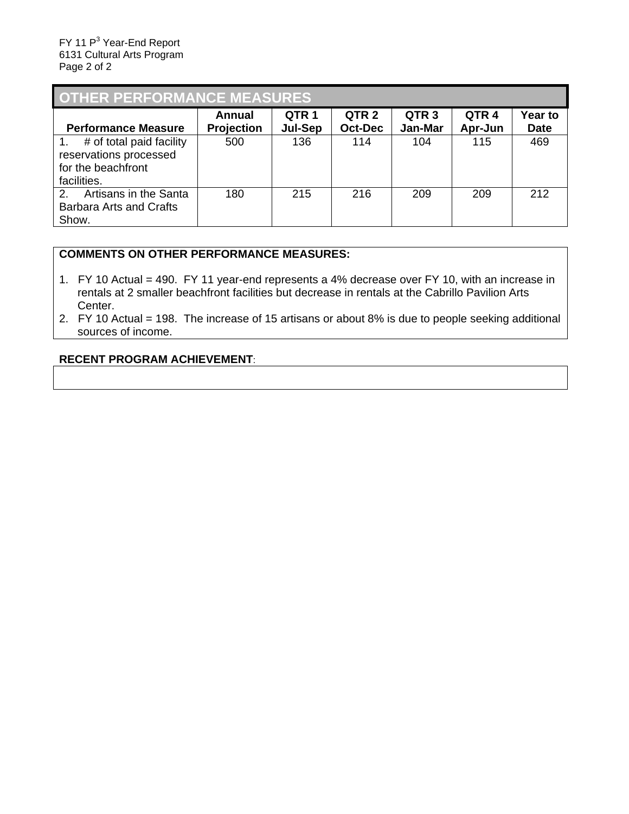| <b>OTHER PERFORMANCE MEASURES</b>                                                       |                             |                             |                                    |                             |                 |                        |  |  |  |
|-----------------------------------------------------------------------------------------|-----------------------------|-----------------------------|------------------------------------|-----------------------------|-----------------|------------------------|--|--|--|
| <b>Performance Measure</b>                                                              | Annual<br><b>Projection</b> | QTR <sub>1</sub><br>Jul-Sep | QTR <sub>2</sub><br><b>Oct-Dec</b> | QTR <sub>3</sub><br>Jan-Mar | QTR4<br>Apr-Jun | Year to<br><b>Date</b> |  |  |  |
| # of total paid facility<br>reservations processed<br>for the beachfront<br>facilities. | 500                         | 136                         | 114                                | 104                         | 115             | 469                    |  |  |  |
| Artisans in the Santa<br>2.<br>Barbara Arts and Crafts<br>Show.                         | 180                         | 215                         | 216                                | 209                         | 209             | 212                    |  |  |  |

#### **COMMENTS ON OTHER PERFORMANCE MEASURES:**

- 1. FY 10 Actual = 490. FY 11 year-end represents a 4% decrease over FY 10, with an increase in rentals at 2 smaller beachfront facilities but decrease in rentals at the Cabrillo Pavilion Arts Center.
- 2. FY 10 Actual = 198. The increase of 15 artisans or about 8% is due to people seeking additional sources of income.

#### **RECENT PROGRAM ACHIEVEMENT**: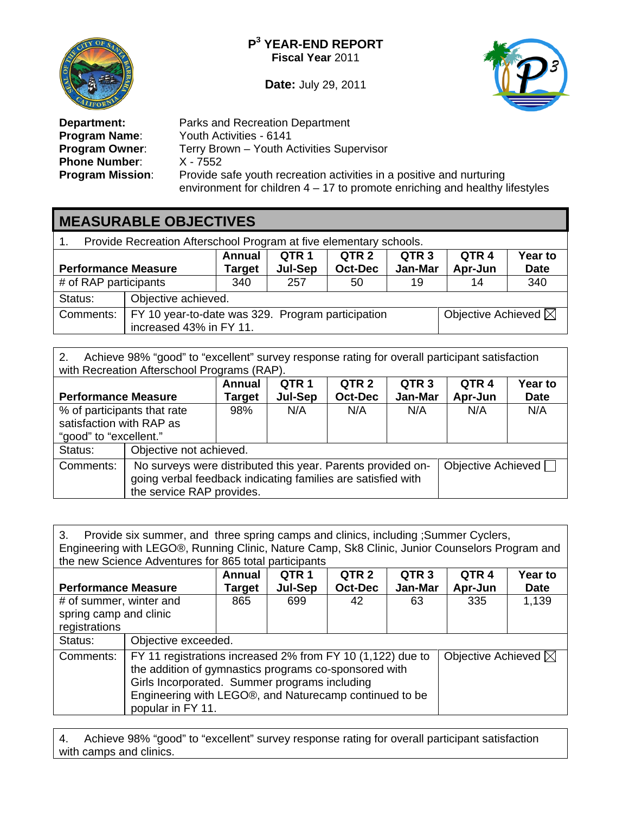

**Date:** July 29, 2011



**Phone Number:<br>Program Mission:** 

**Department:** Parks and Recreation Department **Program Name:** Youth Activities - 6141<br>**Program Owner:** Terry Brown - Youth A Terry Brown – Youth Activities Supervisor<br>X - 7552 Provide safe youth recreation activities in a positive and nurturing environment for children  $4 - 17$  to promote enriching and healthy lifestyles

# **MEASURABLE OBJECTIVES**

| Provide Recreation Afterschool Program at five elementary schools.                                                          |                     |                                |                  |                                    |                             |                             |                               |  |
|-----------------------------------------------------------------------------------------------------------------------------|---------------------|--------------------------------|------------------|------------------------------------|-----------------------------|-----------------------------|-------------------------------|--|
|                                                                                                                             |                     | <b>Annual</b><br><b>Target</b> | QTR 1<br>Jul-Sep | QTR <sub>2</sub><br><b>Oct-Dec</b> | QTR <sub>3</sub><br>Jan-Mar | QTR <sub>4</sub><br>Apr-Jun | <b>Year to</b><br><b>Date</b> |  |
| <b>Performance Measure</b><br># of RAP participants                                                                         |                     | 340                            | 257              | 50                                 | 19                          | 14                          | 340                           |  |
| Status:                                                                                                                     | Objective achieved. |                                |                  |                                    |                             |                             |                               |  |
| Objective Achieved $\boxtimes$<br>FY 10 year-to-date was 329. Program participation<br>Comments:<br>increased 43% in FY 11. |                     |                                |                  |                                    |                             |                             |                               |  |

2. Achieve 98% "good" to "excellent" survey response rating for overall participant satisfaction with Recreation Afterschool Programs (RAP).

| <b>Performance Measure</b>                                                        |                                                                                                                                                          | Annual<br>Target | QTR <sub>1</sub><br>Jul-Sep | QTR <sub>2</sub><br><b>Oct-Dec</b> | QTR <sub>3</sub><br>Jan-Mar | QTR <sub>4</sub><br>Apr-Jun | Year to<br><b>Date</b> |  |
|-----------------------------------------------------------------------------------|----------------------------------------------------------------------------------------------------------------------------------------------------------|------------------|-----------------------------|------------------------------------|-----------------------------|-----------------------------|------------------------|--|
| % of participants that rate<br>satisfaction with RAP as<br>"good" to "excellent." |                                                                                                                                                          | 98%              | N/A                         | N/A                                | N/A                         | N/A                         | N/A                    |  |
| Status:                                                                           | Objective not achieved.                                                                                                                                  |                  |                             |                                    |                             |                             |                        |  |
| Comments:                                                                         | No surveys were distributed this year. Parents provided on-<br>going verbal feedback indicating families are satisfied with<br>the service RAP provides. |                  |                             |                                    | Objective Achieved          |                             |                        |  |

3. Provide six summer, and three spring camps and clinics, including ;Summer Cyclers, Engineering with LEGO®, Running Clinic, Nature Camp, Sk8 Clinic, Junior Counselors Program and the new Science Adventures for 865 total participants

| uio ilon oolohoo / lavoillaiso isi soo lolai parlisipallis         |                                                                                                                                                                                                                                                                                       |                  |                             |                                    |                             |                             |                        |  |
|--------------------------------------------------------------------|---------------------------------------------------------------------------------------------------------------------------------------------------------------------------------------------------------------------------------------------------------------------------------------|------------------|-----------------------------|------------------------------------|-----------------------------|-----------------------------|------------------------|--|
| <b>Performance Measure</b>                                         |                                                                                                                                                                                                                                                                                       | Annual<br>Target | QTR <sub>1</sub><br>Jul-Sep | QTR <sub>2</sub><br><b>Oct-Dec</b> | QTR <sub>3</sub><br>Jan-Mar | QTR <sub>4</sub><br>Apr-Jun | Year to<br><b>Date</b> |  |
| # of summer, winter and<br>spring camp and clinic<br>registrations |                                                                                                                                                                                                                                                                                       | 865              | 699                         | 42                                 | 63                          | 335                         | 1,139                  |  |
| Status:                                                            | Objective exceeded.                                                                                                                                                                                                                                                                   |                  |                             |                                    |                             |                             |                        |  |
| Comments:                                                          | FY 11 registrations increased 2% from FY 10 (1,122) due to<br>Objective Achieved $\boxtimes$<br>the addition of gymnastics programs co-sponsored with<br>Girls Incorporated. Summer programs including<br>Engineering with LEGO®, and Naturecamp continued to be<br>popular in FY 11. |                  |                             |                                    |                             |                             |                        |  |

4. Achieve 98% "good" to "excellent" survey response rating for overall participant satisfaction with camps and clinics.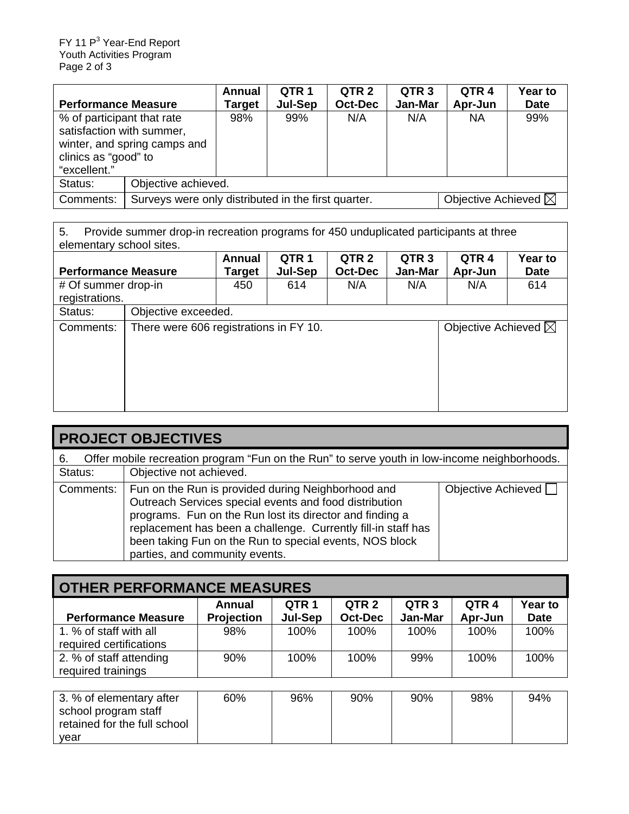| <b>Performance Measure</b>                                                                      |                              | Annual<br><b>Target</b>                                                               | QTR 1<br>Jul-Sep | QTR <sub>2</sub><br><b>Oct-Dec</b> | QTR <sub>3</sub><br>Jan-Mar | QTR <sub>4</sub><br>Apr-Jun | Year to<br><b>Date</b> |
|-------------------------------------------------------------------------------------------------|------------------------------|---------------------------------------------------------------------------------------|------------------|------------------------------------|-----------------------------|-----------------------------|------------------------|
| % of participant that rate<br>satisfaction with summer,<br>clinics as "good" to<br>"excellent." | winter, and spring camps and | 98%                                                                                   | 99%              | N/A                                | N/A                         | <b>NA</b>                   | 99%                    |
| Status:                                                                                         |                              | Objective achieved.                                                                   |                  |                                    |                             |                             |                        |
| Comments:                                                                                       |                              | Objective Achieved $\boxtimes$<br>Surveys were only distributed in the first quarter. |                  |                                    |                             |                             |                        |

5. Provide summer drop-in recreation programs for 450 unduplicated participants at three elementary school sites.

| <b>Performance Measure</b>            |                                        | <b>Annual</b><br>Target | QTR <sub>1</sub><br>Jul-Sep | QTR <sub>2</sub><br><b>Oct-Dec</b> | QTR <sub>3</sub><br>Jan-Mar | QTR <sub>4</sub><br>Apr-Jun    | <b>Year to</b><br><b>Date</b> |
|---------------------------------------|----------------------------------------|-------------------------|-----------------------------|------------------------------------|-----------------------------|--------------------------------|-------------------------------|
| # Of summer drop-in<br>registrations. |                                        | 450                     | 614                         | N/A                                | N/A                         | N/A                            | 614                           |
| Status:                               | Objective exceeded.                    |                         |                             |                                    |                             |                                |                               |
| Comments:                             | There were 606 registrations in FY 10. |                         |                             |                                    |                             | Objective Achieved $\boxtimes$ |                               |

| <b>PROJECT OBJECTIVES</b> |                                                                                                                                                                                                                                                                                                                                        |                      |  |  |  |  |
|---------------------------|----------------------------------------------------------------------------------------------------------------------------------------------------------------------------------------------------------------------------------------------------------------------------------------------------------------------------------------|----------------------|--|--|--|--|
| 6.                        | Offer mobile recreation program "Fun on the Run" to serve youth in low-income neighborhoods.                                                                                                                                                                                                                                           |                      |  |  |  |  |
| Status:                   | Objective not achieved.                                                                                                                                                                                                                                                                                                                |                      |  |  |  |  |
| Comments:                 | Fun on the Run is provided during Neighborhood and<br>Outreach Services special events and food distribution<br>programs. Fun on the Run lost its director and finding a<br>replacement has been a challenge. Currently fill-in staff has<br>been taking Fun on the Run to special events, NOS block<br>parties, and community events. | Objective Achieved [ |  |  |  |  |

| <b>OTHER PERFORMANCE MEASURES</b> |                   |         |                  |                  |                  |             |  |  |
|-----------------------------------|-------------------|---------|------------------|------------------|------------------|-------------|--|--|
|                                   | Annual            | QTR 1   | QTR <sub>2</sub> | QTR <sub>3</sub> | QTR <sub>4</sub> | Year to     |  |  |
| <b>Performance Measure</b>        | <b>Projection</b> | Jul-Sep | <b>Oct-Dec</b>   | Jan-Mar          | Apr-Jun          | <b>Date</b> |  |  |
| 1. % of staff with all            | 98%               | 100%    | 100%             | 100%             | 100%             | 100%        |  |  |
| required certifications           |                   |         |                  |                  |                  |             |  |  |
| 2. % of staff attending           | 90%               | 100%    | 100%             | 99%              | 100%             | 100%        |  |  |
| required trainings                |                   |         |                  |                  |                  |             |  |  |

| 3. % of elementary after     | 60% | 96% | 90% | 90% | 98% | 94% |
|------------------------------|-----|-----|-----|-----|-----|-----|
| school program staff         |     |     |     |     |     |     |
| retained for the full school |     |     |     |     |     |     |
| vear                         |     |     |     |     |     |     |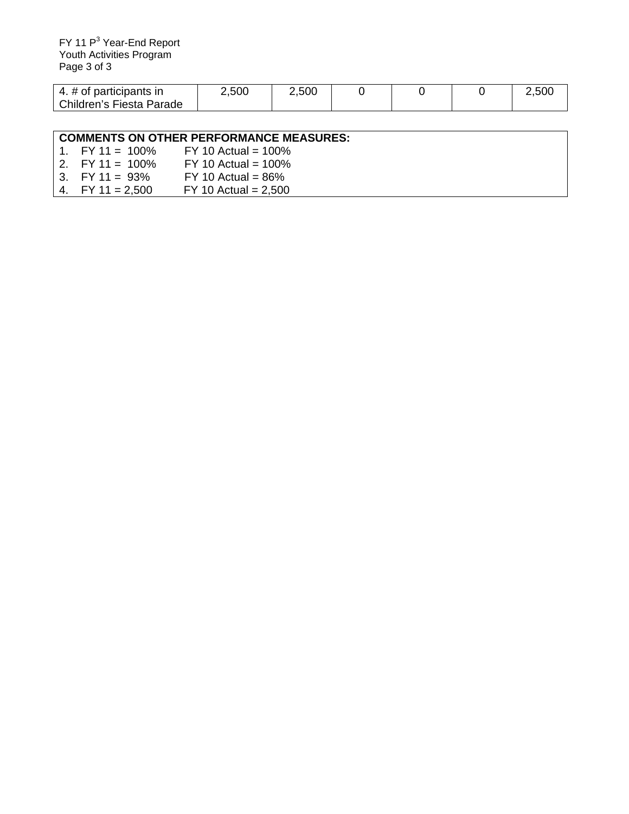| 4. # of participants in  | ۔500∠ | ∠,500 |  | 7.50€ |
|--------------------------|-------|-------|--|-------|
| Children's Fiesta Parade |       |       |  |       |

|                    | <b>COMMENTS ON OTHER PERFORMANCE MEASURES:</b> |  |
|--------------------|------------------------------------------------|--|
|                    | 1. FY 11 = 100% FY 10 Actual = 100%            |  |
| 2. FY 11 = $100\%$ | $FY 10$ Actual = $100\%$                       |  |
| $3.$ FY 11 = 93%   | $FY 10$ Actual = $86\%$                        |  |

| 3. FY 11 = $93\%$  | $FY$ 10 Actual = 86%   |
|--------------------|------------------------|
| 4. FY 11 = $2,500$ | $FY$ 10 Actual = 2,500 |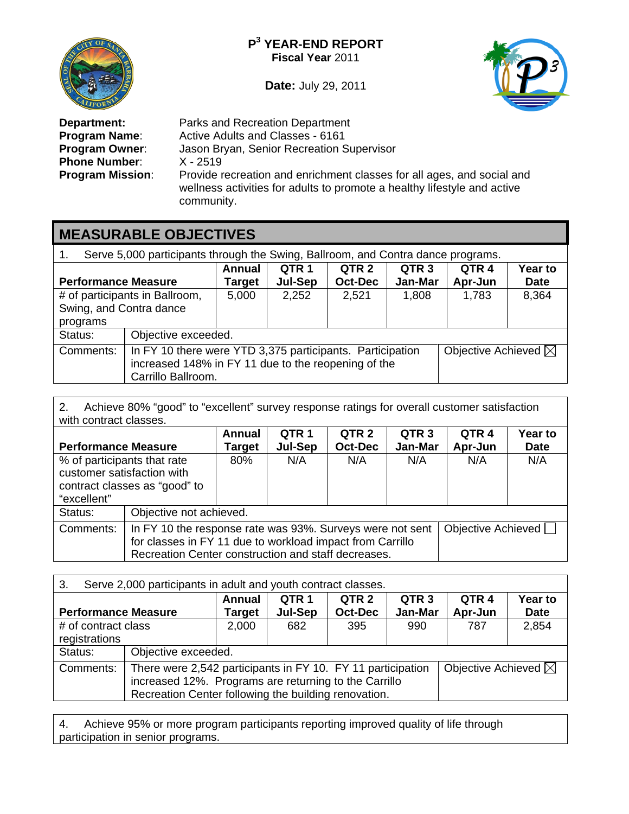**Date:** July 29, 2011



**Phone Number:<br>Program Mission:** 

**Department:** Parks and Recreation Department<br>**Program Name**: Active Adults and Classes - 6161 **Program Name:** Active Adults and Classes - 6161<br>**Program Owner:** Jason Bryan, Senior Recreation S Jason Bryan, Senior Recreation Supervisor<br>X - 2519 Provide recreation and enrichment classes for all ages, and social and wellness activities for adults to promote a healthy lifestyle and active community.

# **MEASURABLE OBJECTIVES**

| Serve 5,000 participants through the Swing, Ballroom, and Contra dance programs. |  |  |  |
|----------------------------------------------------------------------------------|--|--|--|
|                                                                                  |  |  |  |

|                            |                                                                                                                                        | Annual | QTR <sub>1</sub> | QTR <sub>2</sub> | QTR <sub>3</sub> | QTR <sub>4</sub>               | Year to     |
|----------------------------|----------------------------------------------------------------------------------------------------------------------------------------|--------|------------------|------------------|------------------|--------------------------------|-------------|
| <b>Performance Measure</b> |                                                                                                                                        | Target | Jul-Sep          | <b>Oct-Dec</b>   | Jan-Mar          | Apr-Jun                        | <b>Date</b> |
|                            | # of participants in Ballroom,                                                                                                         | 5,000  | 2,252            | 2,521            | 1,808            | 1,783                          | 8,364       |
| Swing, and Contra dance    |                                                                                                                                        |        |                  |                  |                  |                                |             |
| programs                   |                                                                                                                                        |        |                  |                  |                  |                                |             |
| Status:                    | Objective exceeded.                                                                                                                    |        |                  |                  |                  |                                |             |
| Comments:                  | In FY 10 there were YTD 3,375 participants. Participation<br>increased 148% in FY 11 due to the reopening of the<br>Carrillo Ballroom. |        |                  |                  |                  | Objective Achieved $\boxtimes$ |             |

2. Achieve 80% "good" to "excellent" survey response ratings for overall customer satisfaction with contract classes.

| <b>Performance Measure</b>                                               |                                                                                                                                                                                                       | <b>Annual</b><br>Target | QTR <sub>1</sub><br>Jul-Sep | QTR <sub>2</sub><br><b>Oct-Dec</b> | QTR <sub>3</sub><br>Jan-Mar | QTR <sub>4</sub><br>Apr-Jun | <b>Year to</b><br><b>Date</b> |
|--------------------------------------------------------------------------|-------------------------------------------------------------------------------------------------------------------------------------------------------------------------------------------------------|-------------------------|-----------------------------|------------------------------------|-----------------------------|-----------------------------|-------------------------------|
| % of participants that rate<br>customer satisfaction with<br>"excellent" | contract classes as "good" to                                                                                                                                                                         | $80\%$                  | N/A                         | N/A                                | N/A                         | N/A                         | N/A                           |
| Status:                                                                  | Objective not achieved.                                                                                                                                                                               |                         |                             |                                    |                             |                             |                               |
| Comments:                                                                | Objective Achieved [<br>In FY 10 the response rate was 93%. Surveys were not sent<br>for classes in FY 11 due to workload impact from Carrillo<br>Recreation Center construction and staff decreases. |                         |                             |                                    |                             |                             |                               |

| 3.                                                                                                                                                                                       | Serve 2,000 participants in adult and youth contract classes.                                                                                                                                                  |       |     |     |     |     |                        |  |
|------------------------------------------------------------------------------------------------------------------------------------------------------------------------------------------|----------------------------------------------------------------------------------------------------------------------------------------------------------------------------------------------------------------|-------|-----|-----|-----|-----|------------------------|--|
| QTR <sub>2</sub><br>QTR <sub>3</sub><br>QTR <sub>4</sub><br><b>Annual</b><br>QTR <sub>1</sub><br>Jan-Mar<br>Jul-Sep<br><b>Oct-Dec</b><br>Apr-Jun<br><b>Performance Measure</b><br>Target |                                                                                                                                                                                                                |       |     |     |     |     | Year to<br><b>Date</b> |  |
| # of contract class<br>registrations                                                                                                                                                     |                                                                                                                                                                                                                | 2,000 | 682 | 395 | 990 | 787 | 2,854                  |  |
| Status:                                                                                                                                                                                  | Objective exceeded.                                                                                                                                                                                            |       |     |     |     |     |                        |  |
| Comments:                                                                                                                                                                                | Objective Achieved $\boxtimes$<br>There were 2,542 participants in FY 10. FY 11 participation<br>increased 12%. Programs are returning to the Carrillo<br>Recreation Center following the building renovation. |       |     |     |     |     |                        |  |

4. Achieve 95% or more program participants reporting improved quality of life through participation in senior programs.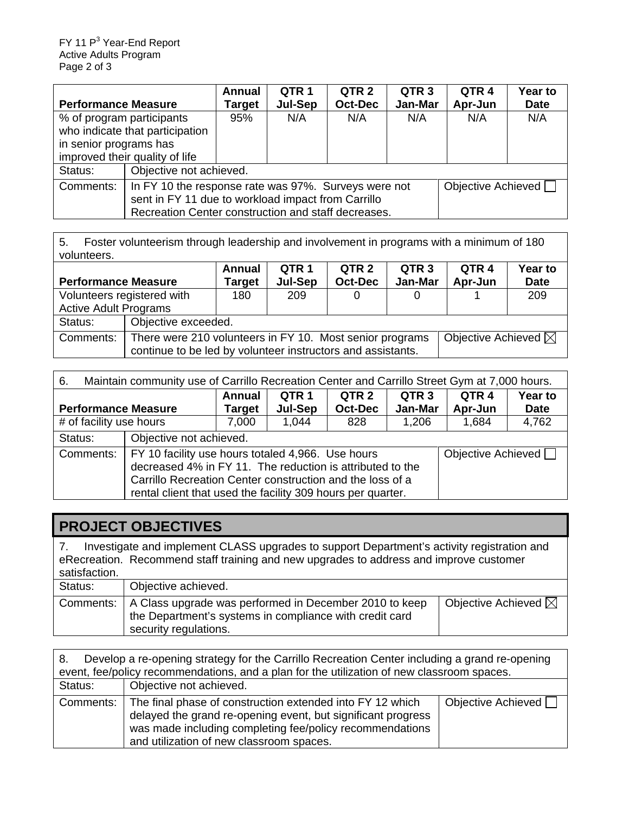| <b>Performance Measure</b>                          |                                                                                                                                                                                         | Annual<br>Target | QTR 1<br>Jul-Sep | QTR <sub>2</sub><br><b>Oct-Dec</b> | QTR <sub>3</sub><br>Jan-Mar | QTR 4<br>Apr-Jun | <b>Year to</b><br><b>Date</b> |
|-----------------------------------------------------|-----------------------------------------------------------------------------------------------------------------------------------------------------------------------------------------|------------------|------------------|------------------------------------|-----------------------------|------------------|-------------------------------|
| % of program participants<br>in senior programs has | who indicate that participation<br>improved their quality of life                                                                                                                       | 95%              | N/A              | N/A                                | N/A                         | N/A              | N/A                           |
| Status:                                             | Objective not achieved.                                                                                                                                                                 |                  |                  |                                    |                             |                  |                               |
| Comments:                                           | Objective Achieved<br>In FY 10 the response rate was 97%. Surveys were not<br>sent in FY 11 due to workload impact from Carrillo<br>Recreation Center construction and staff decreases. |                  |                  |                                    |                             |                  |                               |

5. Foster volunteerism through leadership and involvement in programs with a minimum of 180 volunteers.

| <b>Performance Measure</b>                                 |                                                                                                                         | Annual<br><b>Target</b> | QTR 1<br>Jul-Sep               | QTR <sub>2</sub><br><b>Oct-Dec</b> | QTR <sub>3</sub><br>Jan-Mar | QTR <sub>4</sub><br>Apr-Jun | <b>Year to</b><br><b>Date</b> |
|------------------------------------------------------------|-------------------------------------------------------------------------------------------------------------------------|-------------------------|--------------------------------|------------------------------------|-----------------------------|-----------------------------|-------------------------------|
| Volunteers registered with<br><b>Active Adult Programs</b> |                                                                                                                         | 180                     | 209                            |                                    |                             |                             | 209                           |
|                                                            |                                                                                                                         |                         |                                |                                    |                             |                             |                               |
| Status:                                                    | Objective exceeded.                                                                                                     |                         |                                |                                    |                             |                             |                               |
| Comments:                                                  | There were 210 volunteers in FY 10. Most senior programs<br>continue to be led by volunteer instructors and assistants. |                         | Objective Achieved $\boxtimes$ |                                    |                             |                             |                               |

| Maintain community use of Carrillo Recreation Center and Carrillo Street Gym at 7,000 hours.<br>6. |                                                                                                                                                                                                                                                                  |                         |                             |                                    |                             |                             |                        |  |  |
|----------------------------------------------------------------------------------------------------|------------------------------------------------------------------------------------------------------------------------------------------------------------------------------------------------------------------------------------------------------------------|-------------------------|-----------------------------|------------------------------------|-----------------------------|-----------------------------|------------------------|--|--|
| <b>Performance Measure</b>                                                                         |                                                                                                                                                                                                                                                                  | <b>Annual</b><br>Target | QTR <sub>1</sub><br>Jul-Sep | QTR <sub>2</sub><br><b>Oct-Dec</b> | QTR <sub>3</sub><br>Jan-Mar | QTR <sub>4</sub><br>Apr-Jun | Year to<br><b>Date</b> |  |  |
| # of facility use hours                                                                            |                                                                                                                                                                                                                                                                  | 7,000                   | 1,044                       | 828                                | 1,206                       | 1,684                       | 4,762                  |  |  |
| Status:                                                                                            | Objective not achieved.                                                                                                                                                                                                                                          |                         |                             |                                    |                             |                             |                        |  |  |
| Comments:                                                                                          | FY 10 facility use hours totaled 4,966. Use hours<br>Objective Achieved<br>decreased 4% in FY 11. The reduction is attributed to the<br>Carrillo Recreation Center construction and the loss of a<br>rental client that used the facility 309 hours per quarter. |                         |                             |                                    |                             |                             |                        |  |  |

### **PROJECT OBJECTIVES**

7. Investigate and implement CLASS upgrades to support Department's activity registration and eRecreation. Recommend staff training and new upgrades to address and improve customer satisfaction.

| Status:   | Objective achieved.                                                                                                                        |                                |
|-----------|--------------------------------------------------------------------------------------------------------------------------------------------|--------------------------------|
| Comments: | A Class upgrade was performed in December 2010 to keep<br>the Department's systems in compliance with credit card<br>security regulations. | Objective Achieved $\boxtimes$ |

8. Develop a re-opening strategy for the Carrillo Recreation Center including a grand re-opening event, fee/policy recommendations, and a plan for the utilization of new classroom spaces. Status: | Objective not achieved. Comments: The final phase of construction extended into FY 12 which delayed the grand re-opening event, but significant progress was made including completing fee/policy recommendations and utilization of new classroom spaces. Objective Achieved  $\Box$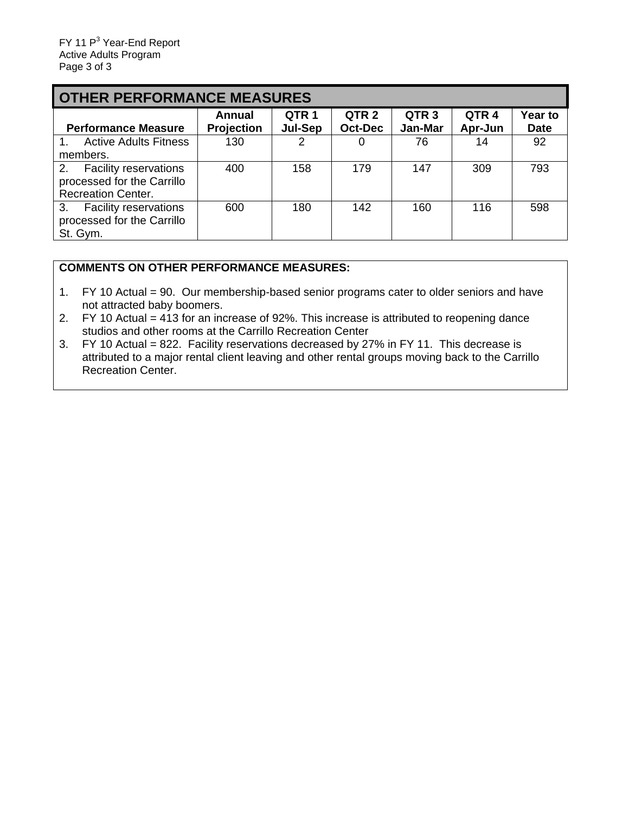| <b>OTHER PERFORMANCE MEASURES</b>  |                                    |                             |                                    |                             |                 |                        |  |  |  |
|------------------------------------|------------------------------------|-----------------------------|------------------------------------|-----------------------------|-----------------|------------------------|--|--|--|
| <b>Performance Measure</b>         | <b>Annual</b><br><b>Projection</b> | QTR <sub>1</sub><br>Jul-Sep | QTR <sub>2</sub><br><b>Oct-Dec</b> | QTR <sub>3</sub><br>Jan-Mar | QTR4<br>Apr-Jun | Year to<br><b>Date</b> |  |  |  |
| <b>Active Adults Fitness</b>       | 130                                | 2                           |                                    | 76                          | 14              | 92                     |  |  |  |
| members.                           |                                    |                             |                                    |                             |                 |                        |  |  |  |
| <b>Facility reservations</b><br>2. | 400                                | 158                         | 179                                | 147                         | 309             | 793                    |  |  |  |
| processed for the Carrillo         |                                    |                             |                                    |                             |                 |                        |  |  |  |
| <b>Recreation Center.</b>          |                                    |                             |                                    |                             |                 |                        |  |  |  |
| <b>Facility reservations</b><br>3. | 600                                | 180                         | 142                                | 160                         | 116             | 598                    |  |  |  |
| processed for the Carrillo         |                                    |                             |                                    |                             |                 |                        |  |  |  |
| St. Gym.                           |                                    |                             |                                    |                             |                 |                        |  |  |  |

#### **COMMENTS ON OTHER PERFORMANCE MEASURES:**

1. FY 10 Actual = 90. Our membership-based senior programs cater to older seniors and have not attracted baby boomers.

2. FY 10 Actual = 413 for an increase of 92%. This increase is attributed to reopening dance studios and other rooms at the Carrillo Recreation Center

3. FY 10 Actual = 822. Facility reservations decreased by 27% in FY 11. This decrease is attributed to a major rental client leaving and other rental groups moving back to the Carrillo Recreation Center.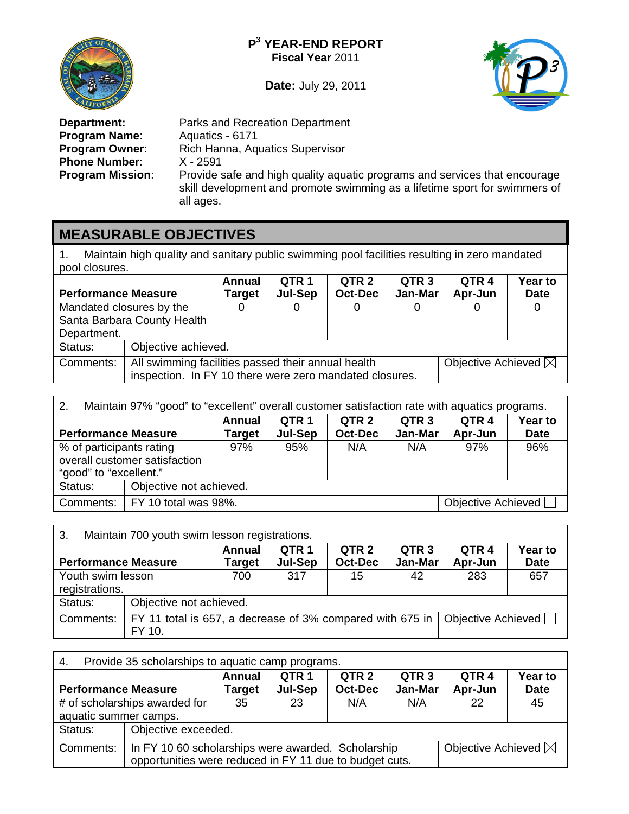

**Date:** July 29, 2011



**Program Name:<br>Program Owner: Phone Number:<br>Program Mission:** 

**Department:** Parks and Recreation Department<br>**Program Name**: Aquatics - 6171 **Rich Hanna, Aquatics Supervisor X - 2591** Provide safe and high quality aquatic programs and services that encourage skill development and promote swimming as a lifetime sport for swimmers of all ages.

# **MEASURABLE OBJECTIVES**

1. Maintain high quality and sanitary public swimming pool facilities resulting in zero mandated pool closures.

|                             |                     | <b>Annual</b>                                                                                                 | QTR <sub>1</sub> | QTR <sub>2</sub> | QTR <sub>3</sub> | QTR <sub>4</sub> | Year to                        |
|-----------------------------|---------------------|---------------------------------------------------------------------------------------------------------------|------------------|------------------|------------------|------------------|--------------------------------|
| <b>Performance Measure</b>  |                     | <b>Target</b>                                                                                                 | Jul-Sep          | <b>Oct-Dec</b>   | Jan-Mar          | Apr-Jun          | <b>Date</b>                    |
| Mandated closures by the    |                     |                                                                                                               |                  | 0                |                  |                  |                                |
| Santa Barbara County Health |                     |                                                                                                               |                  |                  |                  |                  |                                |
| Department.                 |                     |                                                                                                               |                  |                  |                  |                  |                                |
| Status:                     | Objective achieved. |                                                                                                               |                  |                  |                  |                  |                                |
| Comments:                   |                     | All swimming facilities passed their annual health<br>inspection. In FY 10 there were zero mandated closures. |                  |                  |                  |                  | Objective Achieved $\boxtimes$ |

| 2.<br>Maintain 97% "good" to "excellent" overall customer satisfaction rate with aquatics programs. |                                                          |        |         |                  |                  |                  |             |  |  |
|-----------------------------------------------------------------------------------------------------|----------------------------------------------------------|--------|---------|------------------|------------------|------------------|-------------|--|--|
|                                                                                                     | <b>Annual</b><br>QTR 1                                   |        |         | QTR <sub>2</sub> | QTR <sub>3</sub> | QTR <sub>4</sub> | Year to     |  |  |
| <b>Performance Measure</b>                                                                          |                                                          | Target | Jul-Sep | <b>Oct-Dec</b>   | Jan-Mar          | Apr-Jun          | <b>Date</b> |  |  |
| % of participants rating                                                                            |                                                          | 97%    | 95%     | N/A              | N/A              | 97%              | 96%         |  |  |
|                                                                                                     | overall customer satisfaction                            |        |         |                  |                  |                  |             |  |  |
| "good" to "excellent."                                                                              |                                                          |        |         |                  |                  |                  |             |  |  |
| Status:                                                                                             | Objective not achieved.                                  |        |         |                  |                  |                  |             |  |  |
|                                                                                                     | Comments:   FY 10 total was 98%.<br>Objective Achieved [ |        |         |                  |                  |                  |             |  |  |

| Maintain 700 youth swim lesson registrations.<br>3. |                                                                                 |                  |                  |         |         |         |             |  |  |
|-----------------------------------------------------|---------------------------------------------------------------------------------|------------------|------------------|---------|---------|---------|-------------|--|--|
|                                                     |                                                                                 | QTR <sub>3</sub> | QTR <sub>4</sub> | Year to |         |         |             |  |  |
| <b>Performance Measure</b>                          |                                                                                 | Target           | Jul-Sep          | Oct-Dec | Jan-Mar | Apr-Jun | <b>Date</b> |  |  |
| Youth swim lesson                                   |                                                                                 | 700              | 317              | 15      | 42      | 283     | 657         |  |  |
| registrations.                                      |                                                                                 |                  |                  |         |         |         |             |  |  |
| Status:                                             | Objective not achieved.                                                         |                  |                  |         |         |         |             |  |  |
| Comments:                                           | Objective Achieved<br>FY 11 total is 657, a decrease of 3% compared with 675 in |                  |                  |         |         |         |             |  |  |
|                                                     | FY 10.                                                                          |                  |                  |         |         |         |             |  |  |

| Provide 35 scholarships to aquatic camp programs.<br>4.                                                                                                                                                                   |                                                                                                                                                 |     |     |    |    |  |  |  |  |
|---------------------------------------------------------------------------------------------------------------------------------------------------------------------------------------------------------------------------|-------------------------------------------------------------------------------------------------------------------------------------------------|-----|-----|----|----|--|--|--|--|
| QTR <sub>3</sub><br>QTR <sub>1</sub><br>QTR <sub>2</sub><br><b>Year to</b><br>QTR <sub>4</sub><br>Annual<br>Jan-Mar<br><b>Oct-Dec</b><br><b>Jul-Sep</b><br>Apr-Jun<br><b>Performance Measure</b><br><b>Date</b><br>Target |                                                                                                                                                 |     |     |    |    |  |  |  |  |
| # of scholarships awarded for<br>aquatic summer camps.                                                                                                                                                                    | 23                                                                                                                                              | N/A | N/A | 22 | 45 |  |  |  |  |
| Status:                                                                                                                                                                                                                   | Objective exceeded.                                                                                                                             |     |     |    |    |  |  |  |  |
| Comments:                                                                                                                                                                                                                 | Objective Achieved $\boxtimes$<br>In FY 10 60 scholarships were awarded. Scholarship<br>opportunities were reduced in FY 11 due to budget cuts. |     |     |    |    |  |  |  |  |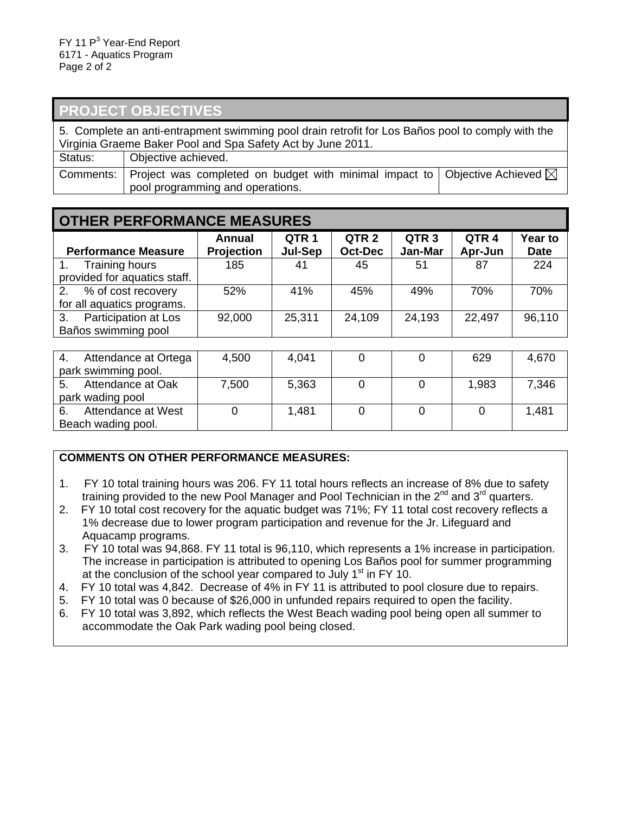|                                                                                                                                                                  | <b>PROJECT OBJECTIVES</b>                                                                                                         |  |  |  |  |  |
|------------------------------------------------------------------------------------------------------------------------------------------------------------------|-----------------------------------------------------------------------------------------------------------------------------------|--|--|--|--|--|
| 5. Complete an anti-entrapment swimming pool drain retrofit for Los Baños pool to comply with the<br>Virginia Graeme Baker Pool and Spa Safety Act by June 2011. |                                                                                                                                   |  |  |  |  |  |
| Status:                                                                                                                                                          | Objective achieved.                                                                                                               |  |  |  |  |  |
| Comments:                                                                                                                                                        | Project was completed on budget with minimal impact to $\vert$ Objective Achieved $\boxtimes$<br>pool programming and operations. |  |  |  |  |  |

| <b>OTHER PERFORMANCE MEASURES</b>                      |                             |                             |                                    |                             |                             |                        |  |  |  |
|--------------------------------------------------------|-----------------------------|-----------------------------|------------------------------------|-----------------------------|-----------------------------|------------------------|--|--|--|
| <b>Performance Measure</b>                             | <b>Annual</b><br>Projection | QTR <sub>1</sub><br>Jul-Sep | QTR <sub>2</sub><br><b>Oct-Dec</b> | QTR <sub>3</sub><br>Jan-Mar | QTR <sub>4</sub><br>Apr-Jun | Year to<br><b>Date</b> |  |  |  |
| Training hours<br>1.<br>provided for aquatics staff.   | 185                         | 41                          | 45                                 | 51                          | 87                          | 224                    |  |  |  |
| % of cost recovery<br>2.<br>for all aquatics programs. | 52%                         | 41%                         | 45%                                | 49%                         | 70%                         | 70%                    |  |  |  |
| Participation at Los<br>3.<br>Baños swimming pool      | 92,000                      | 25,311                      | 24,109                             | 24,193                      | 22,497                      | 96,110                 |  |  |  |

| Attendance at Ortega<br>4.<br>park swimming pool. | 4,500 | 4,041 |  | 629   | 4,670 |
|---------------------------------------------------|-------|-------|--|-------|-------|
| Attendance at Oak<br>5.<br>park wading pool       | 7,500 | 5,363 |  | 1,983 | 7,346 |
| Attendance at West<br>6.<br>Beach wading pool.    |       | 1,481 |  |       | 1,481 |

#### **COMMENTS ON OTHER PERFORMANCE MEASURES:**

- 1. FY 10 total training hours was 206. FY 11 total hours reflects an increase of 8% due to safety training provided to the new Pool Manager and Pool Technician in the  $2^{nd}$  and  $3^{rd}$  quarters.
- 2. FY 10 total cost recovery for the aquatic budget was 71%; FY 11 total cost recovery reflects a 1% decrease due to lower program participation and revenue for the Jr. Lifeguard and Aquacamp programs.
- 3. FY 10 total was 94,868. FY 11 total is 96,110, which represents a 1% increase in participation. The increase in participation is attributed to opening Los Baños pool for summer programming at the conclusion of the school year compared to July  $1<sup>st</sup>$  in FY 10.
- 4. FY 10 total was 4,842. Decrease of 4% in FY 11 is attributed to pool closure due to repairs.
- 5. FY 10 total was 0 because of \$26,000 in unfunded repairs required to open the facility.
- 6. FY 10 total was 3,892, which reflects the West Beach wading pool being open all summer to accommodate the Oak Park wading pool being closed.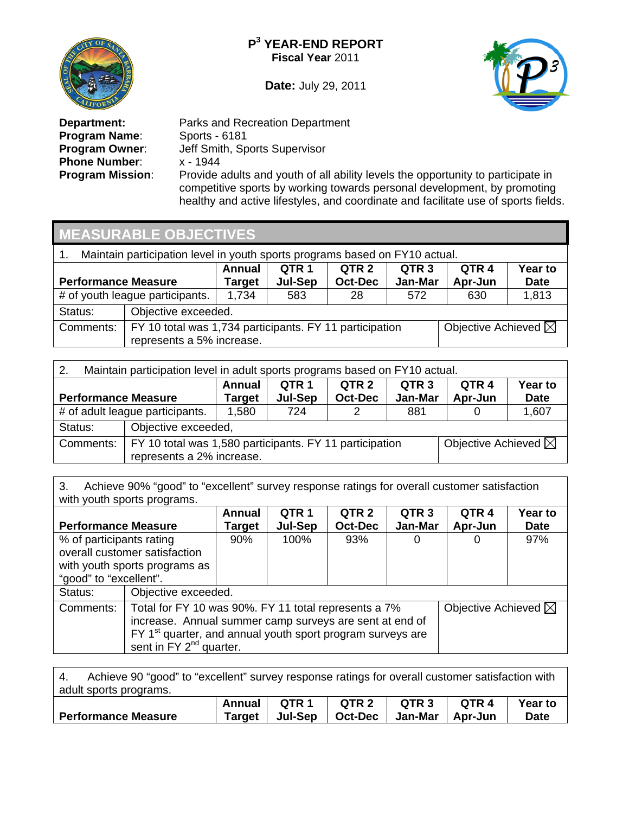

**Date:** July 29, 2011



**Program Name:<br>Program Owner: Phone Number:**<br>**Program Mission:** 

**Department:** Parks and Recreation Department<br>**Program Name**: Sports - 6181 Jeff Smith, Sports Supervisor<br>x - 1944 Provide adults and youth of all ability levels the opportunity to participate in competitive sports by working towards personal development, by promoting healthy and active lifestyles, and coordinate and facilitate use of sports fields.

| <b>MEASURABLE OBJECTIVES</b>                                                      |                                                                                                                                                                                                         |       |     |    |     |     |         |  |
|-----------------------------------------------------------------------------------|---------------------------------------------------------------------------------------------------------------------------------------------------------------------------------------------------------|-------|-----|----|-----|-----|---------|--|
| Maintain participation level in youth sports programs based on FY10 actual.<br>1. |                                                                                                                                                                                                         |       |     |    |     |     |         |  |
|                                                                                   | QTR <sub>3</sub><br>QTR <sub>4</sub><br>QTR <sub>1</sub><br>QTR <sub>2</sub><br>Annual<br>Jan-Mar<br><b>Oct-Dec</b><br>Apr-Jun<br><b>Performance Measure</b><br>Jul-Sep<br><b>Date</b><br><b>Target</b> |       |     |    |     |     | Year to |  |
|                                                                                   | # of youth league participants.                                                                                                                                                                         | 1,734 | 583 | 28 | 572 | 630 | 1,813   |  |
| Status:                                                                           | Objective exceeded.                                                                                                                                                                                     |       |     |    |     |     |         |  |
| Comments:                                                                         | Objective Achieved $\boxtimes$<br>FY 10 total was 1,734 participants. FY 11 participation<br>represents a 5% increase.                                                                                  |       |     |    |     |     |         |  |

| Maintain participation level in adult sports programs based on FY10 actual.<br>2. |                                                                                      |               |                                |                                    |                             |                  |                               |  |  |
|-----------------------------------------------------------------------------------|--------------------------------------------------------------------------------------|---------------|--------------------------------|------------------------------------|-----------------------------|------------------|-------------------------------|--|--|
|                                                                                   |                                                                                      | <b>Annual</b> | QTR 1<br>Jul-Sep               | QTR <sub>2</sub><br><b>Oct-Dec</b> | QTR <sub>3</sub><br>Jan-Mar | QTR 4<br>Apr-Jun | <b>Year to</b><br><b>Date</b> |  |  |
| <b>Performance Measure</b>                                                        |                                                                                      | <b>Target</b> |                                |                                    |                             |                  |                               |  |  |
|                                                                                   | # of adult league participants.                                                      | 1,580         | 724                            | 2                                  | 881                         |                  | 1,607                         |  |  |
| Status:                                                                           | Objective exceeded,                                                                  |               |                                |                                    |                             |                  |                               |  |  |
| Comments:                                                                         | FY 10 total was 1,580 participants. FY 11 participation<br>represents a 2% increase. |               | Objective Achieved $\boxtimes$ |                                    |                             |                  |                               |  |  |

3. Achieve 90% "good" to "excellent" survey response ratings for overall customer satisfaction with youth sports programs.

|                               |                                                                        | <b>Annual</b>                       | QTR <sub>1</sub> | QTR <sub>2</sub> | QTR <sub>3</sub> | QTR <sub>4</sub>               | Year to     |  |  |
|-------------------------------|------------------------------------------------------------------------|-------------------------------------|------------------|------------------|------------------|--------------------------------|-------------|--|--|
| <b>Performance Measure</b>    |                                                                        | Target                              | Jul-Sep          | <b>Oct-Dec</b>   | Jan-Mar          | Apr-Jun                        | <b>Date</b> |  |  |
| % of participants rating      |                                                                        | 90%                                 | 100%             | 93%              |                  |                                | 97%         |  |  |
|                               | overall customer satisfaction                                          |                                     |                  |                  |                  |                                |             |  |  |
| with youth sports programs as |                                                                        |                                     |                  |                  |                  |                                |             |  |  |
| "good" to "excellent".        |                                                                        |                                     |                  |                  |                  |                                |             |  |  |
| Status:                       | Objective exceeded.                                                    |                                     |                  |                  |                  |                                |             |  |  |
| Comments:                     | Total for FY 10 was 90%. FY 11 total represents a 7%                   |                                     |                  |                  |                  | Objective Achieved $\boxtimes$ |             |  |  |
|                               | increase. Annual summer camp surveys are sent at end of                |                                     |                  |                  |                  |                                |             |  |  |
|                               | FY 1 <sup>st</sup> quarter, and annual youth sport program surveys are |                                     |                  |                  |                  |                                |             |  |  |
|                               |                                                                        | sent in FY 2 <sup>nd</sup> quarter. |                  |                  |                  |                                |             |  |  |

4. Achieve 90 "good" to "excellent" survey response ratings for overall customer satisfaction with adult sports programs. **Performance Measure Annual Target QTR 1 Jul-Sep QTR 2 Oct-Dec QTR 3 Jan-Mar QTR 4 Apr-Jun Year to Date**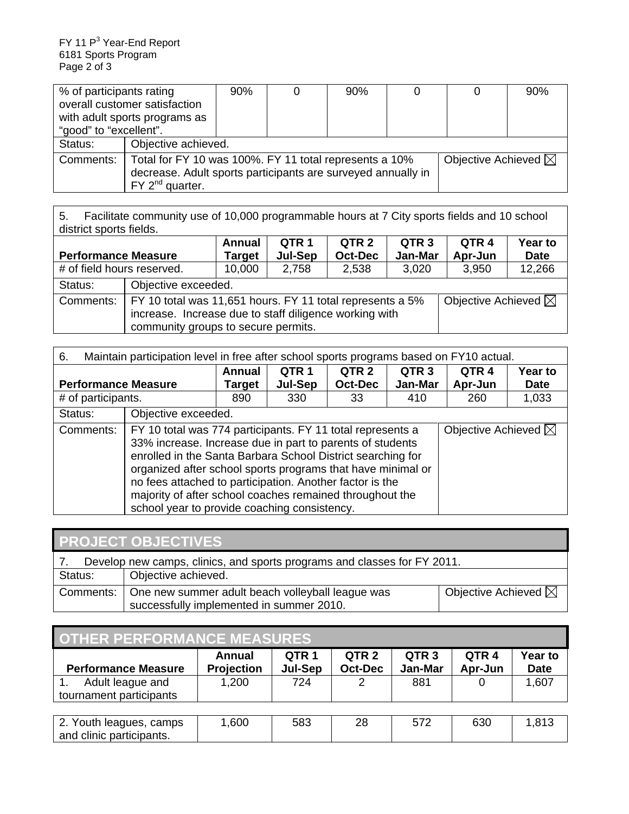|                               | % of participants rating                                                                      |  |  | 90% |  |  | 90% |  |  |
|-------------------------------|-----------------------------------------------------------------------------------------------|--|--|-----|--|--|-----|--|--|
| overall customer satisfaction |                                                                                               |  |  |     |  |  |     |  |  |
| with adult sports programs as |                                                                                               |  |  |     |  |  |     |  |  |
| "good" to "excellent".        |                                                                                               |  |  |     |  |  |     |  |  |
| Status:                       | Objective achieved.                                                                           |  |  |     |  |  |     |  |  |
| Comments:                     | Objective Achieved $\boxtimes$<br>Total for FY 10 was 100%. FY 11 total represents a 10%      |  |  |     |  |  |     |  |  |
|                               | decrease. Adult sports participants are surveyed annually in<br>$FY$ 2 <sup>nd</sup> quarter. |  |  |     |  |  |     |  |  |

5. Facilitate community use of 10,000 programmable hours at 7 City sports fields and 10 school district sports fields.

|                            |                     | Annual                                                                                                                                                                 | QTR <sub>1</sub> | QTR <sub>2</sub> | QTR <sub>3</sub> | QTR <sub>4</sub> | Year to     |  |  |
|----------------------------|---------------------|------------------------------------------------------------------------------------------------------------------------------------------------------------------------|------------------|------------------|------------------|------------------|-------------|--|--|
| <b>Performance Measure</b> |                     | <b>Target</b>                                                                                                                                                          | Jul-Sep          | <b>Oct-Dec</b>   | Jan-Mar          | Apr-Jun          | <b>Date</b> |  |  |
| # of field hours reserved. |                     | 10,000                                                                                                                                                                 | 2,758            | 2,538            | 3,020            | 3,950            | 12,266      |  |  |
| Status:                    | Objective exceeded. |                                                                                                                                                                        |                  |                  |                  |                  |             |  |  |
|                            |                     | Comments:   FY 10 total was 11,651 hours. FY 11 total represents a 5%<br>increase. Increase due to staff diligence working with<br>community groups to secure permits. |                  |                  |                  |                  |             |  |  |

| Maintain participation level in free after school sports programs based on FY10 actual.<br>6. |                                                                                                                                                                                                                                                                                                                                                                                                                               |                         |                             |                                    |                             |                                |                        |  |  |
|-----------------------------------------------------------------------------------------------|-------------------------------------------------------------------------------------------------------------------------------------------------------------------------------------------------------------------------------------------------------------------------------------------------------------------------------------------------------------------------------------------------------------------------------|-------------------------|-----------------------------|------------------------------------|-----------------------------|--------------------------------|------------------------|--|--|
| <b>Performance Measure</b>                                                                    |                                                                                                                                                                                                                                                                                                                                                                                                                               | <b>Annual</b><br>Target | QTR <sub>1</sub><br>Jul-Sep | QTR <sub>2</sub><br><b>Oct-Dec</b> | QTR <sub>3</sub><br>Jan-Mar | QTR <sub>4</sub><br>Apr-Jun    | Year to<br><b>Date</b> |  |  |
| # of participants.                                                                            |                                                                                                                                                                                                                                                                                                                                                                                                                               | 890                     | 330                         | 33                                 | 410                         | 260                            | 1,033                  |  |  |
| Status:                                                                                       | Objective exceeded.                                                                                                                                                                                                                                                                                                                                                                                                           |                         |                             |                                    |                             |                                |                        |  |  |
| Comments:                                                                                     | FY 10 total was 774 participants. FY 11 total represents a<br>33% increase. Increase due in part to parents of students<br>enrolled in the Santa Barbara School District searching for<br>organized after school sports programs that have minimal or<br>no fees attached to participation. Another factor is the<br>majority of after school coaches remained throughout the<br>school year to provide coaching consistency. |                         |                             |                                    |                             | Objective Achieved $\boxtimes$ |                        |  |  |

|                                                                          | <b>PROJECT OBJECTIVES</b>                                                                                |                                |  |  |  |  |  |
|--------------------------------------------------------------------------|----------------------------------------------------------------------------------------------------------|--------------------------------|--|--|--|--|--|
| Develop new camps, clinics, and sports programs and classes for FY 2011. |                                                                                                          |                                |  |  |  |  |  |
| Status:                                                                  | Objective achieved.                                                                                      |                                |  |  |  |  |  |
|                                                                          | Comments:   One new summer adult beach volleyball league was<br>successfully implemented in summer 2010. | Objective Achieved $\boxtimes$ |  |  |  |  |  |

| <b>OTHER PERFORMANCE MEASURES</b>           |                             |                             |                                    |                             |                             |                        |  |  |  |
|---------------------------------------------|-----------------------------|-----------------------------|------------------------------------|-----------------------------|-----------------------------|------------------------|--|--|--|
| <b>Performance Measure</b>                  | Annual<br><b>Projection</b> | QTR <sub>1</sub><br>Jul-Sep | QTR <sub>2</sub><br><b>Oct-Dec</b> | QTR <sub>3</sub><br>Jan-Mar | QTR <sub>4</sub><br>Apr-Jun | Year to<br><b>Date</b> |  |  |  |
| Adult league and<br>tournament participants | 1,200                       | 724                         | 2                                  | 881                         | 0                           | 1,607                  |  |  |  |
| _ _ _ _                                     | .                           | ---                         | - -                                |                             | ---                         |                        |  |  |  |

| 2. Youth leagues, camps  | .600 | 583 | იი | 572 | 630 | $.$ 04 $\sim$ |
|--------------------------|------|-----|----|-----|-----|---------------|
| and clinic participants. |      |     |    |     |     |               |
|                          |      |     |    |     |     |               |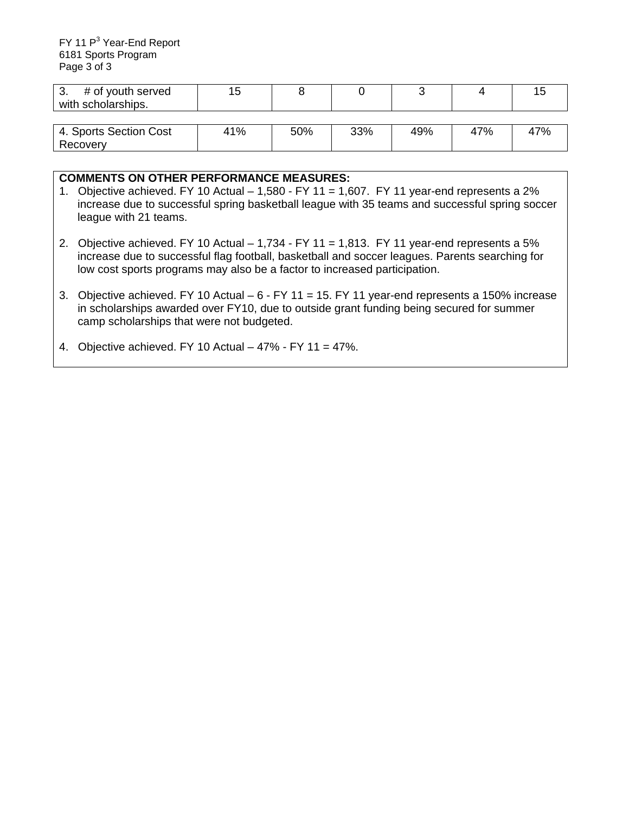| # of youth served<br>with scholarships. | 15  |     |     |     |     | 15  |
|-----------------------------------------|-----|-----|-----|-----|-----|-----|
|                                         |     |     |     |     |     |     |
| 4. Sports Section Cost                  | 41% | 50% | 33% | 49% | 47% | 47% |
| Recovery                                |     |     |     |     |     |     |

#### **COMMENTS ON OTHER PERFORMANCE MEASURES:**

- 1. Objective achieved. FY 10 Actual  $-$  1,580 FY 11 = 1,607. FY 11 year-end represents a 2% increase due to successful spring basketball league with 35 teams and successful spring soccer league with 21 teams.
- 2. Objective achieved. FY 10 Actual  $-1,734$  FY 11 = 1,813. FY 11 year-end represents a 5% increase due to successful flag football, basketball and soccer leagues. Parents searching for low cost sports programs may also be a factor to increased participation.
- 3. Objective achieved. FY 10 Actual 6 FY 11 = 15. FY 11 year-end represents a 150% increase in scholarships awarded over FY10, due to outside grant funding being secured for summer camp scholarships that were not budgeted.
- 4. Objective achieved. FY 10 Actual  $-47\%$  FY 11 = 47%.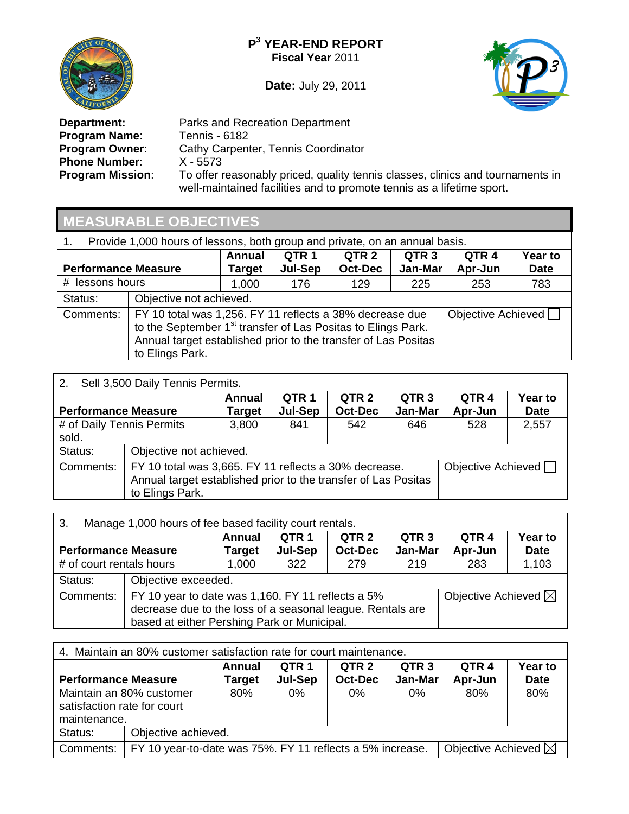

**Date:** July 29, 2011



**Program Name:<br>Program Owner: Phone Number:<br>Program Mission:** 

**Department:** Parks and Recreation Department<br>**Program Name:** Tennis - 6182 Cathy Carpenter, Tennis Coordinator<br>X - 5573 **Program Mission**: To offer reasonably priced, quality tennis classes, clinics and tournaments in well-maintained facilities and to promote tennis as a lifetime sport.

# **MEASURABLE OBJECTIVES**

| Provide 1,000 hours of lessons, both group and private, on an annual basis. |                                                                                                                                                                                                                                                 |                         |                             |                                    |                             |                             |                               |  |  |
|-----------------------------------------------------------------------------|-------------------------------------------------------------------------------------------------------------------------------------------------------------------------------------------------------------------------------------------------|-------------------------|-----------------------------|------------------------------------|-----------------------------|-----------------------------|-------------------------------|--|--|
| <b>Performance Measure</b>                                                  |                                                                                                                                                                                                                                                 | <b>Annual</b><br>Target | QTR <sub>1</sub><br>Jul-Sep | QTR <sub>2</sub><br><b>Oct-Dec</b> | QTR <sub>3</sub><br>Jan-Mar | QTR <sub>4</sub><br>Apr-Jun | <b>Year to</b><br><b>Date</b> |  |  |
| # lessons hours                                                             |                                                                                                                                                                                                                                                 | 1,000                   | 176                         | 129                                | 225                         | 253                         | 783                           |  |  |
| Status:                                                                     | Objective not achieved.                                                                                                                                                                                                                         |                         |                             |                                    |                             |                             |                               |  |  |
| Comments:                                                                   | FY 10 total was 1,256. FY 11 reflects a 38% decrease due<br>Objective Achieved<br>to the September 1 <sup>st</sup> transfer of Las Positas to Elings Park.<br>Annual target established prior to the transfer of Las Positas<br>to Elings Park. |                         |                             |                                    |                             |                             |                               |  |  |

### 2. Sell 3,500 Daily Tennis Permits.

|                                    | <b>2.</b> OCIT <b>0.000 Daily TCHING</b> FOITING.                                                                                          |                         |                  |                    |                  |         |                |  |  |  |
|------------------------------------|--------------------------------------------------------------------------------------------------------------------------------------------|-------------------------|------------------|--------------------|------------------|---------|----------------|--|--|--|
|                                    |                                                                                                                                            | Annual                  | QTR <sub>1</sub> | QTR <sub>2</sub>   | QTR <sub>3</sub> | QTR 4   | <b>Year to</b> |  |  |  |
| <b>Performance Measure</b>         |                                                                                                                                            | <b>Target</b>           | Jul-Sep          | <b>Oct-Dec</b>     | Jan-Mar          | Apr-Jun | <b>Date</b>    |  |  |  |
| # of Daily Tennis Permits<br>sold. |                                                                                                                                            | 3,800                   | 841              | 542                | 646              | 528     | 2,557          |  |  |  |
| Status:                            |                                                                                                                                            | Objective not achieved. |                  |                    |                  |         |                |  |  |  |
| Comments:                          | FY 10 total was 3,665. FY 11 reflects a 30% decrease.<br>Annual target established prior to the transfer of Las Positas<br>to Elings Park. |                         |                  | Objective Achieved |                  |         |                |  |  |  |

| 3.<br>Manage 1,000 hours of fee based facility court rentals. |  |                                                                                                                                                                |                  |                                    |                             |                             |                        |  |  |  |
|---------------------------------------------------------------|--|----------------------------------------------------------------------------------------------------------------------------------------------------------------|------------------|------------------------------------|-----------------------------|-----------------------------|------------------------|--|--|--|
| <b>Performance Measure</b>                                    |  | <b>Annual</b><br><b>Target</b>                                                                                                                                 | QTR 1<br>Jul-Sep | QTR <sub>2</sub><br><b>Oct-Dec</b> | QTR <sub>3</sub><br>Jan-Mar | QTR <sub>4</sub><br>Apr-Jun | Year to<br><b>Date</b> |  |  |  |
| # of court rentals hours                                      |  | 1,000                                                                                                                                                          | 322              | 279                                | 219                         | 283                         | 1,103                  |  |  |  |
| Status:                                                       |  | Objective exceeded.                                                                                                                                            |                  |                                    |                             |                             |                        |  |  |  |
| Comments:                                                     |  | FY 10 year to date was 1,160. FY 11 reflects a 5%<br>decrease due to the loss of a seasonal league. Rentals are<br>based at either Pershing Park or Municipal. |                  |                                    |                             |                             |                        |  |  |  |

| 4. Maintain an 80% customer satisfaction rate for court maintenance. |                                                           |                                                                             |         |                |         |                                |             |  |
|----------------------------------------------------------------------|-----------------------------------------------------------|-----------------------------------------------------------------------------|---------|----------------|---------|--------------------------------|-------------|--|
|                                                                      |                                                           | QTR <sub>3</sub><br>QTR <sub>4</sub><br>Year to<br>QTR 2<br>QTR 1<br>Annual |         |                |         |                                |             |  |
| <b>Performance Measure</b>                                           |                                                           | <b>Target</b>                                                               | Jul-Sep | <b>Oct-Dec</b> | Jan-Mar | Apr-Jun                        | <b>Date</b> |  |
| Maintain an 80% customer                                             |                                                           | 80%                                                                         | 0%      | 0%             | 0%      | 80%                            | 80%         |  |
| satisfaction rate for court                                          |                                                           |                                                                             |         |                |         |                                |             |  |
| maintenance.                                                         |                                                           |                                                                             |         |                |         |                                |             |  |
| Status:                                                              | Objective achieved.                                       |                                                                             |         |                |         |                                |             |  |
| Comments:                                                            | FY 10 year-to-date was 75%. FY 11 reflects a 5% increase. |                                                                             |         |                |         | Objective Achieved $\boxtimes$ |             |  |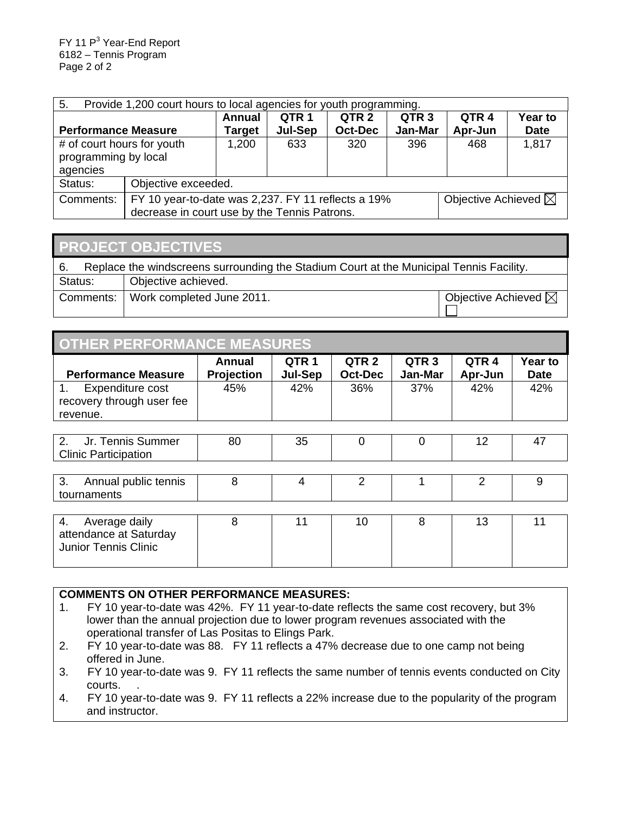| Provide 1,200 court hours to local agencies for youth programming.<br>5. |                                                                                      |                                                           |                  |                  |                  |                  |         |
|--------------------------------------------------------------------------|--------------------------------------------------------------------------------------|-----------------------------------------------------------|------------------|------------------|------------------|------------------|---------|
|                                                                          |                                                                                      | <b>Annual</b>                                             | QTR <sub>1</sub> | QTR <sub>2</sub> | QTR <sub>3</sub> | QTR <sub>4</sub> | Year to |
| <b>Performance Measure</b>                                               |                                                                                      | Jan-Mar<br><b>Oct-Dec</b><br>Jul-Sep<br>Apr-Jun<br>Target |                  |                  |                  | <b>Date</b>      |         |
| # of court hours for youth<br>programming by local<br>agencies           |                                                                                      | 1,200                                                     | 633              | 320              | 396              | 468              | 1,817   |
| Status:                                                                  |                                                                                      | Objective exceeded.                                       |                  |                  |                  |                  |         |
| Comments:                                                                | Objective Achieved $\boxtimes$<br>FY 10 year-to-date was 2,237. FY 11 reflects a 19% |                                                           |                  |                  |                  |                  |         |
|                                                                          | decrease in court use by the Tennis Patrons.                                         |                                                           |                  |                  |                  |                  |         |

# **PROJECT OBJECTIVES**

| 6.      | Replace the windscreens surrounding the Stadium Court at the Municipal Tennis Facility. |                                |  |  |  |  |  |
|---------|-----------------------------------------------------------------------------------------|--------------------------------|--|--|--|--|--|
| Status: | Objective achieved.                                                                     |                                |  |  |  |  |  |
|         | Comments:   Work completed June 2011.                                                   | Objective Achieved $\boxtimes$ |  |  |  |  |  |

# **OTHER PERFORMANCE MEASURES**

| <b>Performance Measure</b>                                            | Annual<br><b>Projection</b> | QTR <sub>1</sub><br>Jul-Sep | QTR <sub>2</sub><br>Oct-Dec | QTR <sub>3</sub><br>Jan-Mar | QTR <sub>4</sub><br>Apr-Jun | Year to<br><b>Date</b> |
|-----------------------------------------------------------------------|-----------------------------|-----------------------------|-----------------------------|-----------------------------|-----------------------------|------------------------|
| Expenditure cost<br>1.<br>recovery through user fee<br>revenue.       | 45%                         | 42%                         | 36%                         | 37%                         | 42%                         | 42%                    |
|                                                                       |                             |                             |                             |                             |                             |                        |
| 2.<br>Jr. Tennis Summer<br><b>Clinic Participation</b>                | 80                          | 35                          | 0                           | 0                           | 12                          | 47                     |
|                                                                       |                             |                             |                             |                             |                             |                        |
| 3.<br>Annual public tennis<br>tournaments                             | 8                           | 4                           | 2                           |                             | 2                           | 9                      |
|                                                                       |                             |                             |                             |                             |                             |                        |
| 4.<br>Average daily<br>attendance at Saturday<br>Junior Tennis Clinic | 8                           | 11                          | 10                          | 8                           | 13                          | 11                     |

#### **COMMENTS ON OTHER PERFORMANCE MEASURES:**

- 1. FY 10 year-to-date was 42%. FY 11 year-to-date reflects the same cost recovery, but 3% lower than the annual projection due to lower program revenues associated with the operational transfer of Las Positas to Elings Park.
- 2. FY 10 year-to-date was 88. FY 11 reflects a 47% decrease due to one camp not being offered in June.
- 3. FY 10 year-to-date was 9. FY 11 reflects the same number of tennis events conducted on City courts. .
- 4. FY 10 year-to-date was 9. FY 11 reflects a 22% increase due to the popularity of the program and instructor.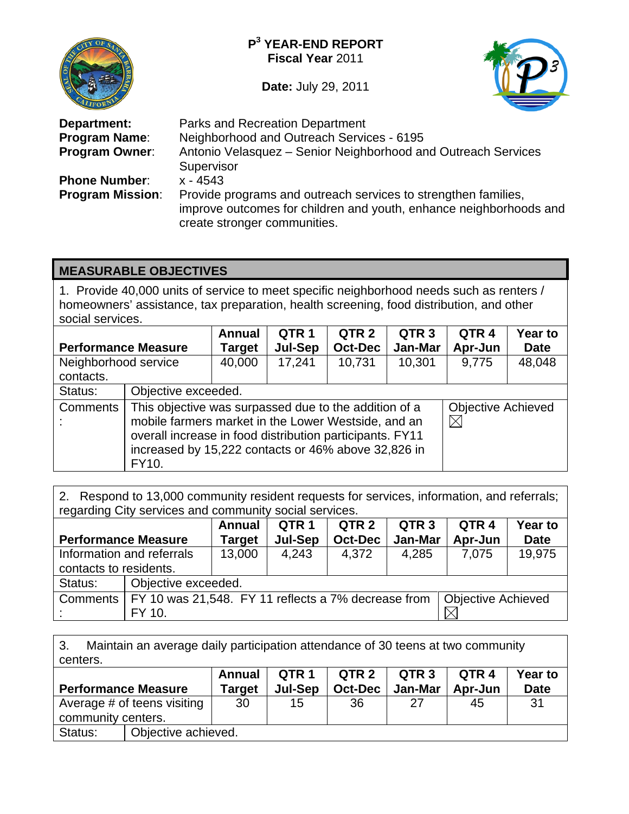

**Date:** July 29, 2011



| Department:             | Parks and Recreation Department                                                                                                                                      |
|-------------------------|----------------------------------------------------------------------------------------------------------------------------------------------------------------------|
| <b>Program Name:</b>    | Neighborhood and Outreach Services - 6195                                                                                                                            |
| <b>Program Owner:</b>   | Antonio Velasquez - Senior Neighborhood and Outreach Services                                                                                                        |
|                         | Supervisor                                                                                                                                                           |
| <b>Phone Number:</b>    | $x - 4543$                                                                                                                                                           |
| <b>Program Mission:</b> | Provide programs and outreach services to strengthen families,<br>improve outcomes for children and youth, enhance neighborhoods and<br>create stronger communities. |

#### **MEASURABLE OBJECTIVES**

1. Provide 40,000 units of service to meet specific neighborhood needs such as renters / homeowners' assistance, tax preparation, health screening, food distribution, and other social services.

|                            |                     | <b>Annual</b>                                                                                                                                                                                                                   | QTR <sub>1</sub> | QTR <sub>2</sub> | QTR <sub>3</sub> | QTR <sub>4</sub>                         | <b>Year to</b> |
|----------------------------|---------------------|---------------------------------------------------------------------------------------------------------------------------------------------------------------------------------------------------------------------------------|------------------|------------------|------------------|------------------------------------------|----------------|
| <b>Performance Measure</b> |                     | <b>Target</b>                                                                                                                                                                                                                   | <b>Jul-Sep</b>   | Oct-Dec          | Jan-Mar          | Apr-Jun                                  | <b>Date</b>    |
| Neighborhood service       |                     | 40,000                                                                                                                                                                                                                          | 17,241           | 10,731           | 10,301           | 9,775                                    | 48,048         |
| contacts.                  |                     |                                                                                                                                                                                                                                 |                  |                  |                  |                                          |                |
| Status:                    | Objective exceeded. |                                                                                                                                                                                                                                 |                  |                  |                  |                                          |                |
| Comments                   |                     | This objective was surpassed due to the addition of a<br>mobile farmers market in the Lower Westside, and an<br>overall increase in food distribution participants. FY11<br>increased by 15,222 contacts or 46% above 32,826 in |                  |                  |                  | <b>Objective Achieved</b><br>$\boxtimes$ |                |
|                            | FY10.               |                                                                                                                                                                                                                                 |                  |                  |                  |                                          |                |

2. Respond to 13,000 community resident requests for services, information, and referrals; regarding City services and community social services.

| <b>Performance Measure</b> |                                                                                  | Annual<br><b>Target</b> | QTR 1<br><b>Jul-Sep</b> | QTR <sub>2</sub><br>Oct-Dec | QTR <sub>3</sub><br>Jan-Mar | QTR <sub>4</sub><br>Apr-Jun | Year to<br><b>Date</b> |
|----------------------------|----------------------------------------------------------------------------------|-------------------------|-------------------------|-----------------------------|-----------------------------|-----------------------------|------------------------|
|                            | Information and referrals                                                        | 13,000                  | 4.243                   | 4,372                       | 4,285                       | 7,075                       | 19,975                 |
| contacts to residents.     |                                                                                  |                         |                         |                             |                             |                             |                        |
| Status:                    | Objective exceeded.                                                              |                         |                         |                             |                             |                             |                        |
| Comments                   | <b>Objective Achieved</b><br>FY 10 was 21,548. FY 11 reflects a 7% decrease from |                         |                         |                             |                             |                             |                        |
|                            | FY 10.                                                                           |                         |                         |                             |                             |                             |                        |

3. Maintain an average daily participation attendance of 30 teens at two community centers.

| <b>Performance Measure</b>  |                     | Annual<br><b>Target</b> | QTR 1<br>Jul-Sep | QTR 2<br>Oct-Dec | QTR 3<br>Jan-Mar | QTR <sub>4</sub><br>Apr-Jun | Year to<br><b>Date</b> |
|-----------------------------|---------------------|-------------------------|------------------|------------------|------------------|-----------------------------|------------------------|
| Average # of teens visiting |                     | 30                      | 15               | 36               |                  | 45                          | 31                     |
| community centers.          |                     |                         |                  |                  |                  |                             |                        |
| Status:                     | Objective achieved. |                         |                  |                  |                  |                             |                        |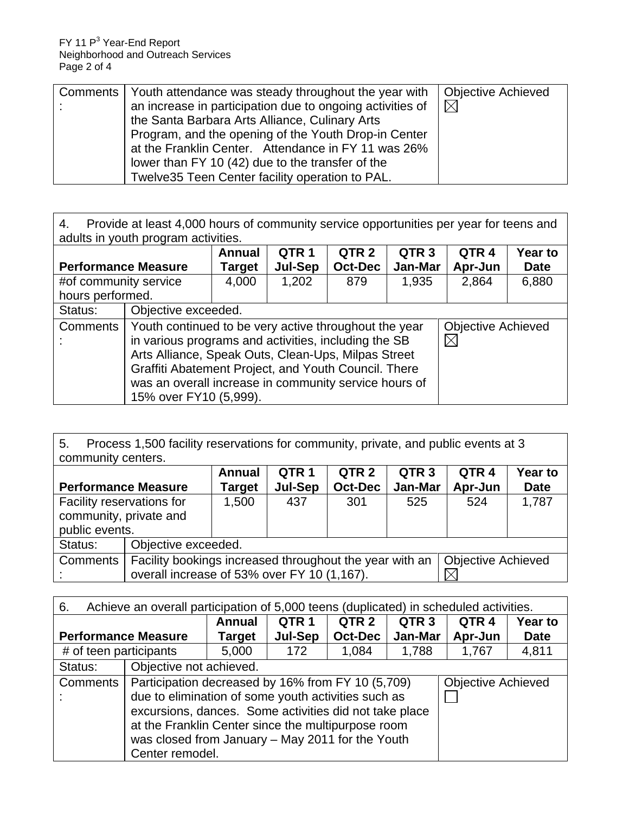| Comments   Youth attendance was steady throughout the year with | <b>Objective Achieved</b> |
|-----------------------------------------------------------------|---------------------------|
| an increase in participation due to ongoing activities of       | $\boxtimes$               |
| the Santa Barbara Arts Alliance, Culinary Arts                  |                           |
| Program, and the opening of the Youth Drop-in Center            |                           |
| at the Franklin Center. Attendance in FY 11 was 26%             |                           |
| lower than FY 10 (42) due to the transfer of the                |                           |
| Twelve35 Teen Center facility operation to PAL.                 |                           |

4. Provide at least 4,000 hours of community service opportunities per year for teens and adults in youth program activities.

| <b>Performance Measure</b> |                                                                                                                                                                                                                                                                                                                 | <b>Annual</b><br>Target | QTR <sub>1</sub><br><b>Jul-Sep</b> | QTR <sub>2</sub><br><b>Oct-Dec</b> | QTR <sub>3</sub><br>Jan-Mar | QTR <sub>4</sub><br>Apr-Jun              | <b>Year to</b><br><b>Date</b> |
|----------------------------|-----------------------------------------------------------------------------------------------------------------------------------------------------------------------------------------------------------------------------------------------------------------------------------------------------------------|-------------------------|------------------------------------|------------------------------------|-----------------------------|------------------------------------------|-------------------------------|
| #of community service      |                                                                                                                                                                                                                                                                                                                 | 4,000                   | 1,202                              | 879                                | 1,935                       | 2,864                                    | 6,880                         |
| hours performed.           |                                                                                                                                                                                                                                                                                                                 |                         |                                    |                                    |                             |                                          |                               |
| Status:                    | Objective exceeded.                                                                                                                                                                                                                                                                                             |                         |                                    |                                    |                             |                                          |                               |
| Comments                   | Youth continued to be very active throughout the year<br>in various programs and activities, including the SB<br>Arts Alliance, Speak Outs, Clean-Ups, Milpas Street<br>Graffiti Abatement Project, and Youth Council. There<br>was an overall increase in community service hours of<br>15% over FY10 (5,999). |                         |                                    |                                    |                             | <b>Objective Achieved</b><br>$\boxtimes$ |                               |

5. Process 1,500 facility reservations for community, private, and public events at 3 community centers.

| <b>Performance Measure</b>                          |                                                                                      | <b>Annual</b><br>Target | QTR <sub>1</sub><br><b>Jul-Sep</b> | QTR <sub>2</sub><br><b>Oct-Dec</b> | QTR <sub>3</sub><br>Jan-Mar | QTR <sub>4</sub><br>Apr-Jun | <b>Year to</b><br><b>Date</b> |
|-----------------------------------------------------|--------------------------------------------------------------------------------------|-------------------------|------------------------------------|------------------------------------|-----------------------------|-----------------------------|-------------------------------|
| Facility reservations for<br>community, private and |                                                                                      | 1,500                   | 437                                | 301                                | 525                         | 524                         | 1,787                         |
| public events.                                      |                                                                                      |                         |                                    |                                    |                             |                             |                               |
| Status:                                             | Objective exceeded.                                                                  |                         |                                    |                                    |                             |                             |                               |
| Comments                                            | Facility bookings increased throughout the year with an<br><b>Objective Achieved</b> |                         |                                    |                                    |                             |                             |                               |
|                                                     | overall increase of 53% over FY 10 (1,167).                                          |                         |                                    |                                    |                             |                             |                               |

| 6.                         | Achieve an overall participation of 5,000 teens (duplicated) in scheduled activities.                                                                                                                                                                                                           |               |                  |                  |                  |                           |             |
|----------------------------|-------------------------------------------------------------------------------------------------------------------------------------------------------------------------------------------------------------------------------------------------------------------------------------------------|---------------|------------------|------------------|------------------|---------------------------|-------------|
|                            |                                                                                                                                                                                                                                                                                                 | <b>Annual</b> | QTR <sub>1</sub> | QTR <sub>2</sub> | QTR <sub>3</sub> | QTR <sub>4</sub>          | Year to     |
| <b>Performance Measure</b> |                                                                                                                                                                                                                                                                                                 | Target        | <b>Jul-Sep</b>   | <b>Oct-Dec</b>   | Jan-Mar          | Apr-Jun                   | <b>Date</b> |
| # of teen participants     |                                                                                                                                                                                                                                                                                                 | 5,000         | 172              | 1,084            | 1,788            | 1,767                     | 4,811       |
| Status:                    | Objective not achieved.                                                                                                                                                                                                                                                                         |               |                  |                  |                  |                           |             |
| Comments                   | Participation decreased by 16% from FY 10 (5,709)<br>due to elimination of some youth activities such as<br>excursions, dances. Some activities did not take place<br>at the Franklin Center since the multipurpose room<br>was closed from January - May 2011 for the Youth<br>Center remodel. |               |                  |                  |                  | <b>Objective Achieved</b> |             |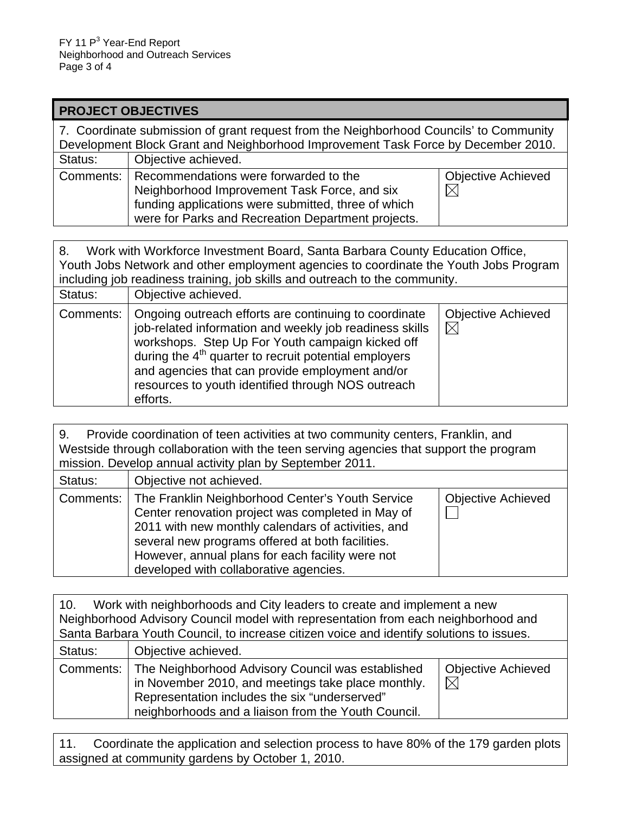| <b>PROJECT OBJECTIVES</b>                                                                                                                                                   |                                                                                                                                                                                                                |                                          |  |  |  |  |  |  |
|-----------------------------------------------------------------------------------------------------------------------------------------------------------------------------|----------------------------------------------------------------------------------------------------------------------------------------------------------------------------------------------------------------|------------------------------------------|--|--|--|--|--|--|
| 7. Coordinate submission of grant request from the Neighborhood Councils' to Community<br>Development Block Grant and Neighborhood Improvement Task Force by December 2010. |                                                                                                                                                                                                                |                                          |  |  |  |  |  |  |
| Status:                                                                                                                                                                     | Objective achieved.                                                                                                                                                                                            |                                          |  |  |  |  |  |  |
|                                                                                                                                                                             | Comments:   Recommendations were forwarded to the<br>Neighborhood Improvement Task Force, and six<br>funding applications were submitted, three of which<br>were for Parks and Recreation Department projects. | <b>Objective Achieved</b><br>$\boxtimes$ |  |  |  |  |  |  |

8. Work with Workforce Investment Board, Santa Barbara County Education Office, Youth Jobs Network and other employment agencies to coordinate the Youth Jobs Program including job readiness training, job skills and outreach to the community. Status: | Objective achieved. Comments: | Ongoing outreach efforts are continuing to coordinate Objective Achieved job-related information and weekly job readiness skills  $\boxtimes$ workshops. Step Up For Youth campaign kicked off during the  $4<sup>th</sup>$  quarter to recruit potential employers and agencies that can provide employment and/or resources to youth identified through NOS outreach efforts.

9. Provide coordination of teen activities at two community centers, Franklin, and Westside through collaboration with the teen serving agencies that support the program mission. Develop annual activity plan by September 2011. Status: | Objective not achieved. Comments: The Franklin Neighborhood Center's Youth Service Center renovation project was completed in May of 2011 with new monthly calendars of activities, and several new programs offered at both facilities. However, annual plans for each facility were not developed with collaborative agencies. Objective Achieved

| Work with neighborhoods and City leaders to create and implement a new<br>10.<br>Neighborhood Advisory Council model with representation from each neighborhood and<br>Santa Barbara Youth Council, to increase citizen voice and identify solutions to issues. |                                                                                                                                                                                                                 |                                |  |  |  |  |  |
|-----------------------------------------------------------------------------------------------------------------------------------------------------------------------------------------------------------------------------------------------------------------|-----------------------------------------------------------------------------------------------------------------------------------------------------------------------------------------------------------------|--------------------------------|--|--|--|--|--|
| Status:                                                                                                                                                                                                                                                         | Objective achieved.                                                                                                                                                                                             |                                |  |  |  |  |  |
| Comments:                                                                                                                                                                                                                                                       | The Neighborhood Advisory Council was established<br>in November 2010, and meetings take place monthly.<br>Representation includes the six "underserved"<br>neighborhoods and a liaison from the Youth Council. | <b>Objective Achieved</b><br>⊠ |  |  |  |  |  |

11. Coordinate the application and selection process to have 80% of the 179 garden plots assigned at community gardens by October 1, 2010.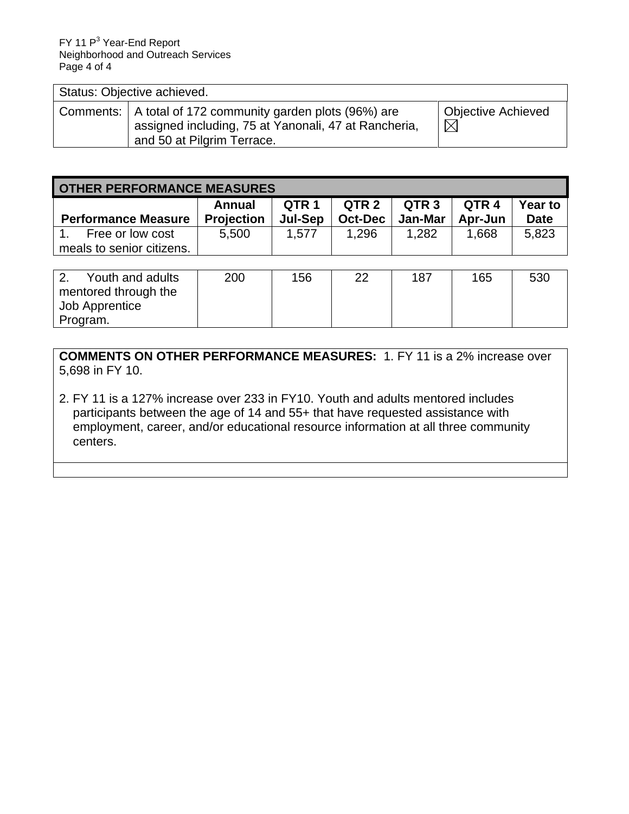Status: Objective achieved. Comments:  $\vert$  A total of 172 community garden plots (96%) are assigned including, 75 at Yanonali, 47 at Rancheria, and 50 at Pilgrim Terrace. Objective Achieved<br>⊠

| <b>OTHER PERFORMANCE MEASURES</b>                                                                                                                                                 |       |       |       |       |       |                               |  |  |
|-----------------------------------------------------------------------------------------------------------------------------------------------------------------------------------|-------|-------|-------|-------|-------|-------------------------------|--|--|
| QTR 2<br>QTR <sub>3</sub><br>QTR <sub>1</sub><br>QTR <sub>4</sub><br>Annual<br><b>Projection</b><br>Jan-Mar<br><b>Performance Measure</b><br>Jul-Sep<br><b>Oct-Dec</b><br>Apr-Jun |       |       |       |       |       | <b>Year to</b><br><b>Date</b> |  |  |
| Free or low cost<br>meals to senior citizens.                                                                                                                                     | 5,500 | 1.577 | 1.296 | 1.282 | 1.668 | 5,823                         |  |  |

| Youth and adults      | 200 | 156 | 22 | 187 | 165 | 530 |
|-----------------------|-----|-----|----|-----|-----|-----|
| mentored through the  |     |     |    |     |     |     |
| <b>Job Apprentice</b> |     |     |    |     |     |     |
| Program.              |     |     |    |     |     |     |

**COMMENTS ON OTHER PERFORMANCE MEASURES:** 1. FY 11 is a 2% increase over 5,698 in FY 10.

2. FY 11 is a 127% increase over 233 in FY10. Youth and adults mentored includes participants between the age of 14 and 55+ that have requested assistance with employment, career, and/or educational resource information at all three community centers.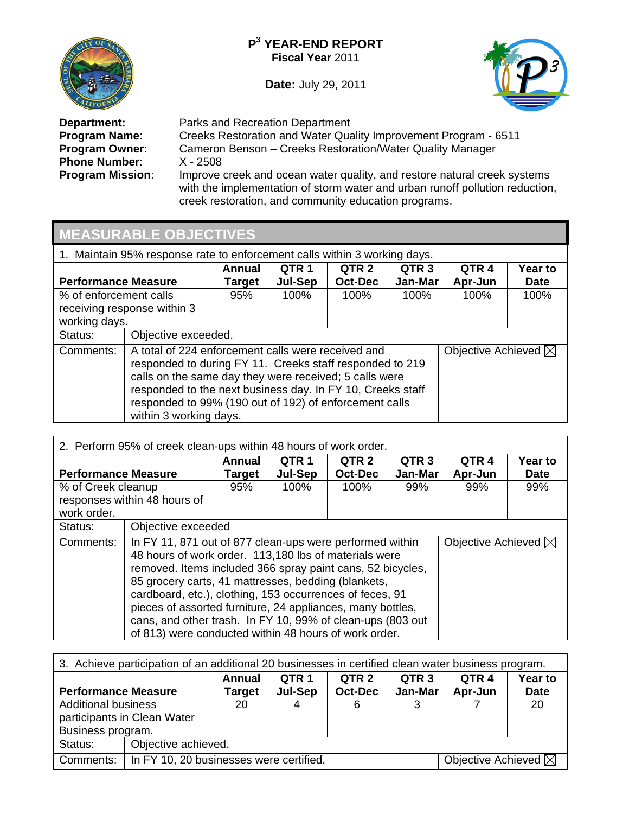

**Date:** July 29, 2011



**Phone Number:<br>Program Mission:** 

**Department:** Parks and Recreation Department<br>**Program Name:** Creeks Restoration and Water Qua **Program Name:** Creeks Restoration and Water Quality Improvement Program - 6511<br>**Program Owner:** Cameron Benson – Creeks Restoration/Water Quality Manager Cameron Benson – Creeks Restoration/Water Quality Manager<br>X - 2508 Improve creek and ocean water quality, and restore natural creek systems with the implementation of storm water and urban runoff pollution reduction, creek restoration, and community education programs.

## **MEASURABLE OBJECTIVES**

| 1. Maintain 95% response rate to enforcement calls within 3 working days. |                        |                                                                                                                                                                                                                                                                                                                                    |                  |                  |                  |                  |             |  |  |
|---------------------------------------------------------------------------|------------------------|------------------------------------------------------------------------------------------------------------------------------------------------------------------------------------------------------------------------------------------------------------------------------------------------------------------------------------|------------------|------------------|------------------|------------------|-------------|--|--|
|                                                                           |                        | Annual                                                                                                                                                                                                                                                                                                                             | QTR <sub>1</sub> | QTR <sub>2</sub> | QTR <sub>3</sub> | QTR <sub>4</sub> | Year to     |  |  |
| <b>Performance Measure</b>                                                |                        | Target                                                                                                                                                                                                                                                                                                                             | <b>Jul-Sep</b>   | Oct-Dec          | Jan-Mar          | Apr-Jun          | <b>Date</b> |  |  |
| % of enforcement calls                                                    |                        | 95%                                                                                                                                                                                                                                                                                                                                | 100%             | 100%             | 100%             | 100%             | 100%        |  |  |
| receiving response within 3                                               |                        |                                                                                                                                                                                                                                                                                                                                    |                  |                  |                  |                  |             |  |  |
| working days.                                                             |                        |                                                                                                                                                                                                                                                                                                                                    |                  |                  |                  |                  |             |  |  |
| Status:                                                                   | Objective exceeded.    |                                                                                                                                                                                                                                                                                                                                    |                  |                  |                  |                  |             |  |  |
| Comments:                                                                 | within 3 working days. | A total of 224 enforcement calls were received and<br>Objective Achieved $\boxtimes$<br>responded to during FY 11. Creeks staff responded to 219<br>calls on the same day they were received; 5 calls were<br>responded to the next business day. In FY 10, Creeks staff<br>responded to 99% (190 out of 192) of enforcement calls |                  |                  |                  |                  |             |  |  |

| 2. Perform 95% of creek clean-ups within 48 hours of work order. |                                                                                                                                                                                                                                                                                                                                                                                                                                                                                         |               |                  |                  |                  |                                |                |  |  |
|------------------------------------------------------------------|-----------------------------------------------------------------------------------------------------------------------------------------------------------------------------------------------------------------------------------------------------------------------------------------------------------------------------------------------------------------------------------------------------------------------------------------------------------------------------------------|---------------|------------------|------------------|------------------|--------------------------------|----------------|--|--|
|                                                                  |                                                                                                                                                                                                                                                                                                                                                                                                                                                                                         | <b>Annual</b> | QTR <sub>1</sub> | QTR <sub>2</sub> | QTR <sub>3</sub> | QTR <sub>4</sub>               | <b>Year to</b> |  |  |
| <b>Performance Measure</b>                                       |                                                                                                                                                                                                                                                                                                                                                                                                                                                                                         | <b>Target</b> | Jul-Sep          | <b>Oct-Dec</b>   | Jan-Mar          | Apr-Jun                        | <b>Date</b>    |  |  |
| % of Creek cleanup                                               |                                                                                                                                                                                                                                                                                                                                                                                                                                                                                         | 95%           | 100%             | 100%             | 99%              | 99%                            | 99%            |  |  |
| responses within 48 hours of                                     |                                                                                                                                                                                                                                                                                                                                                                                                                                                                                         |               |                  |                  |                  |                                |                |  |  |
| work order.                                                      |                                                                                                                                                                                                                                                                                                                                                                                                                                                                                         |               |                  |                  |                  |                                |                |  |  |
| Status:                                                          | Objective exceeded                                                                                                                                                                                                                                                                                                                                                                                                                                                                      |               |                  |                  |                  |                                |                |  |  |
| Comments:                                                        | In FY 11, 871 out of 877 clean-ups were performed within<br>48 hours of work order. 113,180 lbs of materials were<br>removed. Items included 366 spray paint cans, 52 bicycles,<br>85 grocery carts, 41 mattresses, bedding (blankets,<br>cardboard, etc.), clothing, 153 occurrences of feces, 91<br>pieces of assorted furniture, 24 appliances, many bottles,<br>cans, and other trash. In FY 10, 99% of clean-ups (803 out<br>of 813) were conducted within 48 hours of work order. |               |                  |                  |                  | Objective Achieved $\boxtimes$ |                |  |  |

| 3. Achieve participation of an additional 20 businesses in certified clean water business program. |                             |                                                                           |         |                  |                  |                  |             |  |  |
|----------------------------------------------------------------------------------------------------|-----------------------------|---------------------------------------------------------------------------|---------|------------------|------------------|------------------|-------------|--|--|
|                                                                                                    |                             | Annual                                                                    | QTR 1   | QTR <sub>2</sub> | QTR <sub>3</sub> | QTR <sub>4</sub> | Year to     |  |  |
| <b>Performance Measure</b>                                                                         |                             | <b>Target</b>                                                             | Jul-Sep | <b>Oct-Dec</b>   | Jan-Mar          | Apr-Jun          | <b>Date</b> |  |  |
| <b>Additional business</b>                                                                         |                             | 20                                                                        |         | 6                | 3                |                  | -20         |  |  |
|                                                                                                    | participants in Clean Water |                                                                           |         |                  |                  |                  |             |  |  |
| Business program.                                                                                  |                             |                                                                           |         |                  |                  |                  |             |  |  |
| Status:                                                                                            |                             | Objective achieved.                                                       |         |                  |                  |                  |             |  |  |
| Comments:                                                                                          |                             | Objective Achieved $\boxtimes$<br>In FY 10, 20 businesses were certified. |         |                  |                  |                  |             |  |  |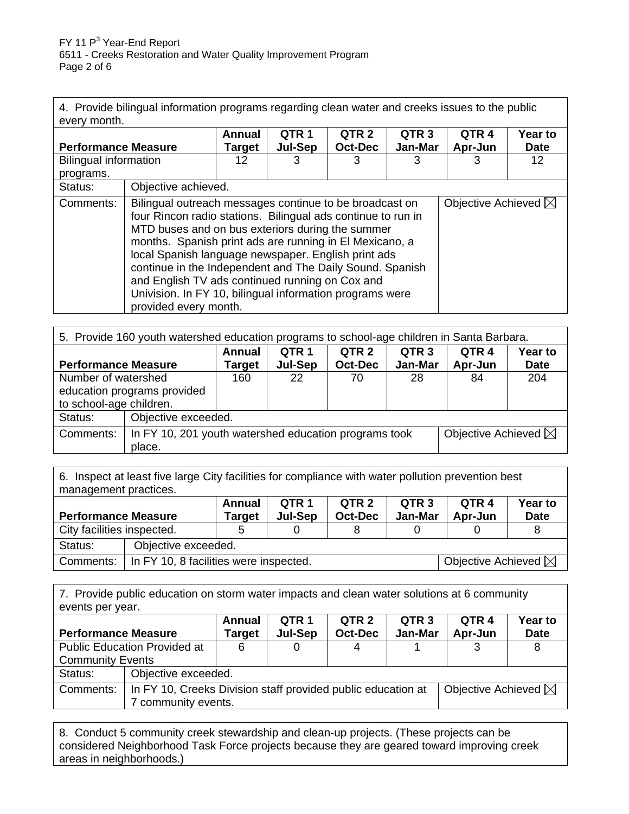4. Provide bilingual information programs regarding clean water and creeks issues to the public every month.

| <b>UVULY ILIULIUL.</b>                    |                                                                                                                                                                                                                                                                                                                                                                                                                                                                                                   |                         |                  |                                    |                             |                                |                        |  |  |
|-------------------------------------------|---------------------------------------------------------------------------------------------------------------------------------------------------------------------------------------------------------------------------------------------------------------------------------------------------------------------------------------------------------------------------------------------------------------------------------------------------------------------------------------------------|-------------------------|------------------|------------------------------------|-----------------------------|--------------------------------|------------------------|--|--|
| <b>Performance Measure</b>                |                                                                                                                                                                                                                                                                                                                                                                                                                                                                                                   | <b>Annual</b><br>Target | QTR 1<br>Jul-Sep | QTR <sub>2</sub><br><b>Oct-Dec</b> | QTR <sub>3</sub><br>Jan-Mar | QTR <sub>4</sub><br>Apr-Jun    | Year to<br><b>Date</b> |  |  |
| <b>Bilingual information</b><br>programs. |                                                                                                                                                                                                                                                                                                                                                                                                                                                                                                   | 12                      | 3                | 3                                  | 3                           | з                              | 12                     |  |  |
| Status:                                   | Objective achieved.                                                                                                                                                                                                                                                                                                                                                                                                                                                                               |                         |                  |                                    |                             |                                |                        |  |  |
| Comments:                                 | Bilingual outreach messages continue to be broadcast on<br>four Rincon radio stations. Bilingual ads continue to run in<br>MTD buses and on bus exteriors during the summer<br>months. Spanish print ads are running in El Mexicano, a<br>local Spanish language newspaper. English print ads<br>continue in the Independent and The Daily Sound. Spanish<br>and English TV ads continued running on Cox and<br>Univision. In FY 10, bilingual information programs were<br>provided every month. |                         |                  |                                    |                             | Objective Achieved $\boxtimes$ |                        |  |  |

| 5. Provide 160 youth watershed education programs to school-age children in Santa Barbara. |                                                                                                   |                         |                             |                                    |                             |                             |                        |  |
|--------------------------------------------------------------------------------------------|---------------------------------------------------------------------------------------------------|-------------------------|-----------------------------|------------------------------------|-----------------------------|-----------------------------|------------------------|--|
| <b>Performance Measure</b>                                                                 |                                                                                                   | <b>Annual</b><br>Target | QTR <sub>1</sub><br>Jul-Sep | QTR <sub>2</sub><br><b>Oct-Dec</b> | QTR <sub>3</sub><br>Jan-Mar | QTR <sub>4</sub><br>Apr-Jun | Year to<br><b>Date</b> |  |
| Number of watershed<br>to school-age children.                                             | education programs provided                                                                       | 160                     | 22                          | 70                                 | 28                          | 84                          | 204                    |  |
| Status:                                                                                    | Objective exceeded.                                                                               |                         |                             |                                    |                             |                             |                        |  |
| Comments:                                                                                  | Objective Achieved $\boxtimes$<br>In FY 10, 201 youth watershed education programs took<br>place. |                         |                             |                                    |                             |                             |                        |  |

6. Inspect at least five large City facilities for compliance with water pollution prevention best management practices.

| $\overline{\phantom{a}}$<br><b>Performance Measure</b> |                                                                          | Annual<br>Target | QTR 1<br>Jul-Sep | QTR <sub>2</sub><br>Oct-Dec | QTR <sub>3</sub><br>Jan-Mar | QTR <sub>4</sub><br>Apr-Jun | Year to<br><b>Date</b> |  |
|--------------------------------------------------------|--------------------------------------------------------------------------|------------------|------------------|-----------------------------|-----------------------------|-----------------------------|------------------------|--|
| City facilities inspected.                             |                                                                          |                  |                  |                             |                             |                             |                        |  |
| Status:                                                | Objective exceeded.                                                      |                  |                  |                             |                             |                             |                        |  |
| Comments:                                              | Objective Achieved $\boxtimes$<br>In FY 10, 8 facilities were inspected. |                  |                  |                             |                             |                             |                        |  |

7. Provide public education on storm water impacts and clean water solutions at 6 community events per year.

|                            |                                                                                                | Annual        | QTR 1   | QTR 2   | QTR <sub>3</sub> | QTR <sub>4</sub> | Year to     |  |
|----------------------------|------------------------------------------------------------------------------------------------|---------------|---------|---------|------------------|------------------|-------------|--|
| <b>Performance Measure</b> |                                                                                                | <b>Target</b> | Jul-Sep | Oct-Dec | Jan-Mar          | Apr-Jun          | <b>Date</b> |  |
|                            | <b>Public Education Provided at</b>                                                            |               |         | 4       |                  |                  | 8           |  |
| <b>Community Events</b>    |                                                                                                |               |         |         |                  |                  |             |  |
| Status:                    | Objective exceeded.                                                                            |               |         |         |                  |                  |             |  |
| Comments:                  | Objective Achieved $\boxtimes$<br>In FY 10, Creeks Division staff provided public education at |               |         |         |                  |                  |             |  |
|                            | community events.                                                                              |               |         |         |                  |                  |             |  |

8. Conduct 5 community creek stewardship and clean-up projects. (These projects can be considered Neighborhood Task Force projects because they are geared toward improving creek areas in neighborhoods.)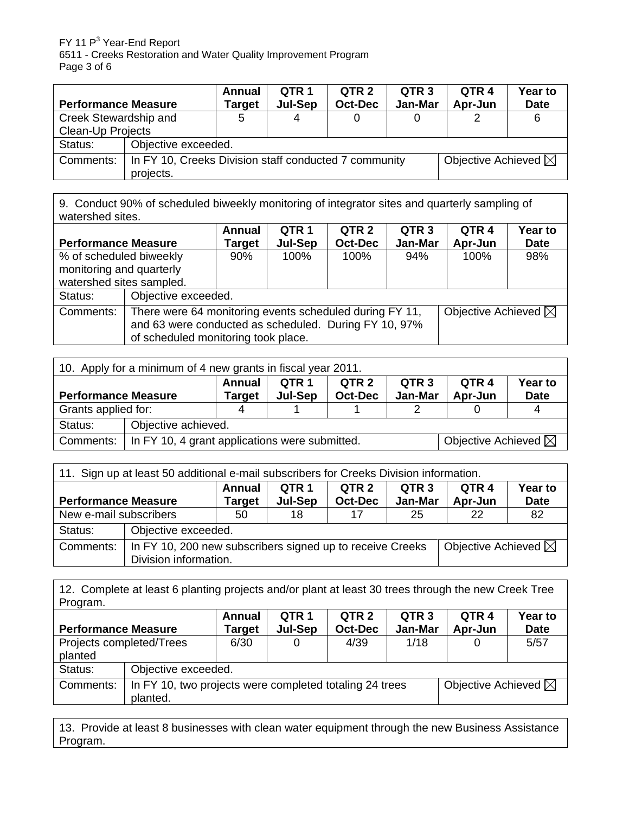$FY$  11  $P<sup>3</sup>$  Year-End Report 6511 - Creeks Restoration and Water Quality Improvement Program Page 3 of 6

| <b>Performance Measure</b> |                                                                                                                  | Annual<br>Tarqet | QTR 1<br>Jul-Sep | QTR <sub>2</sub><br><b>Oct-Dec</b> | QTR <sub>3</sub><br>Jan-Mar | QTR <sub>4</sub><br>Apr-Jun | <b>Year to</b><br><b>Date</b> |  |
|----------------------------|------------------------------------------------------------------------------------------------------------------|------------------|------------------|------------------------------------|-----------------------------|-----------------------------|-------------------------------|--|
| Creek Stewardship and      |                                                                                                                  | 5                |                  |                                    |                             |                             | 6                             |  |
| <b>Clean-Up Projects</b>   |                                                                                                                  |                  |                  |                                    |                             |                             |                               |  |
| Status:                    | Objective exceeded.                                                                                              |                  |                  |                                    |                             |                             |                               |  |
|                            | Objective Achieved $\boxtimes$<br>Comments:   In FY 10, Creeks Division staff conducted 7 community<br>projects. |                  |                  |                                    |                             |                             |                               |  |

9. Conduct 90% of scheduled biweekly monitoring of integrator sites and quarterly sampling of watershed sites.

|                            |                                                                                           | Annual              | QTR <sub>1</sub> | QTR <sub>2</sub> | QTR <sub>3</sub> | QTR <sub>4</sub> | Year to     |
|----------------------------|-------------------------------------------------------------------------------------------|---------------------|------------------|------------------|------------------|------------------|-------------|
| <b>Performance Measure</b> |                                                                                           | <b>Target</b>       | Jul-Sep          | <b>Oct-Dec</b>   | Jan-Mar          | Apr-Jun          | <b>Date</b> |
| % of scheduled biweekly    |                                                                                           | $90\%$              | 100%             | 100%             | $94\%$           | 100%             | 98%         |
| monitoring and quarterly   |                                                                                           |                     |                  |                  |                  |                  |             |
| watershed sites sampled.   |                                                                                           |                     |                  |                  |                  |                  |             |
| Status:                    |                                                                                           | Objective exceeded. |                  |                  |                  |                  |             |
| Comments:                  | Objective Achieved $\boxtimes$<br>There were 64 monitoring events scheduled during FY 11, |                     |                  |                  |                  |                  |             |
|                            | and 63 were conducted as scheduled. During FY 10, 97%                                     |                     |                  |                  |                  |                  |             |
|                            | of scheduled monitoring took place.                                                       |                     |                  |                  |                  |                  |             |

| 10. Apply for a minimum of 4 new grants in fiscal year 2011. |                                                                                  |        |       |                  |                  |                  |                |
|--------------------------------------------------------------|----------------------------------------------------------------------------------|--------|-------|------------------|------------------|------------------|----------------|
|                                                              |                                                                                  | Annual | QTR 1 | QTR <sub>2</sub> | QTR <sub>3</sub> | QTR <sub>4</sub> | <b>Year to</b> |
| <b>Performance Measure</b><br>Jul-Sep<br><b>Target</b>       |                                                                                  |        |       | <b>Oct-Dec</b>   | Jan-Mar          | Apr-Jun          | <b>Date</b>    |
| Grants applied for:                                          |                                                                                  |        |       |                  |                  |                  |                |
| Status:                                                      | Objective achieved.                                                              |        |       |                  |                  |                  |                |
| Comments:                                                    | Objective Achieved $\boxtimes$<br>In FY 10, 4 grant applications were submitted. |        |       |                  |                  |                  |                |

| 11. Sign up at least 50 additional e-mail subscribers for Creeks Division information. |                                                                                                                      |                  |                  |                         |                             |                             |                        |
|----------------------------------------------------------------------------------------|----------------------------------------------------------------------------------------------------------------------|------------------|------------------|-------------------------|-----------------------------|-----------------------------|------------------------|
| <b>Performance Measure</b>                                                             |                                                                                                                      | Annual<br>Target | QTR 1<br>Jul-Sep | QTR 2<br><b>Oct-Dec</b> | QTR <sub>3</sub><br>Jan-Mar | QTR <sub>4</sub><br>Apr-Jun | Year to<br><b>Date</b> |
| New e-mail subscribers                                                                 |                                                                                                                      | 50               | 18               | 17                      | 25                          | 22                          | 82                     |
| Status:                                                                                | Objective exceeded.                                                                                                  |                  |                  |                         |                             |                             |                        |
| Comments:                                                                              | Objective Achieved $\boxtimes$<br>In FY 10, 200 new subscribers signed up to receive Creeks<br>Division information. |                  |                  |                         |                             |                             |                        |

12. Complete at least 6 planting projects and/or plant at least 30 trees through the new Creek Tree Program.

|                            |          | Annual                                                  | QTR <sub>1</sub> | QTR <sub>2</sub> | QTR <sub>3</sub> | QTR <sub>4</sub> | <b>Year to</b>                 |
|----------------------------|----------|---------------------------------------------------------|------------------|------------------|------------------|------------------|--------------------------------|
| <b>Performance Measure</b> |          | Target                                                  | Jul-Sep          | Oct-Dec          | Jan-Mar          | Apr-Jun          | <b>Date</b>                    |
| Projects completed/Trees   |          | 6/30                                                    | 0                | 4/39             | 1/18             |                  | 5/57                           |
| planted                    |          |                                                         |                  |                  |                  |                  |                                |
| Status:                    |          | Objective exceeded.                                     |                  |                  |                  |                  |                                |
| Comments:                  | planted. | In FY 10, two projects were completed totaling 24 trees |                  |                  |                  |                  | Objective Achieved $\boxtimes$ |

13. Provide at least 8 businesses with clean water equipment through the new Business Assistance Program.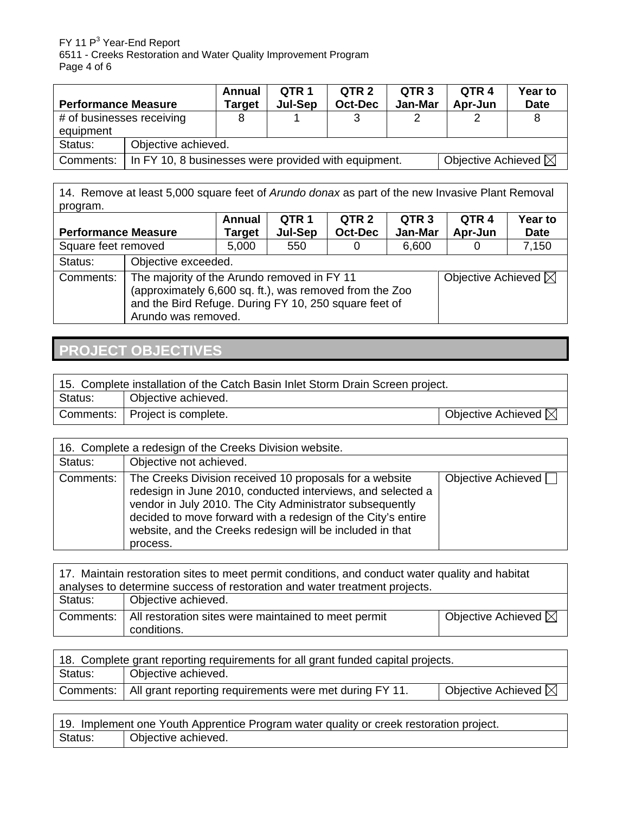FY 11 P<sup>3</sup> Year-End Report 6511 - Creeks Restoration and Water Quality Improvement Program Page 4 of 6

| <b>Performance Measure</b>             |                                                                                        | Annual<br><b>Target</b> | QTR 1<br>Jul-Sep | QTR <sub>2</sub><br><b>Oct-Dec</b> | QTR <sub>3</sub><br>Jan-Mar | QTR <sub>4</sub><br>Apr-Jun | <b>Year to</b><br><b>Date</b> |
|----------------------------------------|----------------------------------------------------------------------------------------|-------------------------|------------------|------------------------------------|-----------------------------|-----------------------------|-------------------------------|
| # of businesses receiving<br>equipment |                                                                                        |                         |                  |                                    |                             |                             |                               |
| Status:                                | Objective achieved.                                                                    |                         |                  |                                    |                             |                             |                               |
| Comments:                              | Objective Achieved $\boxtimes$<br>In FY 10, 8 businesses were provided with equipment. |                         |                  |                                    |                             |                             |                               |

14. Remove at least 5,000 square feet of *Arundo donax* as part of the new Invasive Plant Removal program.

|                            |                     | Annual                                                                                                                                                                                                                   | QTR <sub>1</sub> | QTR <sub>2</sub> | QTR <sub>3</sub> | QTR 4   | Year to     |
|----------------------------|---------------------|--------------------------------------------------------------------------------------------------------------------------------------------------------------------------------------------------------------------------|------------------|------------------|------------------|---------|-------------|
| <b>Performance Measure</b> |                     | <b>Target</b>                                                                                                                                                                                                            | Jul-Sep          | <b>Oct-Dec</b>   | Jan-Mar          | Apr-Jun | <b>Date</b> |
| Square feet removed        |                     | 5,000                                                                                                                                                                                                                    | 550              | O                | 6,600            |         | 7,150       |
| Status:                    | Objective exceeded. |                                                                                                                                                                                                                          |                  |                  |                  |         |             |
| Comments:                  |                     | Objective Achieved $\boxtimes$<br>The majority of the Arundo removed in FY 11<br>(approximately 6,600 sq. ft.), was removed from the Zoo<br>and the Bird Refuge. During FY 10, 250 square feet of<br>Arundo was removed. |                  |                  |                  |         |             |

# **PROJECT OBJECTIVES**

| 15. Complete installation of the Catch Basin Inlet Storm Drain Screen project. |                                  |                                |  |  |  |
|--------------------------------------------------------------------------------|----------------------------------|--------------------------------|--|--|--|
| Status:                                                                        | Objective achieved.              |                                |  |  |  |
|                                                                                | Comments:   Project is complete. | Objective Achieved $\boxtimes$ |  |  |  |

| 16. Complete a redesign of the Creeks Division website. |                                                                                                                                                                                                                                                                                                                             |                    |  |  |  |  |
|---------------------------------------------------------|-----------------------------------------------------------------------------------------------------------------------------------------------------------------------------------------------------------------------------------------------------------------------------------------------------------------------------|--------------------|--|--|--|--|
| Status:                                                 | Objective not achieved.                                                                                                                                                                                                                                                                                                     |                    |  |  |  |  |
| Comments:                                               | The Creeks Division received 10 proposals for a website<br>redesign in June 2010, conducted interviews, and selected a<br>vendor in July 2010. The City Administrator subsequently<br>decided to move forward with a redesign of the City's entire<br>website, and the Creeks redesign will be included in that<br>process. | Objective Achieved |  |  |  |  |

| 17. Maintain restoration sites to meet permit conditions, and conduct water quality and habitat<br>analyses to determine success of restoration and water treatment projects. |                                                                                 |                                  |  |  |  |
|-------------------------------------------------------------------------------------------------------------------------------------------------------------------------------|---------------------------------------------------------------------------------|----------------------------------|--|--|--|
| Status:                                                                                                                                                                       | Objective achieved.                                                             |                                  |  |  |  |
|                                                                                                                                                                               | Comments:   All restoration sites were maintained to meet permit<br>conditions. | l Objective Achieved $\boxtimes$ |  |  |  |

| 18. Complete grant reporting requirements for all grant funded capital projects. |                                                                     |                                |  |  |  |
|----------------------------------------------------------------------------------|---------------------------------------------------------------------|--------------------------------|--|--|--|
| Status:                                                                          | Objective achieved.                                                 |                                |  |  |  |
|                                                                                  | Comments:   All grant reporting requirements were met during FY 11. | Objective Achieved $\boxtimes$ |  |  |  |

|         | 19. Implement one Youth Apprentice Program water quality or creek restoration project. |
|---------|----------------------------------------------------------------------------------------|
| Status: | Objective achieved.                                                                    |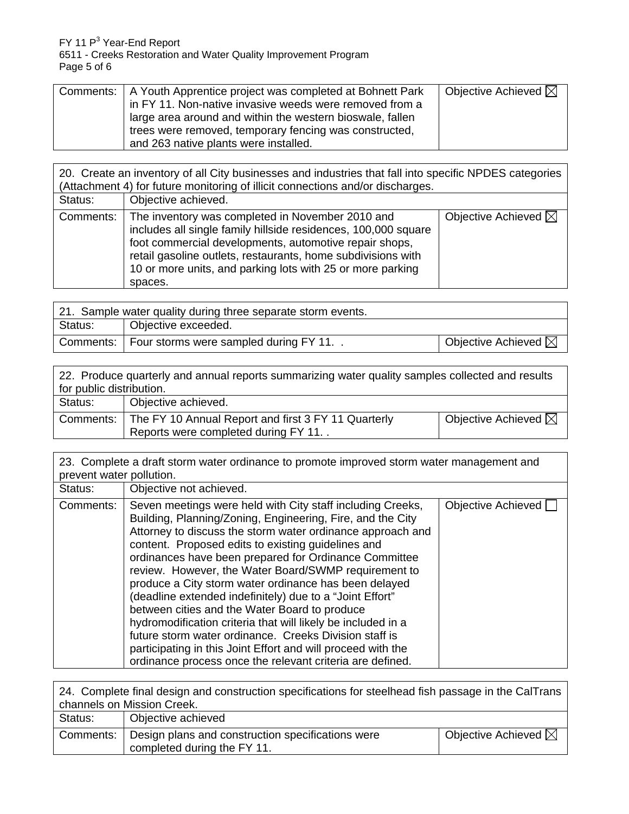$FY$  11  $P<sup>3</sup>$  Year-End Report 6511 - Creeks Restoration and Water Quality Improvement Program Page 5 of 6

| Comments:   A Youth Apprentice project was completed at Bohnett Park | Objective Achieved $\boxtimes$ |
|----------------------------------------------------------------------|--------------------------------|
| in FY 11. Non-native invasive weeds were removed from a              |                                |
| large area around and within the western bioswale, fallen            |                                |
| trees were removed, temporary fencing was constructed,               |                                |
| and 263 native plants were installed.                                |                                |

| 20. Create an inventory of all City businesses and industries that fall into specific NPDES categories<br>(Attachment 4) for future monitoring of illicit connections and/or discharges. |                                                                                                                                                                                                                                                                                                                       |                                |  |  |  |  |  |
|------------------------------------------------------------------------------------------------------------------------------------------------------------------------------------------|-----------------------------------------------------------------------------------------------------------------------------------------------------------------------------------------------------------------------------------------------------------------------------------------------------------------------|--------------------------------|--|--|--|--|--|
| Status:                                                                                                                                                                                  | Objective achieved.                                                                                                                                                                                                                                                                                                   |                                |  |  |  |  |  |
| Comments:                                                                                                                                                                                | The inventory was completed in November 2010 and<br>includes all single family hillside residences, 100,000 square<br>foot commercial developments, automotive repair shops,<br>retail gasoline outlets, restaurants, home subdivisions with<br>10 or more units, and parking lots with 25 or more parking<br>spaces. | Objective Achieved $\boxtimes$ |  |  |  |  |  |

| 21. Sample water quality during three separate storm events. |                                                   |                                |  |  |  |  |  |
|--------------------------------------------------------------|---------------------------------------------------|--------------------------------|--|--|--|--|--|
| Status:                                                      | Objective exceeded.                               |                                |  |  |  |  |  |
|                                                              | Comments:   Four storms were sampled during FY 11 | Objective Achieved $\boxtimes$ |  |  |  |  |  |

| 22. Produce quarterly and annual reports summarizing water quality samples collected and results<br>for public distribution. |                                                                                            |                                |  |  |  |  |
|------------------------------------------------------------------------------------------------------------------------------|--------------------------------------------------------------------------------------------|--------------------------------|--|--|--|--|
| Status:                                                                                                                      | Objective achieved.                                                                        |                                |  |  |  |  |
| Comments:                                                                                                                    | The FY 10 Annual Report and first 3 FY 11 Quarterly<br>Reports were completed during FY 11 | Objective Achieved $\boxtimes$ |  |  |  |  |

| 23. Complete a draft storm water ordinance to promote improved storm water management and<br>prevent water pollution. |                                                                                                                                                                                                                                                                                                                                                                                                                                                                                                                                                                                                                                                                                                                                                                                            |                    |  |  |  |  |  |  |
|-----------------------------------------------------------------------------------------------------------------------|--------------------------------------------------------------------------------------------------------------------------------------------------------------------------------------------------------------------------------------------------------------------------------------------------------------------------------------------------------------------------------------------------------------------------------------------------------------------------------------------------------------------------------------------------------------------------------------------------------------------------------------------------------------------------------------------------------------------------------------------------------------------------------------------|--------------------|--|--|--|--|--|--|
| Status:                                                                                                               | Objective not achieved.                                                                                                                                                                                                                                                                                                                                                                                                                                                                                                                                                                                                                                                                                                                                                                    |                    |  |  |  |  |  |  |
| Comments:                                                                                                             | Seven meetings were held with City staff including Creeks,<br>Building, Planning/Zoning, Engineering, Fire, and the City<br>Attorney to discuss the storm water ordinance approach and<br>content. Proposed edits to existing guidelines and<br>ordinances have been prepared for Ordinance Committee<br>review. However, the Water Board/SWMP requirement to<br>produce a City storm water ordinance has been delayed<br>(deadline extended indefinitely) due to a "Joint Effort"<br>between cities and the Water Board to produce<br>hydromodification criteria that will likely be included in a<br>future storm water ordinance. Creeks Division staff is<br>participating in this Joint Effort and will proceed with the<br>ordinance process once the relevant criteria are defined. | Objective Achieved |  |  |  |  |  |  |

24. Complete final design and construction specifications for steelhead fish passage in the CalTrans channels on Mission Creek.<br>Status: **Objective achi** Objective achieved Comments: Design plans and construction specifications were completed during the FY 11. Objective Achieved  $\boxtimes$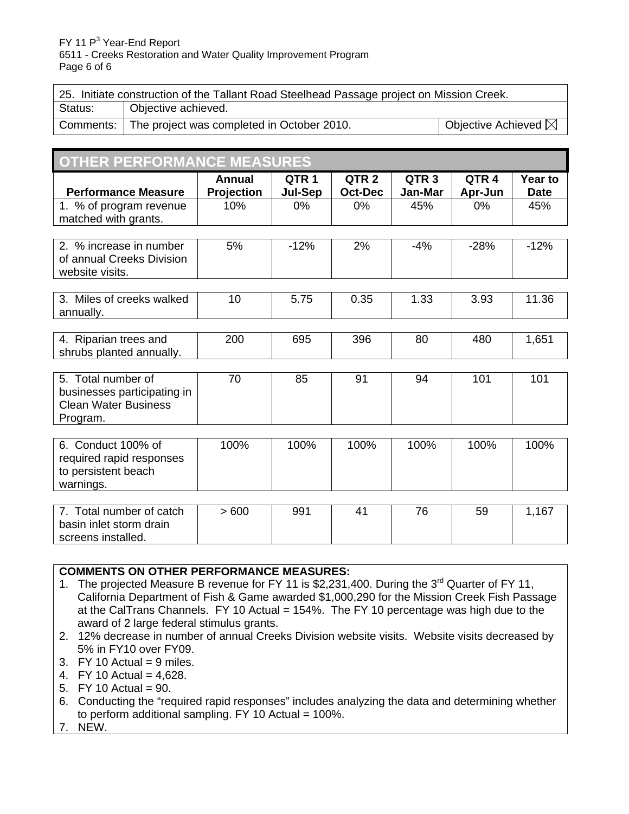| 25. Initiate construction of the Tallant Road Steelhead Passage project on Mission Creek. |                                                        |                                |  |  |  |  |  |
|-------------------------------------------------------------------------------------------|--------------------------------------------------------|--------------------------------|--|--|--|--|--|
| Status:                                                                                   | Objective achieved.                                    |                                |  |  |  |  |  |
|                                                                                           | Comments:   The project was completed in October 2010. | Objective Achieved $\boxtimes$ |  |  |  |  |  |

| <b>OTHER PERFORMANCE MEASURES</b>                                                            |                      |                             |                                    |                             |                             |                        |
|----------------------------------------------------------------------------------------------|----------------------|-----------------------------|------------------------------------|-----------------------------|-----------------------------|------------------------|
| <b>Performance Measure</b>                                                                   | Annual<br>Projection | QTR <sub>1</sub><br>Jul-Sep | QTR <sub>2</sub><br><b>Oct-Dec</b> | QTR <sub>3</sub><br>Jan-Mar | QTR <sub>4</sub><br>Apr-Jun | Year to<br><b>Date</b> |
| 1. % of program revenue<br>matched with grants.                                              | 10%                  | 0%                          | $0\%$                              | 45%                         | $0\%$                       | 45%                    |
| 2. % increase in number<br>of annual Creeks Division<br>website visits.                      | 5%                   | $-12%$                      | 2%                                 | $-4%$                       | $-28%$                      | $-12%$                 |
| 3. Miles of creeks walked<br>annually.                                                       | 10                   | 5.75                        | 0.35                               | 1.33                        | 3.93                        | 11.36                  |
| 4. Riparian trees and<br>shrubs planted annually.                                            | 200                  | 695                         | 396                                | 80                          | 480                         | 1,651                  |
| 5. Total number of<br>businesses participating in<br><b>Clean Water Business</b><br>Program. | 70                   | 85                          | 91                                 | 94                          | 101                         | 101                    |
| 6. Conduct 100% of<br>required rapid responses<br>to persistent beach<br>warnings.           | 100%                 | 100%                        | 100%                               | 100%                        | 100%                        | 100%                   |
| 7. Total number of catch<br>basin inlet storm drain                                          | >600                 | 991                         | 41                                 | 76                          | 59                          | 1,167                  |

#### **COMMENTS ON OTHER PERFORMANCE MEASURES:**

- 1. The projected Measure B revenue for FY 11 is \$2,231,400. During the 3<sup>rd</sup> Quarter of FY 11, California Department of Fish & Game awarded \$1,000,290 for the Mission Creek Fish Passage at the CalTrans Channels. FY 10 Actual =  $154\%$ . The FY 10 percentage was high due to the award of 2 large federal stimulus grants.
- 2. 12% decrease in number of annual Creeks Division website visits. Website visits decreased by 5% in FY10 over FY09.
- 3. FY 10 Actual =  $9$  miles.
- 4. FY 10 Actual =  $4,628$ .
- 5.  $FY$  10 Actual = 90.

screens installed.

- 6. Conducting the "required rapid responses" includes analyzing the data and determining whether to perform additional sampling.  $FY$  10 Actual = 100%.
- 7. NEW.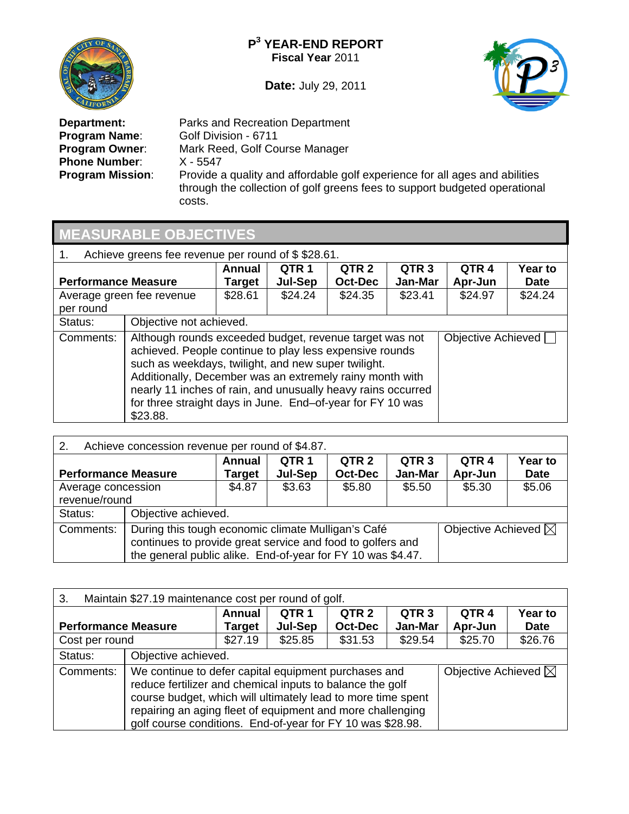

**Date:** July 29, 2011



**Phone Number:**<br>Program Mission:

**Department:** Parks and Recreation Department<br>**Program Name:** Golf Division - 6711 **Program Name:** Golf Division - 6711<br>**Program Owner:** Mark Reed, Golf Co Mark Reed, Golf Course Manager<br>X - 5547 **Program Mission**: Provide a quality and affordable golf experience for all ages and abilities through the collection of golf greens fees to support budgeted operational costs.

# **MEASURABLE OBJECTIVES**

| Achieve greens fee revenue per round of \$\$28.61. |                                                                                                                                                                                                                                                                                                                                                                                 |         |                  |                  |                  |                    |                |  |
|----------------------------------------------------|---------------------------------------------------------------------------------------------------------------------------------------------------------------------------------------------------------------------------------------------------------------------------------------------------------------------------------------------------------------------------------|---------|------------------|------------------|------------------|--------------------|----------------|--|
|                                                    |                                                                                                                                                                                                                                                                                                                                                                                 | Annual  | QTR <sub>1</sub> | QTR <sub>2</sub> | QTR <sub>3</sub> | QTR <sub>4</sub>   | <b>Year to</b> |  |
| <b>Performance Measure</b>                         |                                                                                                                                                                                                                                                                                                                                                                                 | Target  | <b>Jul-Sep</b>   | <b>Oct-Dec</b>   | Jan-Mar          | Apr-Jun            | <b>Date</b>    |  |
|                                                    | Average green fee revenue                                                                                                                                                                                                                                                                                                                                                       | \$28.61 | \$24.24          | \$24.35          | \$23.41          | \$24.97            | \$24.24        |  |
| per round                                          |                                                                                                                                                                                                                                                                                                                                                                                 |         |                  |                  |                  |                    |                |  |
| Status:                                            | Objective not achieved.                                                                                                                                                                                                                                                                                                                                                         |         |                  |                  |                  |                    |                |  |
| Comments:                                          | Although rounds exceeded budget, revenue target was not<br>achieved. People continue to play less expensive rounds<br>such as weekdays, twilight, and new super twilight.<br>Additionally, December was an extremely rainy month with<br>nearly 11 inches of rain, and unusually heavy rains occurred<br>for three straight days in June. End-of-year for FY 10 was<br>\$23.88. |         |                  |                  |                  | Objective Achieved |                |  |

| Achieve concession revenue per round of \$4.87.<br>2. |                                                                                                                                                                                                                   |                         |                             |                                    |                             |                             |                        |  |  |  |
|-------------------------------------------------------|-------------------------------------------------------------------------------------------------------------------------------------------------------------------------------------------------------------------|-------------------------|-----------------------------|------------------------------------|-----------------------------|-----------------------------|------------------------|--|--|--|
| <b>Performance Measure</b>                            |                                                                                                                                                                                                                   | <b>Annual</b><br>Target | QTR <sub>1</sub><br>Jul-Sep | QTR <sub>2</sub><br><b>Oct-Dec</b> | QTR <sub>3</sub><br>Jan-Mar | QTR <sub>4</sub><br>Apr-Jun | Year to<br><b>Date</b> |  |  |  |
| Average concession<br>revenue/round                   |                                                                                                                                                                                                                   | \$4.87                  | \$3.63                      | \$5.80                             | \$5.50                      | \$5.30                      | \$5.06                 |  |  |  |
| Status:                                               |                                                                                                                                                                                                                   | Objective achieved.     |                             |                                    |                             |                             |                        |  |  |  |
| Comments:                                             | During this tough economic climate Mulligan's Café<br>Objective Achieved $\boxtimes$<br>continues to provide great service and food to golfers and<br>the general public alike. End-of-year for FY 10 was \$4.47. |                         |                             |                                    |                             |                             |                        |  |  |  |

| Maintain \$27.19 maintenance cost per round of golf.<br>3. |                                                                                                                                                                                                                                                                                                                                                 |                         |                             |                                    |                             |                             |                        |  |  |
|------------------------------------------------------------|-------------------------------------------------------------------------------------------------------------------------------------------------------------------------------------------------------------------------------------------------------------------------------------------------------------------------------------------------|-------------------------|-----------------------------|------------------------------------|-----------------------------|-----------------------------|------------------------|--|--|
| <b>Performance Measure</b>                                 |                                                                                                                                                                                                                                                                                                                                                 | <b>Annual</b><br>Target | QTR <sub>1</sub><br>Jul-Sep | QTR <sub>2</sub><br><b>Oct-Dec</b> | QTR <sub>3</sub><br>Jan-Mar | QTR <sub>4</sub><br>Apr-Jun | Year to<br><b>Date</b> |  |  |
| Cost per round                                             |                                                                                                                                                                                                                                                                                                                                                 | \$27.19                 | \$25.85                     | \$31.53                            | \$29.54                     | \$25.70                     | \$26.76                |  |  |
| Status:                                                    | Objective achieved.                                                                                                                                                                                                                                                                                                                             |                         |                             |                                    |                             |                             |                        |  |  |
| Comments:                                                  | We continue to defer capital equipment purchases and<br>Objective Achieved $\boxtimes$<br>reduce fertilizer and chemical inputs to balance the golf<br>course budget, which will ultimately lead to more time spent<br>repairing an aging fleet of equipment and more challenging<br>golf course conditions. End-of-year for FY 10 was \$28.98. |                         |                             |                                    |                             |                             |                        |  |  |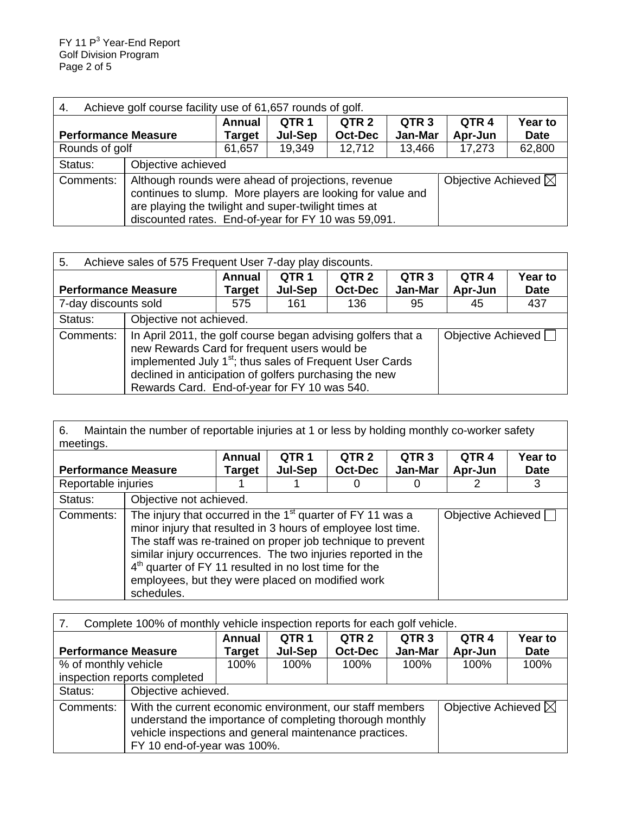| Achieve golf course facility use of 61,657 rounds of golf.<br>4. |                                                                                                                                                                                                                                 |                                |                             |                                    |                             |                                |                        |  |  |
|------------------------------------------------------------------|---------------------------------------------------------------------------------------------------------------------------------------------------------------------------------------------------------------------------------|--------------------------------|-----------------------------|------------------------------------|-----------------------------|--------------------------------|------------------------|--|--|
| <b>Performance Measure</b>                                       |                                                                                                                                                                                                                                 | <b>Annual</b><br><b>Target</b> | QTR <sub>1</sub><br>Jul-Sep | QTR <sub>2</sub><br><b>Oct-Dec</b> | QTR <sub>3</sub><br>Jan-Mar | QTR <sub>4</sub><br>Apr-Jun    | Year to<br><b>Date</b> |  |  |
| Rounds of golf                                                   |                                                                                                                                                                                                                                 | 61,657                         | 19,349                      | 12,712                             | 13,466                      | 17,273                         | 62,800                 |  |  |
| Status:                                                          | Objective achieved                                                                                                                                                                                                              |                                |                             |                                    |                             |                                |                        |  |  |
| Comments:                                                        | Although rounds were ahead of projections, revenue<br>continues to slump. More players are looking for value and<br>are playing the twilight and super-twilight times at<br>discounted rates. End-of-year for FY 10 was 59,091. |                                |                             |                                    |                             | Objective Achieved $\boxtimes$ |                        |  |  |

| 5.<br>Achieve sales of 575 Frequent User 7-day play discounts. |                         |                                                                                                                                                                                                                                                                                                                      |                             |                                    |                             |                  |                               |  |  |
|----------------------------------------------------------------|-------------------------|----------------------------------------------------------------------------------------------------------------------------------------------------------------------------------------------------------------------------------------------------------------------------------------------------------------------|-----------------------------|------------------------------------|-----------------------------|------------------|-------------------------------|--|--|
| <b>Performance Measure</b>                                     |                         | <b>Annual</b><br>Target                                                                                                                                                                                                                                                                                              | QTR <sub>1</sub><br>Jul-Sep | QTR <sub>2</sub><br><b>Oct-Dec</b> | QTR <sub>3</sub><br>Jan-Mar | QTR 4<br>Apr-Jun | <b>Year to</b><br><b>Date</b> |  |  |
| 7-day discounts sold                                           |                         | 575                                                                                                                                                                                                                                                                                                                  | 161                         | 136                                | 95                          | 45               | 437                           |  |  |
| Status:                                                        | Objective not achieved. |                                                                                                                                                                                                                                                                                                                      |                             |                                    |                             |                  |                               |  |  |
| Comments:                                                      |                         | In April 2011, the golf course began advising golfers that a<br>Objective Achieved<br>new Rewards Card for frequent users would be<br>implemented July 1 <sup>st</sup> ; thus sales of Frequent User Cards<br>declined in anticipation of golfers purchasing the new<br>Rewards Card. End-of-year for FY 10 was 540. |                             |                                    |                             |                  |                               |  |  |

6. Maintain the number of reportable injuries at 1 or less by holding monthly co-worker safety meetings.

| <b>Performance Measure</b> |                                                                                                                                                                                                                                                                                                                                                                                                    | Annual<br>Target        | QTR 1<br>Jul-Sep | QTR <sub>2</sub><br><b>Oct-Dec</b> | QTR <sub>3</sub><br>Jan-Mar | QTR <sub>4</sub><br>Apr-Jun | <b>Year to</b><br><b>Date</b> |  |  |
|----------------------------|----------------------------------------------------------------------------------------------------------------------------------------------------------------------------------------------------------------------------------------------------------------------------------------------------------------------------------------------------------------------------------------------------|-------------------------|------------------|------------------------------------|-----------------------------|-----------------------------|-------------------------------|--|--|
| Reportable injuries        |                                                                                                                                                                                                                                                                                                                                                                                                    |                         |                  | O                                  |                             |                             |                               |  |  |
| Status:                    |                                                                                                                                                                                                                                                                                                                                                                                                    | Objective not achieved. |                  |                                    |                             |                             |                               |  |  |
| Comments:                  | The injury that occurred in the $1st$ quarter of FY 11 was a<br>minor injury that resulted in 3 hours of employee lost time.<br>The staff was re-trained on proper job technique to prevent<br>similar injury occurrences. The two injuries reported in the<br>4 <sup>th</sup> quarter of FY 11 resulted in no lost time for the<br>employees, but they were placed on modified work<br>schedules. |                         |                  |                                    |                             | Objective Achieved          |                               |  |  |

| Complete 100% of monthly vehicle inspection reports for each golf vehicle.<br>7. |                                                                                                                                                                                                               |        |                  |                  |                  |                                |             |  |
|----------------------------------------------------------------------------------|---------------------------------------------------------------------------------------------------------------------------------------------------------------------------------------------------------------|--------|------------------|------------------|------------------|--------------------------------|-------------|--|
|                                                                                  |                                                                                                                                                                                                               | Annual | QTR <sub>1</sub> | QTR <sub>2</sub> | QTR <sub>3</sub> | QTR <sub>4</sub>               | Year to     |  |
| <b>Performance Measure</b>                                                       |                                                                                                                                                                                                               | Target | Jul-Sep          | <b>Oct-Dec</b>   | Jan-Mar          | Apr-Jun                        | <b>Date</b> |  |
| % of monthly vehicle                                                             |                                                                                                                                                                                                               | 100%   | 100%             | 100%             | 100%             | 100%                           | 100%        |  |
| inspection reports completed                                                     |                                                                                                                                                                                                               |        |                  |                  |                  |                                |             |  |
| Status:                                                                          | Objective achieved.                                                                                                                                                                                           |        |                  |                  |                  |                                |             |  |
| Comments:                                                                        | With the current economic environment, our staff members<br>understand the importance of completing thorough monthly<br>vehicle inspections and general maintenance practices.<br>FY 10 end-of-year was 100%. |        |                  |                  |                  | Objective Achieved $\boxtimes$ |             |  |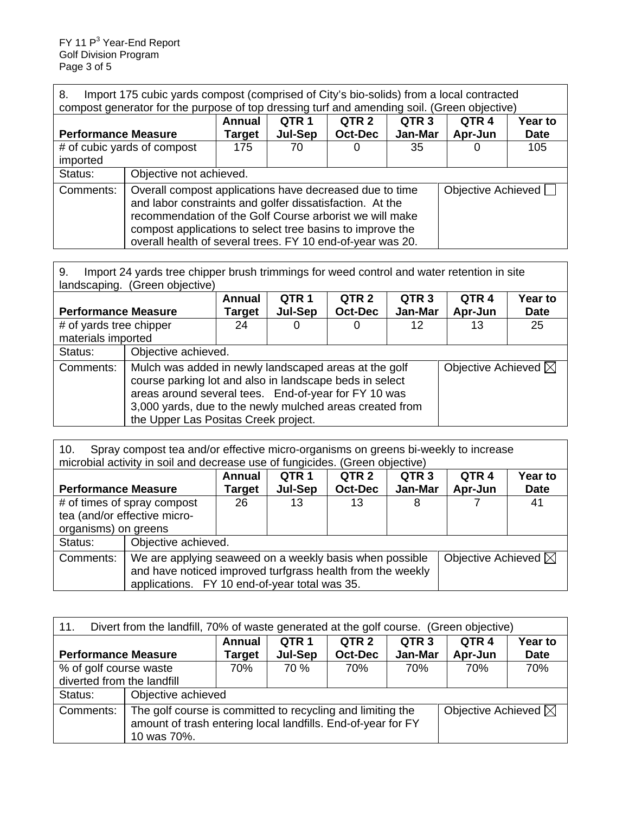8. Import 175 cubic yards compost (comprised of City's bio-solids) from a local contracted compost generator for the purpose of top dressing turf and amending soil. (Green objective)

| composition ion in the parpose of top aressing tan and amending soil. (Oreen objective) |                                                                                                                                                                                                                                                                                                                                 |               |         |                |                  |                  |                |  |
|-----------------------------------------------------------------------------------------|---------------------------------------------------------------------------------------------------------------------------------------------------------------------------------------------------------------------------------------------------------------------------------------------------------------------------------|---------------|---------|----------------|------------------|------------------|----------------|--|
|                                                                                         |                                                                                                                                                                                                                                                                                                                                 | <b>Annual</b> | QTR 1   | QTR 2          | QTR <sub>3</sub> | QTR <sub>4</sub> | <b>Year to</b> |  |
| <b>Performance Measure</b>                                                              |                                                                                                                                                                                                                                                                                                                                 | Target        | Jul-Sep | <b>Oct-Dec</b> | Jan-Mar          | Apr-Jun          | <b>Date</b>    |  |
|                                                                                         | # of cubic yards of compost                                                                                                                                                                                                                                                                                                     | 175           | 70      | O              | 35               |                  | 105            |  |
| imported                                                                                |                                                                                                                                                                                                                                                                                                                                 |               |         |                |                  |                  |                |  |
| Status:                                                                                 | Objective not achieved.                                                                                                                                                                                                                                                                                                         |               |         |                |                  |                  |                |  |
| Comments:                                                                               | Objective Achieved<br>Overall compost applications have decreased due to time<br>and labor constraints and golfer dissatisfaction. At the<br>recommendation of the Golf Course arborist we will make<br>compost applications to select tree basins to improve the<br>overall health of several trees. FY 10 end-of-year was 20. |               |         |                |                  |                  |                |  |

9. Import 24 yards tree chipper brush trimmings for weed control and water retention in site landscaping. (Green objective)

| <b>Performance Measure</b>                    |                                                                                                                                                                                                                                                                                                                | <b>Annual</b><br>Target | QTR 1<br>Jul-Sep | QTR 2<br><b>Oct-Dec</b> | QTR <sub>3</sub><br>Jan-Mar | QTR 4<br>Apr-Jun | <b>Year to</b><br><b>Date</b> |  |
|-----------------------------------------------|----------------------------------------------------------------------------------------------------------------------------------------------------------------------------------------------------------------------------------------------------------------------------------------------------------------|-------------------------|------------------|-------------------------|-----------------------------|------------------|-------------------------------|--|
| # of yards tree chipper<br>materials imported |                                                                                                                                                                                                                                                                                                                | 24                      |                  | O                       | 12                          | 13               | 25                            |  |
| Status:                                       | Objective achieved.                                                                                                                                                                                                                                                                                            |                         |                  |                         |                             |                  |                               |  |
| Comments:                                     | Objective Achieved $\boxtimes$<br>Mulch was added in newly landscaped areas at the golf<br>course parking lot and also in landscape beds in select<br>areas around several tees. End-of-year for FY 10 was<br>3,000 yards, due to the newly mulched areas created from<br>the Upper Las Positas Creek project. |                         |                  |                         |                             |                  |                               |  |

10. Spray compost tea and/or effective micro-organisms on greens bi-weekly to increase microbial activity in soil and decrease use of fungicides. (Green objective)

| morobial activity in soil and accided asc or langiciacs. (Orcen objective) |                     |                                                                                           |                  |                  |                  |                  |             |  |
|----------------------------------------------------------------------------|---------------------|-------------------------------------------------------------------------------------------|------------------|------------------|------------------|------------------|-------------|--|
|                                                                            |                     | <b>Annual</b>                                                                             | QTR <sub>1</sub> | QTR <sub>2</sub> | QTR <sub>3</sub> | QTR <sub>4</sub> | Year to     |  |
| <b>Performance Measure</b>                                                 |                     | Target                                                                                    | Jul-Sep          | <b>Oct-Dec</b>   | Jan-Mar          | Apr-Jun          | <b>Date</b> |  |
| # of times of spray compost                                                |                     | 26                                                                                        | 13               | 13               | 8                |                  | 41          |  |
| tea (and/or effective micro-                                               |                     |                                                                                           |                  |                  |                  |                  |             |  |
| organisms) on greens                                                       |                     |                                                                                           |                  |                  |                  |                  |             |  |
| Status:                                                                    | Objective achieved. |                                                                                           |                  |                  |                  |                  |             |  |
| Comments:                                                                  |                     | Objective Achieved $\boxtimes$<br>We are applying seaweed on a weekly basis when possible |                  |                  |                  |                  |             |  |
|                                                                            |                     | and have noticed improved turfgrass health from the weekly                                |                  |                  |                  |                  |             |  |
|                                                                            |                     | applications. FY 10 end-of-year total was 35.                                             |                  |                  |                  |                  |             |  |

| Divert from the landfill, 70% of waste generated at the golf course. (Green objective)<br>11. |                                                                                                                                                                             |                    |                  |                  |                  |                  |                |  |
|-----------------------------------------------------------------------------------------------|-----------------------------------------------------------------------------------------------------------------------------------------------------------------------------|--------------------|------------------|------------------|------------------|------------------|----------------|--|
|                                                                                               |                                                                                                                                                                             | <b>Annual</b>      | QTR <sub>1</sub> | QTR <sub>2</sub> | QTR <sub>3</sub> | QTR <sub>4</sub> | <b>Year to</b> |  |
| <b>Performance Measure</b>                                                                    |                                                                                                                                                                             | <b>Target</b>      | Jul-Sep          | <b>Oct-Dec</b>   | Jan-Mar          | Apr-Jun          | <b>Date</b>    |  |
| % of golf course waste                                                                        |                                                                                                                                                                             | 70%                | 70%              | 70%              | 70%              | 70%              | 70%            |  |
| diverted from the landfill                                                                    |                                                                                                                                                                             |                    |                  |                  |                  |                  |                |  |
| Status:                                                                                       |                                                                                                                                                                             | Objective achieved |                  |                  |                  |                  |                |  |
| Comments:                                                                                     | The golf course is committed to recycling and limiting the<br>Objective Achieved $\boxtimes$<br>amount of trash entering local landfills. End-of-year for FY<br>10 was 70%. |                    |                  |                  |                  |                  |                |  |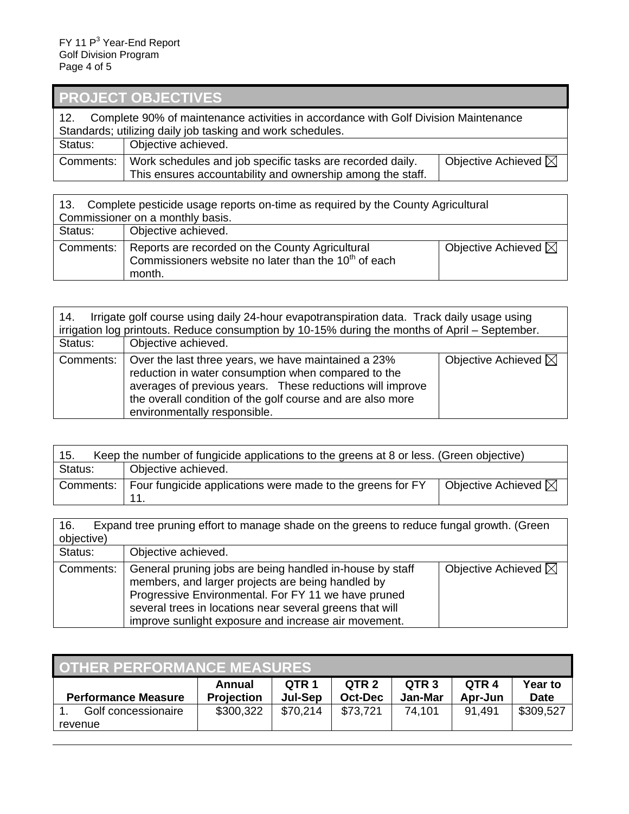| <b>PROJECT OBJECTIVES</b>                                                                                                                                |                                                                                                                         |                                |  |  |  |  |  |
|----------------------------------------------------------------------------------------------------------------------------------------------------------|-------------------------------------------------------------------------------------------------------------------------|--------------------------------|--|--|--|--|--|
| Complete 90% of maintenance activities in accordance with Golf Division Maintenance<br>12.<br>Standards; utilizing daily job tasking and work schedules. |                                                                                                                         |                                |  |  |  |  |  |
| Status:                                                                                                                                                  | Objective achieved.                                                                                                     |                                |  |  |  |  |  |
| Comments:                                                                                                                                                | Work schedules and job specific tasks are recorded daily.<br>This ensures accountability and ownership among the staff. | Objective Achieved $\boxtimes$ |  |  |  |  |  |

| Complete pesticide usage reports on-time as required by the County Agricultural<br>13.<br>Commissioner on a monthly basis. |                                                                                                                               |                                |  |  |  |  |
|----------------------------------------------------------------------------------------------------------------------------|-------------------------------------------------------------------------------------------------------------------------------|--------------------------------|--|--|--|--|
| Status:                                                                                                                    | Objective achieved.                                                                                                           |                                |  |  |  |  |
| Comments:                                                                                                                  | Reports are recorded on the County Agricultural<br>Commissioners website no later than the 10 <sup>th</sup> of each<br>month. | Objective Achieved $\boxtimes$ |  |  |  |  |

| Irrigate golf course using daily 24-hour evapotranspiration data. Track daily usage using<br>14.<br>irrigation log printouts. Reduce consumption by 10-15% during the months of April – September. |                                                                                                                                                                                                                                                                       |                                |  |  |  |  |  |
|----------------------------------------------------------------------------------------------------------------------------------------------------------------------------------------------------|-----------------------------------------------------------------------------------------------------------------------------------------------------------------------------------------------------------------------------------------------------------------------|--------------------------------|--|--|--|--|--|
| Status:                                                                                                                                                                                            | Objective achieved.                                                                                                                                                                                                                                                   |                                |  |  |  |  |  |
| Comments:                                                                                                                                                                                          | Over the last three years, we have maintained a 23%<br>reduction in water consumption when compared to the<br>averages of previous years. These reductions will improve<br>the overall condition of the golf course and are also more<br>environmentally responsible. | Objective Achieved $\boxtimes$ |  |  |  |  |  |

| Keep the number of fungicide applications to the greens at 8 or less. (Green objective)<br>15. |                                                                        |                                |  |  |  |  |  |
|------------------------------------------------------------------------------------------------|------------------------------------------------------------------------|--------------------------------|--|--|--|--|--|
| Status:                                                                                        | Objective achieved.                                                    |                                |  |  |  |  |  |
|                                                                                                | Comments:   Four fungicide applications were made to the greens for FY | Objective Achieved $\boxtimes$ |  |  |  |  |  |

| 16.        | Expand tree pruning effort to manage shade on the greens to reduce fungal growth. (Green                                                                                                                                                                                                 |                                |  |  |  |  |  |  |
|------------|------------------------------------------------------------------------------------------------------------------------------------------------------------------------------------------------------------------------------------------------------------------------------------------|--------------------------------|--|--|--|--|--|--|
| objective) |                                                                                                                                                                                                                                                                                          |                                |  |  |  |  |  |  |
| Status:    | Objective achieved.                                                                                                                                                                                                                                                                      |                                |  |  |  |  |  |  |
| Comments:  | General pruning jobs are being handled in-house by staff<br>members, and larger projects are being handled by<br>Progressive Environmental. For FY 11 we have pruned<br>several trees in locations near several greens that will<br>improve sunlight exposure and increase air movement. | Objective Achieved $\boxtimes$ |  |  |  |  |  |  |

| <b>OTHER PERFORMANCE MEASURES</b> |                             |                             |                             |                             |                             |                        |  |  |
|-----------------------------------|-----------------------------|-----------------------------|-----------------------------|-----------------------------|-----------------------------|------------------------|--|--|
| <b>Performance Measure</b>        | Annual<br><b>Projection</b> | QTR <sub>1</sub><br>Jul-Sep | QTR <sub>2</sub><br>Oct-Dec | QTR <sub>3</sub><br>Jan-Mar | QTR <sub>4</sub><br>Apr-Jun | Year to<br><b>Date</b> |  |  |
| Golf concessionaire<br>revenue    | \$300,322                   | \$70,214                    | \$73,721                    | 74,101                      | 91,491                      | \$309,527              |  |  |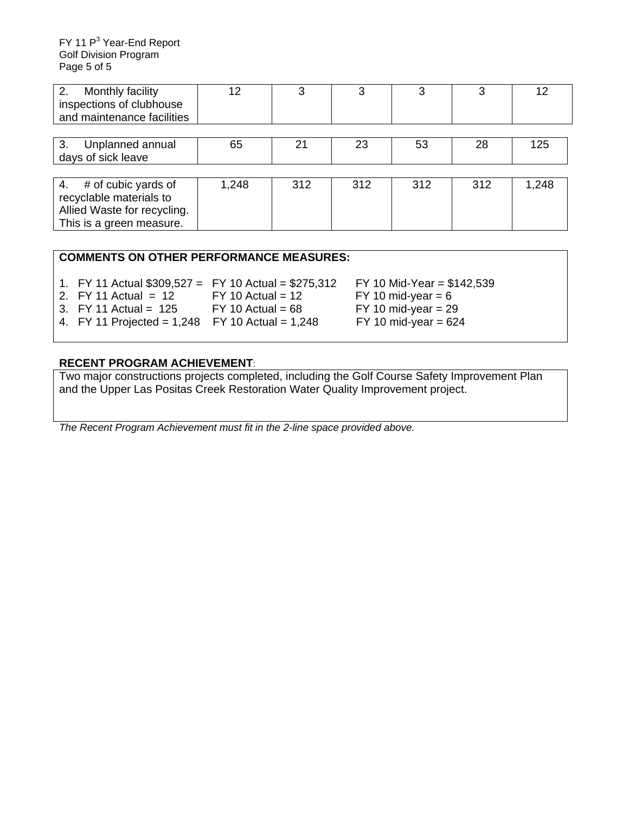| 2.<br>Monthly facility<br>inspections of clubhouse<br>and maintenance facilities                                | 12    | 3   | 3   | っ   | 3   | 12    |
|-----------------------------------------------------------------------------------------------------------------|-------|-----|-----|-----|-----|-------|
|                                                                                                                 |       |     |     |     |     |       |
| 3.<br>Unplanned annual<br>days of sick leave                                                                    | 65    | 21  | 23  | 53  | 28  | 125   |
|                                                                                                                 |       |     |     |     |     |       |
| 4.<br># of cubic yards of<br>recyclable materials to<br>Allied Waste for recycling.<br>This is a green measure. | 1,248 | 312 | 312 | 312 | 312 | 1,248 |

| <b>COMMENTS ON OTHER PERFORMANCE MEASURES:</b> |
|------------------------------------------------|
|------------------------------------------------|

| 1. FY 11 Actual $$309,527 =$ FY 10 Actual = $$275,312$ |                     | FY 10 Mid-Year = $$142,539$ |
|--------------------------------------------------------|---------------------|-----------------------------|
| 2. FY 11 Actual = $12$                                 | $FY$ 10 Actual = 12 | FY 10 mid-year = $6$        |
| 3. FY 11 Actual = $125$                                | $FY$ 10 Actual = 68 | $FY$ 10 mid-year = 29       |
| 4. FY 11 Projected = $1,248$ FY 10 Actual = $1,248$    |                     | FY 10 mid-year = $624$      |
|                                                        |                     |                             |

#### **RECENT PROGRAM ACHIEVEMENT**:

Two major constructions projects completed, including the Golf Course Safety Improvement Plan and the Upper Las Positas Creek Restoration Water Quality Improvement project.

*The Recent Program Achievement must fit in the 2-line space provided above.*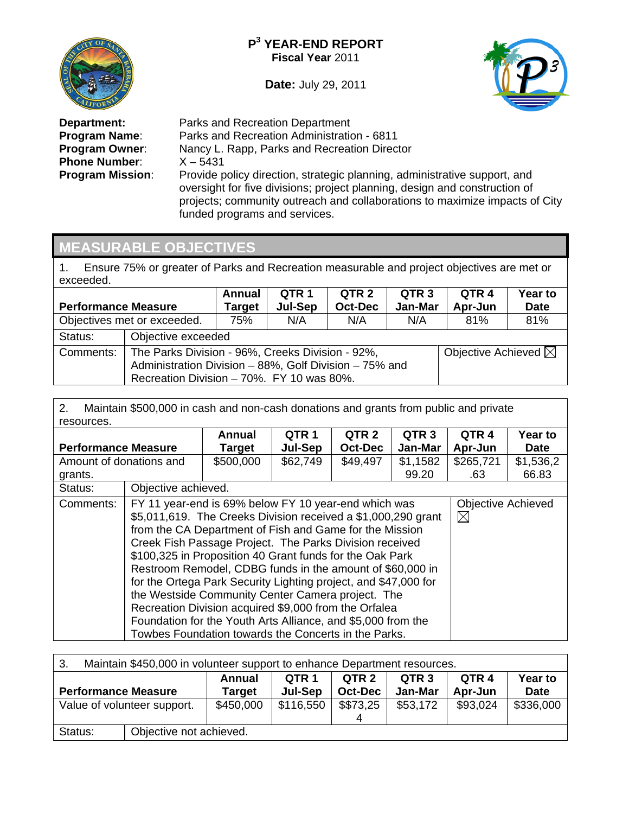

**Date:** July 29, 2011



**Phone Number:**<br>Program Mission:

**Department:** Parks and Recreation Department<br>**Program Name**: Parks and Recreation Administration **Program Name:** Parks and Recreation Administration - 6811<br>**Program Owner:** Nancy L. Rapp, Parks and Recreation Direc Nancy L. Rapp, Parks and Recreation Director<br>X-5431 Provide policy direction, strategic planning, administrative support, and oversight for five divisions; project planning, design and construction of projects; community outreach and collaborations to maximize impacts of City funded programs and services.

# **MEASURABLE OBJECTIVES**

1. Ensure 75% or greater of Parks and Recreation measurable and project objectives are met or exceeded.

|                             |                                                        | Annual        | QTR 1   | QTR <sub>2</sub> | QTR <sub>3</sub> | QTR 4                          | Year to     |
|-----------------------------|--------------------------------------------------------|---------------|---------|------------------|------------------|--------------------------------|-------------|
| <b>Performance Measure</b>  |                                                        | <b>Target</b> | Jul-Sep | <b>Oct-Dec</b>   | Jan-Mar          | Apr-Jun                        | <b>Date</b> |
| Objectives met or exceeded. |                                                        | 75%           | N/A     | N/A              | N/A              | 81%                            | 81%         |
| Status:                     | Objective exceeded                                     |               |         |                  |                  |                                |             |
| Comments:                   | The Parks Division - 96%, Creeks Division - 92%,       |               |         |                  |                  | Objective Achieved $\boxtimes$ |             |
|                             | Administration Division - 88%, Golf Division - 75% and |               |         |                  |                  |                                |             |
|                             | Recreation Division - 70%. FY 10 was 80%.              |               |         |                  |                  |                                |             |

2. Maintain \$500,000 in cash and non-cash donations and grants from public and private resources.

|                            |                                                                                                                                                                                                                                                                                                                                                                                                                                                                                                                                                                                                                                                                               | Annual        | QTR <sub>1</sub> | QTR <sub>2</sub> | QTR <sub>3</sub> | QTR <sub>4</sub>                         | <b>Year to</b> |
|----------------------------|-------------------------------------------------------------------------------------------------------------------------------------------------------------------------------------------------------------------------------------------------------------------------------------------------------------------------------------------------------------------------------------------------------------------------------------------------------------------------------------------------------------------------------------------------------------------------------------------------------------------------------------------------------------------------------|---------------|------------------|------------------|------------------|------------------------------------------|----------------|
| <b>Performance Measure</b> |                                                                                                                                                                                                                                                                                                                                                                                                                                                                                                                                                                                                                                                                               | <b>Target</b> | <b>Jul-Sep</b>   | <b>Oct-Dec</b>   | Jan-Mar          | Apr-Jun                                  | <b>Date</b>    |
| Amount of donations and    |                                                                                                                                                                                                                                                                                                                                                                                                                                                                                                                                                                                                                                                                               | \$500,000     | \$62,749         | \$49,497         | \$1,1582         | \$265,721                                | \$1,536,2      |
| grants.                    |                                                                                                                                                                                                                                                                                                                                                                                                                                                                                                                                                                                                                                                                               |               |                  |                  | 99.20            | .63                                      | 66.83          |
| Status:                    | Objective achieved.                                                                                                                                                                                                                                                                                                                                                                                                                                                                                                                                                                                                                                                           |               |                  |                  |                  |                                          |                |
| Comments:                  | FY 11 year-end is 69% below FY 10 year-end which was<br>\$5,011,619. The Creeks Division received a \$1,000,290 grant<br>from the CA Department of Fish and Game for the Mission<br>Creek Fish Passage Project. The Parks Division received<br>\$100,325 in Proposition 40 Grant funds for the Oak Park<br>Restroom Remodel, CDBG funds in the amount of \$60,000 in<br>for the Ortega Park Security Lighting project, and \$47,000 for<br>the Westside Community Center Camera project. The<br>Recreation Division acquired \$9,000 from the Orfalea<br>Foundation for the Youth Arts Alliance, and \$5,000 from the<br>Towbes Foundation towards the Concerts in the Parks. |               |                  |                  |                  | <b>Objective Achieved</b><br>$\boxtimes$ |                |

| -3.                         | Maintain \$450,000 in volunteer support to enhance Department resources. |               |           |                  |                  |                  |                |
|-----------------------------|--------------------------------------------------------------------------|---------------|-----------|------------------|------------------|------------------|----------------|
|                             |                                                                          | Annual        | QTR 1     | QTR <sub>2</sub> | QTR <sub>3</sub> | QTR <sub>4</sub> | <b>Year to</b> |
| <b>Performance Measure</b>  |                                                                          | <b>Target</b> | Jul-Sep   | <b>Oct-Dec</b>   | Jan-Mar          | Apr-Jun          | <b>Date</b>    |
| Value of volunteer support. |                                                                          | \$450,000     | \$116,550 | \$\$73,25        | \$53,172         | \$93,024         | \$336,000      |
|                             |                                                                          |               |           |                  |                  |                  |                |
| Status:                     | Objective not achieved.                                                  |               |           |                  |                  |                  |                |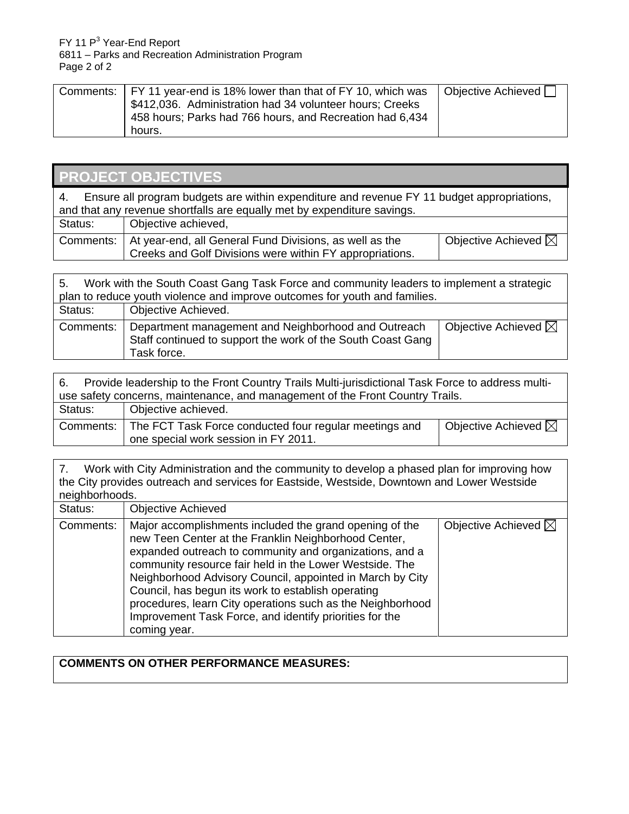| Comments:   FY 11 year-end is 18% lower than that of FY 10, which was | Objective Achieved |
|-----------------------------------------------------------------------|--------------------|
| S412,036. Administration had 34 volunteer hours; Creeks               |                    |
| 458 hours; Parks had 766 hours, and Recreation had 6,434              |                    |
| hours.                                                                |                    |

### **PROJECT OBJECTIVES**

4. Ensure all program budgets are within expenditure and revenue FY 11 budget appropriations, and that any revenue shortfalls are equally met by expenditure savings. Status: **Objective achieved,** Comments: At year-end, all General Fund Divisions, as well as the Creeks and Golf Divisions were within FY appropriations. Objective Achieved  $\boxtimes$ 

| Work with the South Coast Gang Task Force and community leaders to implement a strategic<br>5.<br>plan to reduce youth violence and improve outcomes for youth and families.     |                     |  |  |  |  |  |
|----------------------------------------------------------------------------------------------------------------------------------------------------------------------------------|---------------------|--|--|--|--|--|
| Status:                                                                                                                                                                          | Objective Achieved. |  |  |  |  |  |
| Objective Achieved $\boxtimes$<br>Department management and Neighborhood and Outreach<br>Comments:<br>Staff continued to support the work of the South Coast Gang<br>Task force. |                     |  |  |  |  |  |

| Provide leadership to the Front Country Trails Multi-jurisdictional Task Force to address multi-<br>6. |                                                                                                |                                |  |  |  |  |
|--------------------------------------------------------------------------------------------------------|------------------------------------------------------------------------------------------------|--------------------------------|--|--|--|--|
| use safety concerns, maintenance, and management of the Front Country Trails.                          |                                                                                                |                                |  |  |  |  |
| Status:                                                                                                | Objective achieved.                                                                            |                                |  |  |  |  |
| Comments:                                                                                              | The FCT Task Force conducted four regular meetings and<br>one special work session in FY 2011. | Objective Achieved $\boxtimes$ |  |  |  |  |

| Work with City Administration and the community to develop a phased plan for improving how<br>$7_{\scriptscriptstyle{\sim}}$<br>the City provides outreach and services for Eastside, Westside, Downtown and Lower Westside<br>neighborhoods. |                                                                                                                                                                                                                                                                                                                                                                                                                                                                                                   |                                |  |  |  |  |
|-----------------------------------------------------------------------------------------------------------------------------------------------------------------------------------------------------------------------------------------------|---------------------------------------------------------------------------------------------------------------------------------------------------------------------------------------------------------------------------------------------------------------------------------------------------------------------------------------------------------------------------------------------------------------------------------------------------------------------------------------------------|--------------------------------|--|--|--|--|
| Status:                                                                                                                                                                                                                                       | <b>Objective Achieved</b>                                                                                                                                                                                                                                                                                                                                                                                                                                                                         |                                |  |  |  |  |
| Comments:                                                                                                                                                                                                                                     | Major accomplishments included the grand opening of the<br>new Teen Center at the Franklin Neighborhood Center,<br>expanded outreach to community and organizations, and a<br>community resource fair held in the Lower Westside. The<br>Neighborhood Advisory Council, appointed in March by City<br>Council, has begun its work to establish operating<br>procedures, learn City operations such as the Neighborhood<br>Improvement Task Force, and identify priorities for the<br>coming year. | Objective Achieved $\boxtimes$ |  |  |  |  |

### **COMMENTS ON OTHER PERFORMANCE MEASURES:**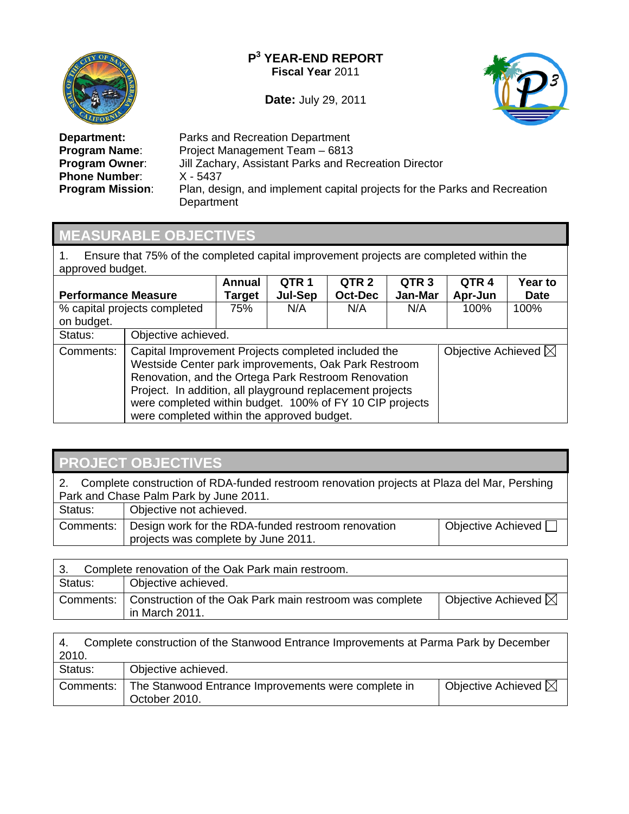

**Date:** July 29, 2011



**Phone Number:** 

**Department:** Parks and Recreation Department<br>**Program Name:** Project Management Team – 6813 Project Management Team – 6813 **Program Owner:** Jill Zachary, Assistant Parks and Recreation Director<br>**Phone Number:** X - 5437 **Program Mission:** Plan, design, and implement capital projects for the Parks and Recreation **Department** 

### **MEASURABLE OBJECTIVES**

1. Ensure that 75% of the completed capital improvement projects are completed within the approved budget.

|                                |                              | Annual                                                                                                                                                                                                                                                                                                                                    | QTR <sub>1</sub> | QTR <sub>2</sub> | QTR <sub>3</sub> | QTR <sub>4</sub>               | <b>Year to</b> |
|--------------------------------|------------------------------|-------------------------------------------------------------------------------------------------------------------------------------------------------------------------------------------------------------------------------------------------------------------------------------------------------------------------------------------|------------------|------------------|------------------|--------------------------------|----------------|
| <b>Performance Measure</b>     |                              | Target                                                                                                                                                                                                                                                                                                                                    | Jul-Sep          | <b>Oct-Dec</b>   | Jan-Mar          | Apr-Jun                        | <b>Date</b>    |
|                                | % capital projects completed | 75%                                                                                                                                                                                                                                                                                                                                       | N/A              | N/A              | N/A              | 100%                           | 100%           |
| on budget.                     |                              |                                                                                                                                                                                                                                                                                                                                           |                  |                  |                  |                                |                |
| Status:<br>Objective achieved. |                              |                                                                                                                                                                                                                                                                                                                                           |                  |                  |                  |                                |                |
| Comments:                      |                              | Capital Improvement Projects completed included the<br>Westside Center park improvements, Oak Park Restroom<br>Renovation, and the Ortega Park Restroom Renovation<br>Project. In addition, all playground replacement projects<br>were completed within budget. 100% of FY 10 CIP projects<br>were completed within the approved budget. |                  |                  |                  | Objective Achieved $\boxtimes$ |                |

# **PROJECT OBJECTIVES**

2. Complete construction of RDA-funded restroom renovation projects at Plaza del Mar, Pershing Park and Chase Palm Park by June 2011.

| Status:     | Objective not achieved.                                                                   |                    |
|-------------|-------------------------------------------------------------------------------------------|--------------------|
| Comments: I | Design work for the RDA-funded restroom renovation<br>projects was complete by June 2011. | Objective Achieved |

|         | Complete renovation of the Oak Park main restroom.                                    |                                |  |  |  |  |  |  |
|---------|---------------------------------------------------------------------------------------|--------------------------------|--|--|--|--|--|--|
| Status: | Objective achieved.                                                                   |                                |  |  |  |  |  |  |
|         | Comments:   Construction of the Oak Park main restroom was complete<br>in March 2011. | Objective Achieved $\boxtimes$ |  |  |  |  |  |  |

| Complete construction of the Stanwood Entrance Improvements at Parma Park by December<br>4.<br>2010. |                                                                      |                                |  |  |  |  |  |
|------------------------------------------------------------------------------------------------------|----------------------------------------------------------------------|--------------------------------|--|--|--|--|--|
| Status:                                                                                              | Objective achieved.                                                  |                                |  |  |  |  |  |
| Comments:                                                                                            | The Stanwood Entrance Improvements were complete in<br>October 2010. | Objective Achieved $\boxtimes$ |  |  |  |  |  |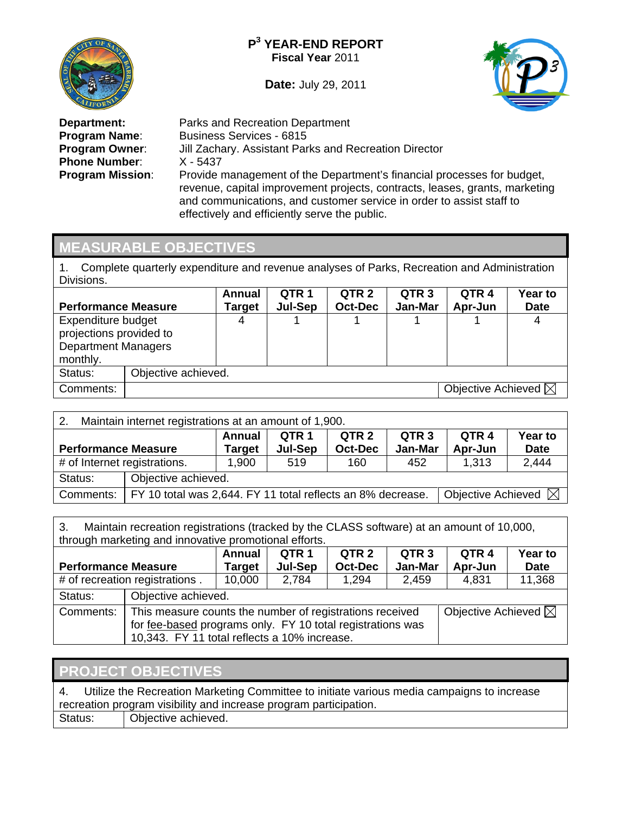

**Date:** July 29, 2011



**Phone Number:<br>Program Mission:** 

**Department:** Parks and Recreation Department<br>**Program Name**: Business Services - 6815 **Program Name:** Business Services - 6815<br>**Program Owner:** Jill Zachary. Assistant Par **Jill Zachary. Assistant Parks and Recreation Director X - 5437** Provide management of the Department's financial processes for budget, revenue, capital improvement projects, contracts, leases, grants, marketing and communications, and customer service in order to assist staff to effectively and efficiently serve the public.

# **MEASURABLE OBJECTIVES**

1. Complete quarterly expenditure and revenue analyses of Parks, Recreation and Administration Divisions.

|                                                                                         |                                | Annual        | QTR 1   | QTR <sub>2</sub> | QTR <sub>3</sub> | QTR <sub>4</sub> | <b>Year to</b> |  |
|-----------------------------------------------------------------------------------------|--------------------------------|---------------|---------|------------------|------------------|------------------|----------------|--|
| <b>Performance Measure</b>                                                              |                                | <b>Target</b> | Jul-Sep | <b>Oct-Dec</b>   | Jan-Mar          | Apr-Jun          | <b>Date</b>    |  |
| Expenditure budget<br>projections provided to<br><b>Department Managers</b><br>monthly. |                                |               |         |                  |                  |                  | 4              |  |
| Status:                                                                                 | Objective achieved.            |               |         |                  |                  |                  |                |  |
| Comments:                                                                               | Objective Achieved $\boxtimes$ |               |         |                  |                  |                  |                |  |

| 2.                           | Maintain internet registrations at an amount of 1,900.                                        |                     |         |                  |                  |         |             |  |  |
|------------------------------|-----------------------------------------------------------------------------------------------|---------------------|---------|------------------|------------------|---------|-------------|--|--|
|                              |                                                                                               | <b>Annual</b>       | QTR 1   | QTR <sub>2</sub> | QTR <sub>3</sub> | QTR 4   | Year to     |  |  |
| <b>Performance Measure</b>   |                                                                                               | <b>Target</b>       | Jul-Sep | <b>Oct-Dec</b>   | Jan-Mar          | Apr-Jun | <b>Date</b> |  |  |
| # of Internet registrations. |                                                                                               | 1,900               | 519     | 160              | 452              | 1.313   | 2,444       |  |  |
| Status:                      |                                                                                               | Objective achieved. |         |                  |                  |         |             |  |  |
| Comments:                    | Objective Achieved $\boxtimes$<br>FY 10 total was 2,644. FY 11 total reflects an 8% decrease. |                     |         |                  |                  |         |             |  |  |

3. Maintain recreation registrations (tracked by the CLASS software) at an amount of 10,000, through marketing and innovative promotional efforts.

|                            |                                                                                            | Annual        | QTR <sub>1</sub> | QTR <sub>2</sub> | QTR <sub>3</sub> | QTR <sub>4</sub> | Year to     |  |
|----------------------------|--------------------------------------------------------------------------------------------|---------------|------------------|------------------|------------------|------------------|-------------|--|
| <b>Performance Measure</b> |                                                                                            | <b>Target</b> | Jul-Sep          | <b>Oct-Dec</b>   | Jan-Mar          | Apr-Jun          | <b>Date</b> |  |
|                            | # of recreation registrations.                                                             | 10,000        | 2,784            | 1,294            | 2,459            | 4,831            | 11,368      |  |
| Status:                    | Objective achieved.                                                                        |               |                  |                  |                  |                  |             |  |
| Comments:                  | Objective Achieved $\boxtimes$<br>This measure counts the number of registrations received |               |                  |                  |                  |                  |             |  |
|                            | for fee-based programs only. FY 10 total registrations was                                 |               |                  |                  |                  |                  |             |  |
|                            | 10,343. FY 11 total reflects a 10% increase.                                               |               |                  |                  |                  |                  |             |  |

|         | <b>PROJECT OBJECTIVES</b>                                                                                                                                       |  |  |  |  |  |  |
|---------|-----------------------------------------------------------------------------------------------------------------------------------------------------------------|--|--|--|--|--|--|
| 4.      | Utilize the Recreation Marketing Committee to initiate various media campaigns to increase<br>recreation program visibility and increase program participation. |  |  |  |  |  |  |
| Status: | Objective achieved.                                                                                                                                             |  |  |  |  |  |  |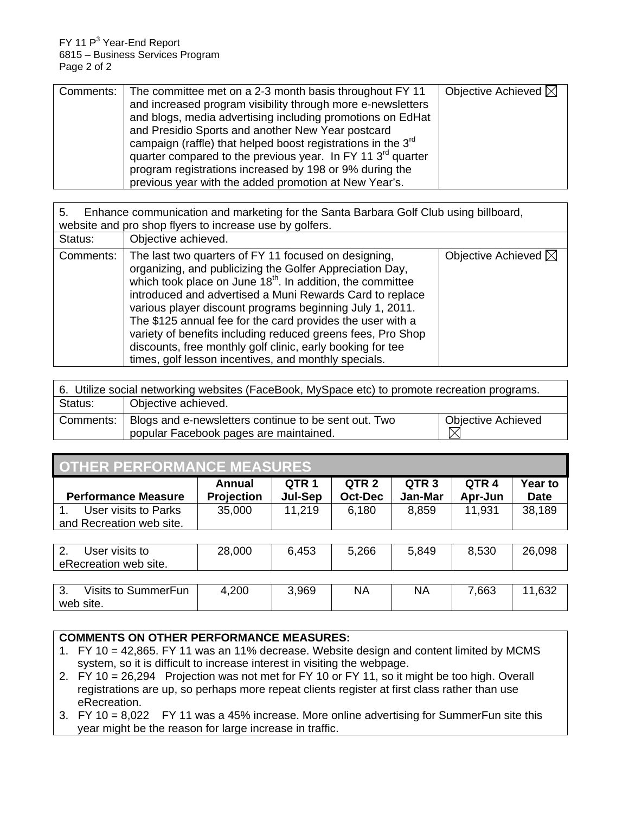| Comments: | The committee met on a 2-3 month basis throughout FY 11<br>and increased program visibility through more e-newsletters<br>and blogs, media advertising including promotions on EdHat<br>and Presidio Sports and another New Year postcard<br>campaign (raffle) that helped boost registrations in the 3 <sup>rd</sup><br>quarter compared to the previous year. In FY 11 3 <sup>rd</sup> quarter<br>program registrations increased by 198 or 9% during the<br>previous year with the added promotion at New Year's. | Objective Achieved $\boxtimes$ |
|-----------|----------------------------------------------------------------------------------------------------------------------------------------------------------------------------------------------------------------------------------------------------------------------------------------------------------------------------------------------------------------------------------------------------------------------------------------------------------------------------------------------------------------------|--------------------------------|
|-----------|----------------------------------------------------------------------------------------------------------------------------------------------------------------------------------------------------------------------------------------------------------------------------------------------------------------------------------------------------------------------------------------------------------------------------------------------------------------------------------------------------------------------|--------------------------------|

| Enhance communication and marketing for the Santa Barbara Golf Club using billboard,<br>5.<br>website and pro shop flyers to increase use by golfers. |                                                                                                                                                                                                                                                                                                                                                                                                                                                                                                                                                                       |                                |  |  |  |  |  |  |
|-------------------------------------------------------------------------------------------------------------------------------------------------------|-----------------------------------------------------------------------------------------------------------------------------------------------------------------------------------------------------------------------------------------------------------------------------------------------------------------------------------------------------------------------------------------------------------------------------------------------------------------------------------------------------------------------------------------------------------------------|--------------------------------|--|--|--|--|--|--|
| Status:                                                                                                                                               | Objective achieved.                                                                                                                                                                                                                                                                                                                                                                                                                                                                                                                                                   |                                |  |  |  |  |  |  |
| Comments:                                                                                                                                             | The last two quarters of FY 11 focused on designing,<br>organizing, and publicizing the Golfer Appreciation Day,<br>which took place on June 18 <sup>th</sup> . In addition, the committee<br>introduced and advertised a Muni Rewards Card to replace<br>various player discount programs beginning July 1, 2011.<br>The \$125 annual fee for the card provides the user with a<br>variety of benefits including reduced greens fees, Pro Shop<br>discounts, free monthly golf clinic, early booking for tee<br>times, golf lesson incentives, and monthly specials. | Objective Achieved $\boxtimes$ |  |  |  |  |  |  |

| 6. Utilize social networking websites (FaceBook, MySpace etc) to promote recreation programs. |                                                                                                |                                 |  |  |  |  |  |
|-----------------------------------------------------------------------------------------------|------------------------------------------------------------------------------------------------|---------------------------------|--|--|--|--|--|
| Status:                                                                                       | Objective achieved.                                                                            |                                 |  |  |  |  |  |
| Comments:                                                                                     | Blogs and e-newsletters continue to be sent out. Two<br>popular Facebook pages are maintained. | <b>Objective Achieved</b><br>IX |  |  |  |  |  |

# **OTHER PERFORMANCE MEASURES**

|                            | Annual            | OTR <sub>1</sub> | QTR <sub>2</sub> | QTR <sub>3</sub> | QTR <sub>4</sub> | Year to     |  |  |
|----------------------------|-------------------|------------------|------------------|------------------|------------------|-------------|--|--|
| <b>Performance Measure</b> | <b>Projection</b> | Jul-Sep          | Oct-Dec          | Jan-Mar          | Apr-Jun          | <b>Date</b> |  |  |
| User visits to Parks       | 35,000            | 11.219           | 6,180            | 8,859            | 11,931           | 38,189      |  |  |
| and Recreation web site.   |                   |                  |                  |                  |                  |             |  |  |

| User visits to<br>eRecreation web site. | 28,000 | 6,453 | 5,266 | 5,849     | 8,530 | 26,098 |
|-----------------------------------------|--------|-------|-------|-----------|-------|--------|
|                                         |        |       |       |           |       |        |
| Visits to SummerFun                     | 4,200  | 3,969 | NA    | <b>NA</b> | 7,663 | 11,632 |
| web site.                               |        |       |       |           |       |        |

#### **COMMENTS ON OTHER PERFORMANCE MEASURES:**

- 1. FY 10 = 42,865. FY 11 was an 11% decrease. Website design and content limited by MCMS system, so it is difficult to increase interest in visiting the webpage.
- 2. FY 10 = 26,294 Projection was not met for FY 10 or FY 11, so it might be too high. Overall registrations are up, so perhaps more repeat clients register at first class rather than use eRecreation.
- 3. FY 10 = 8,022 FY 11 was a 45% increase. More online advertising for SummerFun site this year might be the reason for large increase in traffic.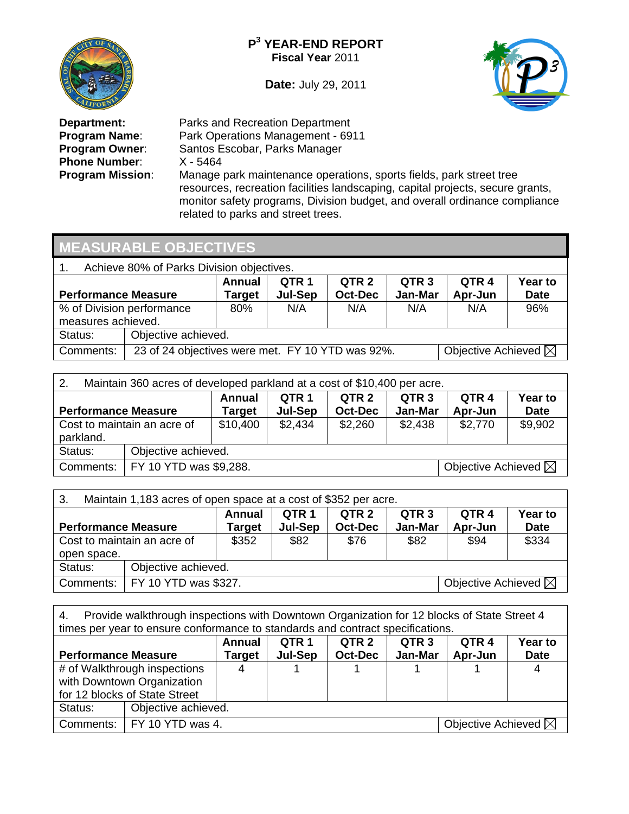

**Date:** July 29, 2011



**Phone Number:<br>Program Mission:** 

**Department:** Parks and Recreation Department<br>**Program Name**: Park Operations Management - 69 **Program Name:** Park Operations Management - 6911<br>**Program Owner:** Santos Escobar, Parks Manager Santos Escobar, Parks Manager<br>X - 5464 Manage park maintenance operations, sports fields, park street tree resources, recreation facilities landscaping, capital projects, secure grants, monitor safety programs, Division budget, and overall ordinance compliance related to parks and street trees.

# **MEASURABLE OBJECTIVES**

| Achieve 80% of Parks Division objectives. |                                                                                    |               |         |                |                  |         |                |  |
|-------------------------------------------|------------------------------------------------------------------------------------|---------------|---------|----------------|------------------|---------|----------------|--|
|                                           |                                                                                    | <b>Annual</b> | QTR 1   | QTR 2          | QTR <sub>3</sub> | QTR 4   | <b>Year to</b> |  |
| <b>Performance Measure</b>                |                                                                                    | <b>Target</b> | Jul-Sep | <b>Oct-Dec</b> | Jan-Mar          | Apr-Jun | <b>Date</b>    |  |
| % of Division performance                 |                                                                                    | 80%           | N/A     | N/A            | N/A              | N/A     | 96%            |  |
| measures achieved.                        |                                                                                    |               |         |                |                  |         |                |  |
| Status:                                   | Objective achieved.                                                                |               |         |                |                  |         |                |  |
| Comments:                                 | Objective Achieved $\boxtimes$<br>23 of 24 objectives were met. FY 10 YTD was 92%. |               |         |                |                  |         |                |  |

| Maintain 360 acres of developed parkland at a cost of \$10,400 per acre.<br>2. |                                                          |               |                |                  |                  |                  |             |  |  |
|--------------------------------------------------------------------------------|----------------------------------------------------------|---------------|----------------|------------------|------------------|------------------|-------------|--|--|
|                                                                                |                                                          | <b>Annual</b> | QTR 1          | QTR <sub>2</sub> | QTR <sub>3</sub> | QTR <sub>4</sub> | Year to     |  |  |
| <b>Performance Measure</b>                                                     |                                                          | <b>Target</b> | <b>Jul-Sep</b> | <b>Oct-Dec</b>   | Jan-Mar          | Apr-Jun          | <b>Date</b> |  |  |
| Cost to maintain an acre of<br>parkland.                                       |                                                          | \$10,400      | \$2,434        | \$2,260          | \$2,438          | \$2,770          | \$9,902     |  |  |
| Status:                                                                        | Objective achieved.                                      |               |                |                  |                  |                  |             |  |  |
| Comments:                                                                      | FY 10 YTD was \$9,288.<br>Objective Achieved $\boxtimes$ |               |                |                  |                  |                  |             |  |  |

| 3.<br>Maintain 1,183 acres of open space at a cost of \$352 per acre. |                                                        |                  |                  |                                    |                             |                  |                        |  |  |
|-----------------------------------------------------------------------|--------------------------------------------------------|------------------|------------------|------------------------------------|-----------------------------|------------------|------------------------|--|--|
|                                                                       |                                                        | Annual<br>Target | QTR 1<br>Jul-Sep | QTR <sub>2</sub><br><b>Oct-Dec</b> | QTR <sub>3</sub><br>Jan-Mar | QTR 4<br>Apr-Jun | Year to<br><b>Date</b> |  |  |
| <b>Performance Measure</b><br>Cost to maintain an acre of             |                                                        | \$352            | \$82             | \$76                               | \$82                        | \$94             | \$334                  |  |  |
| open space.                                                           |                                                        |                  |                  |                                    |                             |                  |                        |  |  |
| Status:                                                               | Objective achieved.                                    |                  |                  |                                    |                             |                  |                        |  |  |
| Comments:                                                             | FY 10 YTD was \$327.<br>Objective Achieved $\boxtimes$ |                  |                  |                                    |                             |                  |                        |  |  |

4. Provide walkthrough inspections with Downtown Organization for 12 blocks of State Street 4 times per year to ensure conformance to standards and contract specifications.

| uniou por your to onouro comonnance to clanuaruo and contract opochications.                |                              |                                |         |                  |                  |         |             |  |  |  |
|---------------------------------------------------------------------------------------------|------------------------------|--------------------------------|---------|------------------|------------------|---------|-------------|--|--|--|
|                                                                                             |                              | Annual                         | QTR 1   | QTR <sub>2</sub> | QTR <sub>3</sub> | QTR 4   | Year to     |  |  |  |
| <b>Performance Measure</b>                                                                  |                              | <b>Target</b>                  | Jul-Sep | <b>Oct-Dec</b>   | Jan-Mar          | Apr-Jun | <b>Date</b> |  |  |  |
| # of Walkthrough inspections<br>with Downtown Organization<br>for 12 blocks of State Street |                              |                                |         |                  |                  |         |             |  |  |  |
| Status:                                                                                     | Objective achieved.          |                                |         |                  |                  |         |             |  |  |  |
|                                                                                             | Comments:   FY 10 YTD was 4. | Objective Achieved $\boxtimes$ |         |                  |                  |         |             |  |  |  |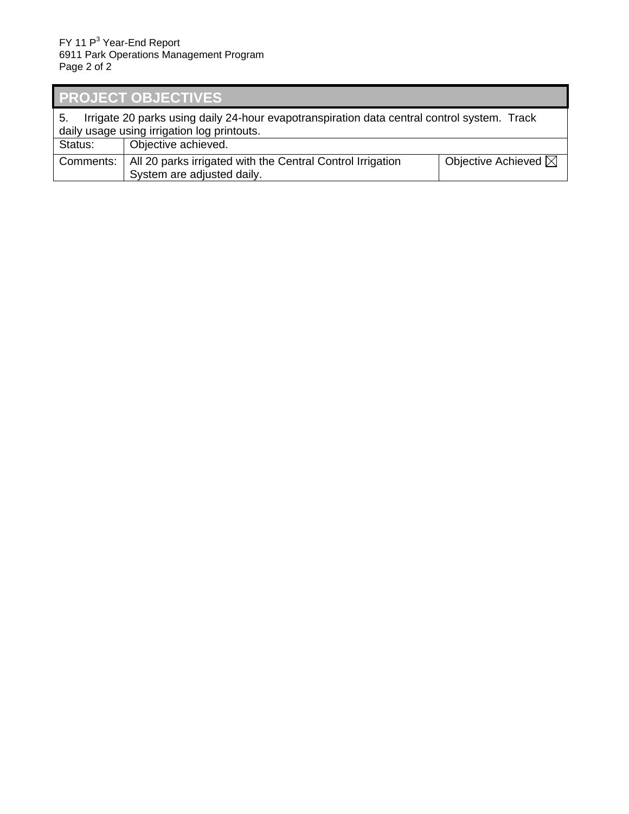| <b>PROJECT OBJECTIVES</b>                                                                                                                        |                                                                                          |                                |  |  |  |  |  |
|--------------------------------------------------------------------------------------------------------------------------------------------------|------------------------------------------------------------------------------------------|--------------------------------|--|--|--|--|--|
| Irrigate 20 parks using daily 24-hour evapotranspiration data central control system. Track<br>5.<br>daily usage using irrigation log printouts. |                                                                                          |                                |  |  |  |  |  |
| Status:                                                                                                                                          | Objective achieved.                                                                      |                                |  |  |  |  |  |
| Comments:                                                                                                                                        | All 20 parks irrigated with the Central Control Irrigation<br>System are adjusted daily. | Objective Achieved $\boxtimes$ |  |  |  |  |  |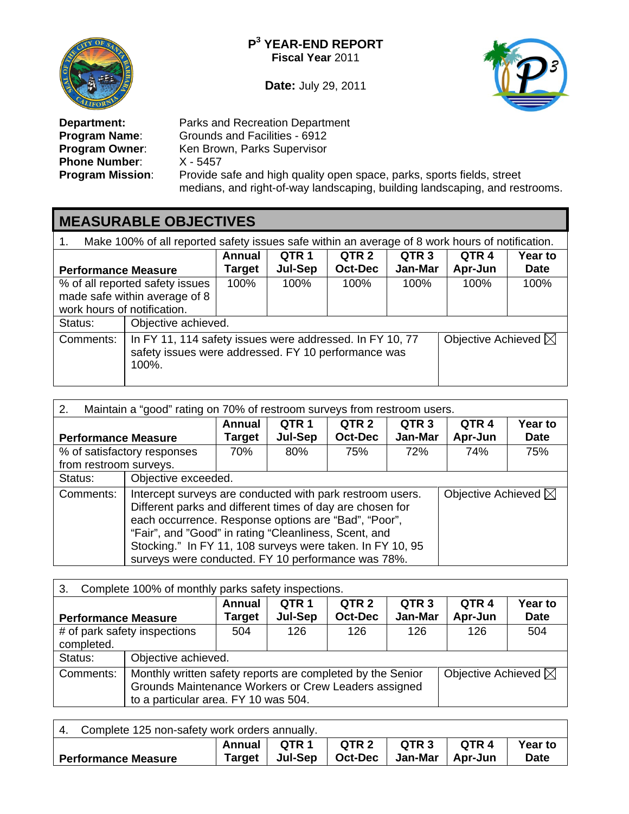

**Date:** July 29, 2011



**Phone Number:<br>Program Mission:** 

**Department:** Parks and Recreation Department<br>**Program Name**: Grounds and Facilities - 6912 **Program Name:** Grounds and Facilities - 6912<br>**Program Owner:** Ken Brown, Parks Supervisor Ken Brown, Parks Supervisor<br>X - 5457 Provide safe and high quality open space, parks, sports fields, street medians, and right-of-way landscaping, building landscaping, and restrooms.

# **MEASURABLE OBJECTIVES**

| Make 100% of all reported safety issues safe within an average of 8 work hours of notification. |                                                                                                                                                            |                         |                             |                                    |                             |                             |                        |  |  |
|-------------------------------------------------------------------------------------------------|------------------------------------------------------------------------------------------------------------------------------------------------------------|-------------------------|-----------------------------|------------------------------------|-----------------------------|-----------------------------|------------------------|--|--|
| <b>Performance Measure</b>                                                                      |                                                                                                                                                            | <b>Annual</b><br>Target | QTR <sub>1</sub><br>Jul-Sep | QTR <sub>2</sub><br><b>Oct-Dec</b> | QTR <sub>3</sub><br>Jan-Mar | QTR <sub>4</sub><br>Apr-Jun | Year to<br><b>Date</b> |  |  |
| work hours of notification.                                                                     | % of all reported safety issues<br>made safe within average of 8                                                                                           | 100%                    | 100%                        | 100%                               | 100%                        | 100%                        | 100%                   |  |  |
| Status:                                                                                         | Objective achieved.                                                                                                                                        |                         |                             |                                    |                             |                             |                        |  |  |
| Comments:                                                                                       | Objective Achieved $\boxtimes$<br>In FY 11, 114 safety issues were addressed. In FY 10, 77<br>safety issues were addressed. FY 10 performance was<br>100%. |                         |                             |                                    |                             |                             |                        |  |  |

| 2.<br>Maintain a "good" rating on 70% of restroom surveys from restroom users. |                                                                                                                                                                                                                                                                                                                                                                                              |                  |                                    |                                    |                             |                             |                               |  |  |
|--------------------------------------------------------------------------------|----------------------------------------------------------------------------------------------------------------------------------------------------------------------------------------------------------------------------------------------------------------------------------------------------------------------------------------------------------------------------------------------|------------------|------------------------------------|------------------------------------|-----------------------------|-----------------------------|-------------------------------|--|--|
| <b>Performance Measure</b>                                                     |                                                                                                                                                                                                                                                                                                                                                                                              | Annual<br>Target | QTR <sub>1</sub><br><b>Jul-Sep</b> | QTR <sub>2</sub><br><b>Oct-Dec</b> | QTR <sub>3</sub><br>Jan-Mar | QTR <sub>4</sub><br>Apr-Jun | <b>Year to</b><br><b>Date</b> |  |  |
| from restroom surveys.                                                         | % of satisfactory responses                                                                                                                                                                                                                                                                                                                                                                  | 70%              | 80%                                | 75%                                | 72%                         | 74%                         | 75%                           |  |  |
| Status:                                                                        | Objective exceeded.                                                                                                                                                                                                                                                                                                                                                                          |                  |                                    |                                    |                             |                             |                               |  |  |
| Comments:                                                                      | Objective Achieved $\boxtimes$<br>Intercept surveys are conducted with park restroom users.<br>Different parks and different times of day are chosen for<br>each occurrence. Response options are "Bad", "Poor",<br>"Fair", and "Good" in rating "Cleanliness, Scent, and<br>Stocking." In FY 11, 108 surveys were taken. In FY 10, 95<br>surveys were conducted. FY 10 performance was 78%. |                  |                                    |                                    |                             |                             |                               |  |  |

| Complete 100% of monthly parks safety inspections.<br>3. |                                                                                                                                                                                              |                                |                             |                                    |                             |                             |                        |  |  |
|----------------------------------------------------------|----------------------------------------------------------------------------------------------------------------------------------------------------------------------------------------------|--------------------------------|-----------------------------|------------------------------------|-----------------------------|-----------------------------|------------------------|--|--|
| <b>Performance Measure</b>                               |                                                                                                                                                                                              | <b>Annual</b><br><b>Target</b> | QTR <sub>1</sub><br>Jul-Sep | QTR <sub>2</sub><br><b>Oct-Dec</b> | QTR <sub>3</sub><br>Jan-Mar | QTR <sub>4</sub><br>Apr-Jun | Year to<br><b>Date</b> |  |  |
| completed.                                               | # of park safety inspections                                                                                                                                                                 | 504                            | 126                         | 126                                | 126                         | 126                         | 504                    |  |  |
| Status:                                                  | Objective achieved.                                                                                                                                                                          |                                |                             |                                    |                             |                             |                        |  |  |
| Comments:                                                | Objective Achieved $\boxtimes$<br>Monthly written safety reports are completed by the Senior<br>Grounds Maintenance Workers or Crew Leaders assigned<br>to a particular area. FY 10 was 504. |                                |                             |                                    |                             |                             |                        |  |  |

| Complete 125 non-safety work orders annually.               |  |  |                                                |  |  |             |  |  |
|-------------------------------------------------------------|--|--|------------------------------------------------|--|--|-------------|--|--|
| QTR 2<br>QTR 3<br>QTR 4<br>Annual   QTR 1<br><b>Year to</b> |  |  |                                                |  |  |             |  |  |
| <b>Performance Measure</b>                                  |  |  | Target   Jul-Sep   Oct-Dec   Jan-Mar   Apr-Jun |  |  | <b>Date</b> |  |  |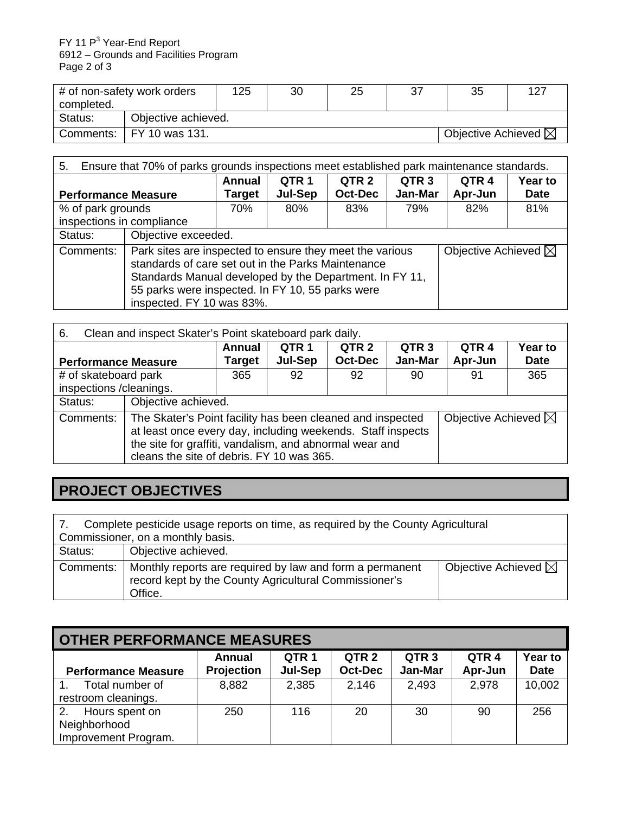#### FY 11 P<sup>3</sup> Year-End Report 6912 – Grounds and Facilities Program Page 2 of 3

| # of non-safety work orders |                     | 125 | 30 | 25 | 37 | 35                             | -127 |  |
|-----------------------------|---------------------|-----|----|----|----|--------------------------------|------|--|
| completed.                  |                     |     |    |    |    |                                |      |  |
| Status:                     | Objective achieved. |     |    |    |    |                                |      |  |
| Comments:                   | FY 10 was 131.      |     |    |    |    | Objective Achieved $\boxtimes$ |      |  |

| 5. Ensure that 70% of parks grounds inspections meet established park maintenance standards. |                                                                                                                                                                                                                                                                                              |               |         |                  |                  |                  |                |  |  |
|----------------------------------------------------------------------------------------------|----------------------------------------------------------------------------------------------------------------------------------------------------------------------------------------------------------------------------------------------------------------------------------------------|---------------|---------|------------------|------------------|------------------|----------------|--|--|
|                                                                                              |                                                                                                                                                                                                                                                                                              | <b>Annual</b> | QTR 1   | QTR <sub>2</sub> | QTR <sub>3</sub> | QTR <sub>4</sub> | <b>Year to</b> |  |  |
| <b>Performance Measure</b>                                                                   |                                                                                                                                                                                                                                                                                              | Target        | Jul-Sep | <b>Oct-Dec</b>   | Jan-Mar          | Apr-Jun          | <b>Date</b>    |  |  |
| % of park grounds                                                                            |                                                                                                                                                                                                                                                                                              | 70%           | 80%     | 83%              | 79%              | 82%              | 81%            |  |  |
| inspections in compliance                                                                    |                                                                                                                                                                                                                                                                                              |               |         |                  |                  |                  |                |  |  |
| Status:                                                                                      | Objective exceeded.                                                                                                                                                                                                                                                                          |               |         |                  |                  |                  |                |  |  |
| Comments:                                                                                    | Park sites are inspected to ensure they meet the various<br>Objective Achieved $\boxtimes$<br>standards of care set out in the Parks Maintenance<br>Standards Manual developed by the Department. In FY 11,<br>55 parks were inspected. In FY 10, 55 parks were<br>inspected. FY 10 was 83%. |               |         |                  |                  |                  |                |  |  |

| Clean and inspect Skater's Point skateboard park daily.<br>6. |                                                                                                                                                                                                                                                                     |                  |                  |                                    |                             |                  |                        |  |  |
|---------------------------------------------------------------|---------------------------------------------------------------------------------------------------------------------------------------------------------------------------------------------------------------------------------------------------------------------|------------------|------------------|------------------------------------|-----------------------------|------------------|------------------------|--|--|
| <b>Performance Measure</b>                                    |                                                                                                                                                                                                                                                                     | Annual<br>Target | QTR 1<br>Jul-Sep | QTR <sub>2</sub><br><b>Oct-Dec</b> | QTR <sub>3</sub><br>Jan-Mar | QTR 4<br>Apr-Jun | Year to<br><b>Date</b> |  |  |
| # of skateboard park                                          |                                                                                                                                                                                                                                                                     | 365              | 92               | 92                                 | 90                          | 91               | 365                    |  |  |
| inspections /cleanings.                                       |                                                                                                                                                                                                                                                                     |                  |                  |                                    |                             |                  |                        |  |  |
| Status:                                                       | Objective achieved.                                                                                                                                                                                                                                                 |                  |                  |                                    |                             |                  |                        |  |  |
| Comments:                                                     | The Skater's Point facility has been cleaned and inspected<br>Objective Achieved $\boxtimes$<br>at least once every day, including weekends. Staff inspects<br>the site for graffiti, vandalism, and abnormal wear and<br>cleans the site of debris. FY 10 was 365. |                  |                  |                                    |                             |                  |                        |  |  |

# **PROJECT OBJECTIVES**

| Complete pesticide usage reports on time, as required by the County Agricultural<br>Commissioner, on a monthly basis. |                                                                                                                              |                                |  |  |  |  |  |
|-----------------------------------------------------------------------------------------------------------------------|------------------------------------------------------------------------------------------------------------------------------|--------------------------------|--|--|--|--|--|
| Status:                                                                                                               | Objective achieved.                                                                                                          |                                |  |  |  |  |  |
| Comments:                                                                                                             | Monthly reports are required by law and form a permanent<br>record kept by the County Agricultural Commissioner's<br>Office. | Objective Achieved $\boxtimes$ |  |  |  |  |  |

| <b>OTHER PERFORMANCE MEASURES</b>                            |                             |                                    |                                    |                             |                             |                               |  |  |  |  |
|--------------------------------------------------------------|-----------------------------|------------------------------------|------------------------------------|-----------------------------|-----------------------------|-------------------------------|--|--|--|--|
| <b>Performance Measure</b>                                   | <b>Annual</b><br>Projection | QTR <sub>1</sub><br><b>Jul-Sep</b> | QTR <sub>2</sub><br><b>Oct-Dec</b> | QTR <sub>3</sub><br>Jan-Mar | QTR <sub>4</sub><br>Apr-Jun | <b>Year to</b><br><b>Date</b> |  |  |  |  |
| Total number of<br>restroom cleanings.                       | 8,882                       | 2,385                              | 2,146                              | 2,493                       | 2,978                       | 10,002                        |  |  |  |  |
| Hours spent on<br>2.<br>Neighborhood<br>Improvement Program. | 250                         | 116                                | 20                                 | 30                          | 90                          | 256                           |  |  |  |  |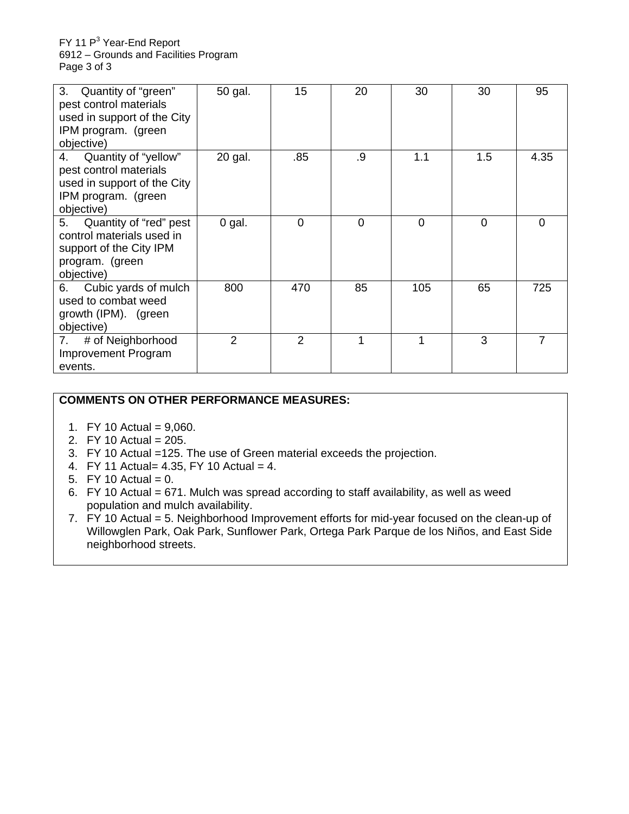$FY$  11  $P<sup>3</sup>$  Year-End Report 6912 – Grounds and Facilities Program Page 3 of 3

| 3.<br>Quantity of "green"<br>pest control materials<br>used in support of the City<br>IPM program. (green<br>objective)  | 50 gal.        | 15             | 20             | 30  | 30          | 95             |
|--------------------------------------------------------------------------------------------------------------------------|----------------|----------------|----------------|-----|-------------|----------------|
| Quantity of "yellow"<br>4.<br>pest control materials<br>used in support of the City<br>IPM program. (green<br>objective) | 20 gal.        | .85            | .9             | 1.1 | 1.5         | 4.35           |
| Quantity of "red" pest<br>5.<br>control materials used in<br>support of the City IPM<br>program. (green<br>objective)    | $0$ gal.       | 0              | $\overline{0}$ | 0   | $\mathbf 0$ | $\overline{0}$ |
| Cubic yards of mulch<br>6.<br>used to combat weed<br>growth (IPM). (green<br>objective)                                  | 800            | 470            | 85             | 105 | 65          | 725            |
| # of Neighborhood<br>7.<br><b>Improvement Program</b><br>events.                                                         | $\overline{2}$ | $\overline{2}$ | 1              | 1   | 3           | 7              |

#### **COMMENTS ON OTHER PERFORMANCE MEASURES:**

- 1. FY 10 Actual =  $9,060$ .
- 2. FY 10 Actual = 205.
- 3. FY 10 Actual =125. The use of Green material exceeds the projection.
- 4. FY 11 Actual= 4.35, FY 10 Actual = 4.

5. FY 10 Actual  $= 0$ .

- 6. FY 10 Actual = 671. Mulch was spread according to staff availability, as well as weed population and mulch availability.
- 7. FY 10 Actual = 5. Neighborhood Improvement efforts for mid-year focused on the clean-up of Willowglen Park, Oak Park, Sunflower Park, Ortega Park Parque de los Niños, and East Side neighborhood streets.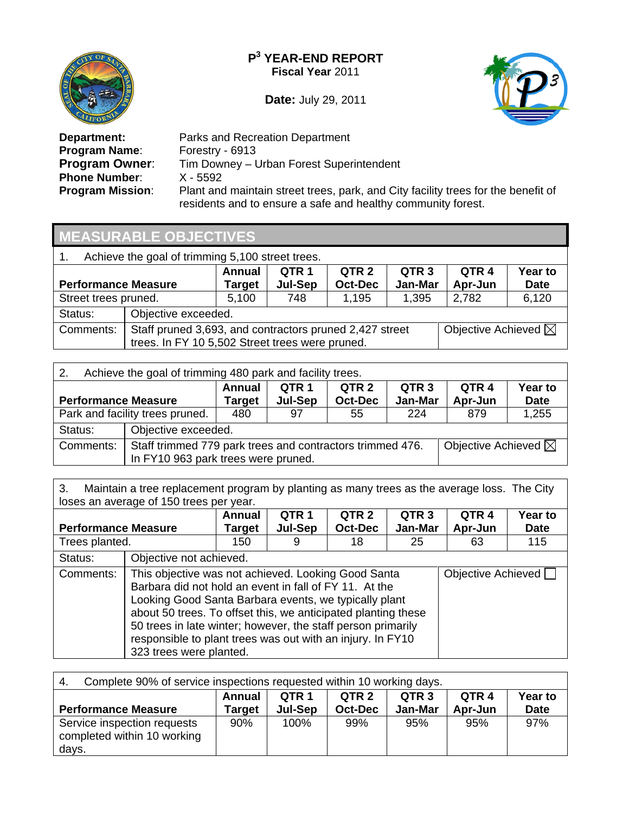

**Date:** July 29, 2011



**Program Name: Phone Number:<br>Program Mission:** 

**Department:** Parks and Recreation Department<br>**Program Name:** Forestry - 6913 **Program Owner:** Tim Downey – Urban Forest Superintendent<br>**Phone Number:** X - 5592 Plant and maintain street trees, park, and City facility trees for the benefit of residents and to ensure a safe and healthy community forest.

|                            | <b>MEASURABLE OBJECTIVES</b>                                                                               |               |         |                  |                  |                                |                |
|----------------------------|------------------------------------------------------------------------------------------------------------|---------------|---------|------------------|------------------|--------------------------------|----------------|
|                            | Achieve the goal of trimming 5,100 street trees.                                                           |               |         |                  |                  |                                |                |
|                            |                                                                                                            | <b>Annual</b> | QTR 1   | QTR <sub>2</sub> | QTR <sub>3</sub> | QTR <sub>4</sub>               | <b>Year to</b> |
| <b>Performance Measure</b> |                                                                                                            | <b>Target</b> | Jul-Sep | <b>Oct-Dec</b>   | Jan-Mar          | Apr-Jun                        | <b>Date</b>    |
| Street trees pruned.       |                                                                                                            | 5,100         | 748     | 1,195            | 1,395            | 2,782                          | 6,120          |
| Status:                    | Objective exceeded.                                                                                        |               |         |                  |                  |                                |                |
| Comments:                  | Staff pruned 3,693, and contractors pruned 2,427 street<br>trees. In FY 10 5,502 Street trees were pruned. |               |         |                  |                  | Objective Achieved $\boxtimes$ |                |

| Achieve the goal of trimming 480 park and facility trees.<br>2. |                                                                                                                                    |                                |                             |                                    |                             |                  |                        |
|-----------------------------------------------------------------|------------------------------------------------------------------------------------------------------------------------------------|--------------------------------|-----------------------------|------------------------------------|-----------------------------|------------------|------------------------|
| <b>Performance Measure</b>                                      |                                                                                                                                    | <b>Annual</b><br><b>Target</b> | QTR <sub>1</sub><br>Jul-Sep | QTR <sub>2</sub><br><b>Oct-Dec</b> | QTR <sub>3</sub><br>Jan-Mar | QTR 4<br>Apr-Jun | Year to<br><b>Date</b> |
| Park and facility trees pruned.                                 | 480                                                                                                                                | 97                             | 55                          | 224                                | 879                         | 1,255            |                        |
| Status:                                                         |                                                                                                                                    | Objective exceeded.            |                             |                                    |                             |                  |                        |
| Comments:                                                       | Objective Achieved $\boxtimes$<br>Staff trimmed 779 park trees and contractors trimmed 476.<br>In FY10 963 park trees were pruned. |                                |                             |                                    |                             |                  |                        |

3. Maintain a tree replacement program by planting as many trees as the average loss. The City loses an average of 150 trees per year.

| <b>Performance Measure</b> |                                                                                                                                                                                                                                                                                                                                                                                                  | <b>Annual</b><br>Target | QTR <sub>1</sub><br>Jul-Sep | QTR <sub>2</sub><br><b>Oct-Dec</b> | QTR <sub>3</sub><br>Jan-Mar | QTR <sub>4</sub><br>Apr-Jun | Year to<br><b>Date</b> |
|----------------------------|--------------------------------------------------------------------------------------------------------------------------------------------------------------------------------------------------------------------------------------------------------------------------------------------------------------------------------------------------------------------------------------------------|-------------------------|-----------------------------|------------------------------------|-----------------------------|-----------------------------|------------------------|
| Trees planted.             |                                                                                                                                                                                                                                                                                                                                                                                                  | 150                     |                             | 18                                 | 25                          | 63                          | 115                    |
| Status:                    |                                                                                                                                                                                                                                                                                                                                                                                                  | Objective not achieved. |                             |                                    |                             |                             |                        |
| Comments:                  | This objective was not achieved. Looking Good Santa<br>Barbara did not hold an event in fall of FY 11. At the<br>Looking Good Santa Barbara events, we typically plant<br>about 50 trees. To offset this, we anticipated planting these<br>50 trees in late winter; however, the staff person primarily<br>responsible to plant trees was out with an injury. In FY10<br>323 trees were planted. |                         |                             |                                    |                             | Objective Achieved          |                        |

| Complete 90% of service inspections requested within 10 working days.<br>4.                    |                                                                                        |      |     |     |             |     |
|------------------------------------------------------------------------------------------------|----------------------------------------------------------------------------------------|------|-----|-----|-------------|-----|
|                                                                                                | QTR <sub>3</sub><br>QTR <sub>4</sub><br>Year to<br>QTR <sub>2</sub><br>QTR 1<br>Annual |      |     |     |             |     |
| Jan-Mar<br><b>Performance Measure</b><br><b>Oct-Dec</b><br><b>Jul-Sep</b><br>Target<br>Apr-Jun |                                                                                        |      |     |     | <b>Date</b> |     |
| Service inspection requests                                                                    | 90%                                                                                    | 100% | 99% | 95% | 95%         | 97% |
| completed within 10 working                                                                    |                                                                                        |      |     |     |             |     |
| days.                                                                                          |                                                                                        |      |     |     |             |     |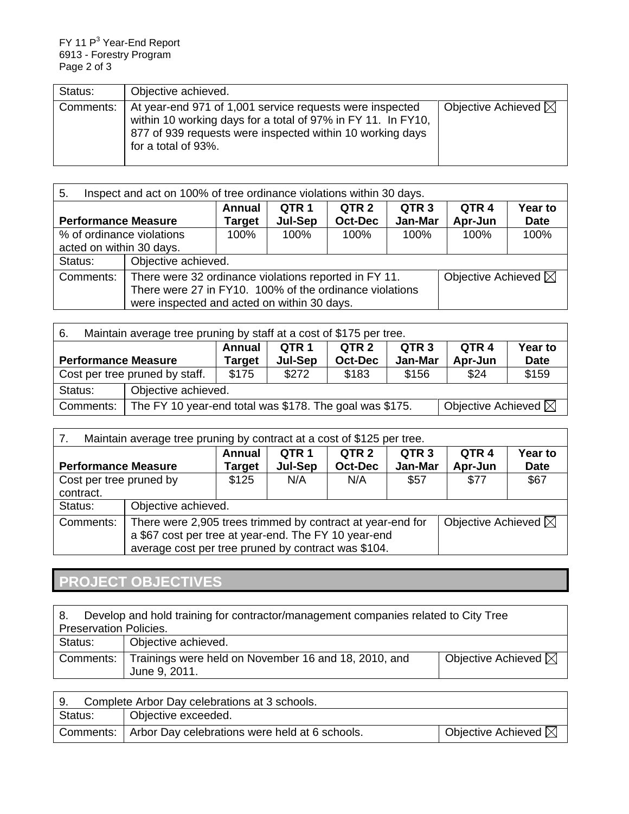| Status:   | Objective achieved.                                                                                                                                                                                          |                                |
|-----------|--------------------------------------------------------------------------------------------------------------------------------------------------------------------------------------------------------------|--------------------------------|
| Comments: | At year-end 971 of 1,001 service requests were inspected<br>within 10 working days for a total of 97% in FY 11. In FY10,<br>877 of 939 requests were inspected within 10 working days<br>for a total of 93%. | Objective Achieved $\boxtimes$ |

| Inspect and act on 100% of tree ordinance violations within 30 days.<br>5.                                                                                                                                         |                                                                                                                                                                                                   |      |      |      |      |      |      |
|--------------------------------------------------------------------------------------------------------------------------------------------------------------------------------------------------------------------|---------------------------------------------------------------------------------------------------------------------------------------------------------------------------------------------------|------|------|------|------|------|------|
| QTR <sub>3</sub><br>QTR <sub>4</sub><br><b>Annual</b><br>QTR <sub>1</sub><br>QTR <sub>2</sub><br>Year to<br>Jan-Mar<br>Jul-Sep<br>Apr-Jun<br><b>Oct-Dec</b><br><b>Performance Measure</b><br><b>Date</b><br>Target |                                                                                                                                                                                                   |      |      |      |      |      |      |
| % of ordinance violations<br>acted on within 30 days.                                                                                                                                                              |                                                                                                                                                                                                   | 100% | 100% | 100% | 100% | 100% | 100% |
| Status:                                                                                                                                                                                                            | Objective achieved.                                                                                                                                                                               |      |      |      |      |      |      |
| Comments:                                                                                                                                                                                                          | Objective Achieved $\boxtimes$<br>There were 32 ordinance violations reported in FY 11.<br>There were 27 in FY10. 100% of the ordinance violations<br>were inspected and acted on within 30 days. |      |      |      |      |      |      |

| 6.        | Maintain average tree pruning by staff at a cost of \$175 per tree.                                           |                                                                                           |       |       |       |      |       |  |
|-----------|---------------------------------------------------------------------------------------------------------------|-------------------------------------------------------------------------------------------|-------|-------|-------|------|-------|--|
|           |                                                                                                               | QTR <sub>3</sub><br>QTR <sub>2</sub><br>Annual<br>QTR 1<br>QTR 4<br><b>Year to</b>        |       |       |       |      |       |  |
|           | <b>Performance Measure</b><br><b>Oct-Dec</b><br>Jan-Mar<br>Jul-Sep<br>Apr-Jun<br><b>Date</b><br><b>Target</b> |                                                                                           |       |       |       |      |       |  |
|           | Cost per tree pruned by staff.                                                                                | \$175                                                                                     | \$272 | \$183 | \$156 | \$24 | \$159 |  |
| Status:   |                                                                                                               | Objective achieved.                                                                       |       |       |       |      |       |  |
| Comments: |                                                                                                               | Objective Achieved $\boxtimes$<br>The FY 10 year-end total was \$178. The goal was \$175. |       |       |       |      |       |  |

| Maintain average tree pruning by contract at a cost of \$125 per tree.<br>7.                                                                                                      |                                                                                                                                                                                                             |       |     |     |      |      |                        |
|-----------------------------------------------------------------------------------------------------------------------------------------------------------------------------------|-------------------------------------------------------------------------------------------------------------------------------------------------------------------------------------------------------------|-------|-----|-----|------|------|------------------------|
| QTR <sub>3</sub><br>QTR <sub>1</sub><br>QTR <sub>2</sub><br>QTR <sub>4</sub><br>Annual<br>Jan-Mar<br><b>Oct-Dec</b><br>Jul-Sep<br>Apr-Jun<br><b>Performance Measure</b><br>Target |                                                                                                                                                                                                             |       |     |     |      |      | Year to<br><b>Date</b> |
| Cost per tree pruned by<br>contract.                                                                                                                                              |                                                                                                                                                                                                             | \$125 | N/A | N/A | \$57 | \$77 | \$67                   |
| Status:                                                                                                                                                                           | Objective achieved.                                                                                                                                                                                         |       |     |     |      |      |                        |
| Comments:                                                                                                                                                                         | Objective Achieved $\boxtimes$<br>There were 2,905 trees trimmed by contract at year-end for<br>a \$67 cost per tree at year-end. The FY 10 year-end<br>average cost per tree pruned by contract was \$104. |       |     |     |      |      |                        |

# **PROJECT OBJECTIVES**

| Develop and hold training for contractor/management companies related to City Tree<br>8. |                                                                       |                                |  |  |  |
|------------------------------------------------------------------------------------------|-----------------------------------------------------------------------|--------------------------------|--|--|--|
| <b>Preservation Policies.</b>                                                            |                                                                       |                                |  |  |  |
| Status:                                                                                  | Objective achieved.                                                   |                                |  |  |  |
| Comments:                                                                                | Trainings were held on November 16 and 18, 2010, and<br>June 9, 2011. | Objective Achieved $\boxtimes$ |  |  |  |

|         | Complete Arbor Day celebrations at 3 schools.              |                                |  |  |  |  |
|---------|------------------------------------------------------------|--------------------------------|--|--|--|--|
| Status: | Objective exceeded.                                        |                                |  |  |  |  |
|         | Comments:   Arbor Day celebrations were held at 6 schools. | Objective Achieved $\boxtimes$ |  |  |  |  |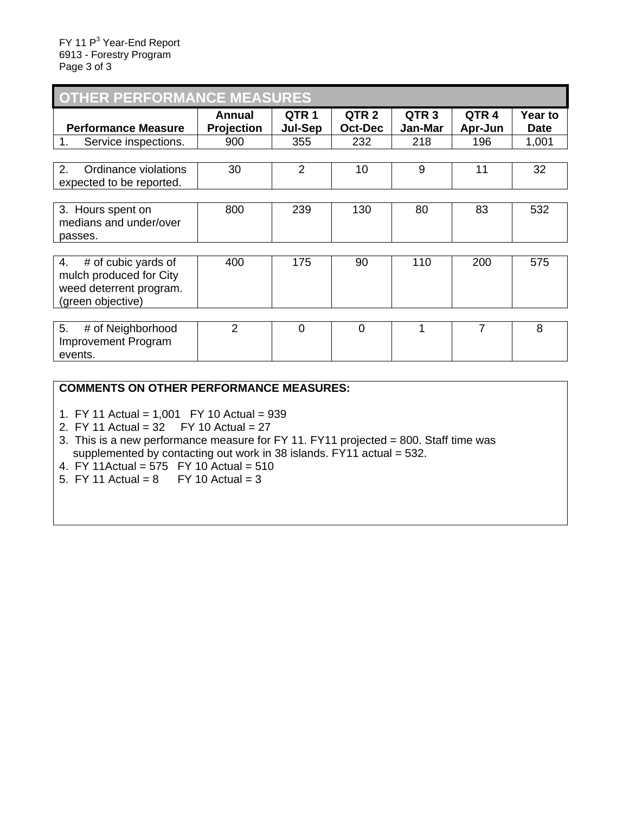| <b>OTHER PERFORMANCE MEASURES</b>                                                                    |                      |                             |                                    |                             |                             |                        |  |
|------------------------------------------------------------------------------------------------------|----------------------|-----------------------------|------------------------------------|-----------------------------|-----------------------------|------------------------|--|
| <b>Performance Measure</b>                                                                           | Annual<br>Projection | QTR <sub>1</sub><br>Jul-Sep | QTR <sub>2</sub><br><b>Oct-Dec</b> | QTR <sub>3</sub><br>Jan-Mar | QTR <sub>4</sub><br>Apr-Jun | Year to<br><b>Date</b> |  |
| Service inspections.<br>1.                                                                           | 900                  | 355                         | 232                                | 218                         | 196                         | 1,001                  |  |
|                                                                                                      |                      |                             |                                    |                             |                             |                        |  |
| $\mathcal{P}_{\mathcal{C}}$<br>Ordinance violations<br>expected to be reported.                      | 30                   | $\overline{2}$              | 10                                 | 9                           | 11                          | 32                     |  |
|                                                                                                      |                      |                             |                                    |                             |                             |                        |  |
| 3. Hours spent on<br>medians and under/over<br>passes.                                               | 800                  | 239                         | 130                                | 80                          | 83                          | 532                    |  |
|                                                                                                      |                      |                             |                                    |                             |                             |                        |  |
| # of cubic yards of<br>4.<br>mulch produced for City<br>weed deterrent program.<br>(green objective) | 400                  | 175                         | 90                                 | 110                         | 200                         | 575                    |  |
|                                                                                                      |                      |                             |                                    |                             |                             |                        |  |
| 5.<br># of Neighborhood<br><b>Improvement Program</b><br>events.                                     | 2                    | 0                           | 0                                  |                             | 7                           | 8                      |  |

#### **COMMENTS ON OTHER PERFORMANCE MEASURES:**

- 1. FY 11 Actual =  $1,001$  FY 10 Actual = 939
- 2. FY 11 Actual =  $32$  FY 10 Actual =  $27$
- 3. This is a new performance measure for FY 11. FY11 projected = 800. Staff time was supplemented by contacting out work in 38 islands. FY11 actual = 532.
- 4.  $FY'$ 11Actual = 575 FY 10 Actual = 510
- 5. FY 11 Actual =  $8$  FY 10 Actual = 3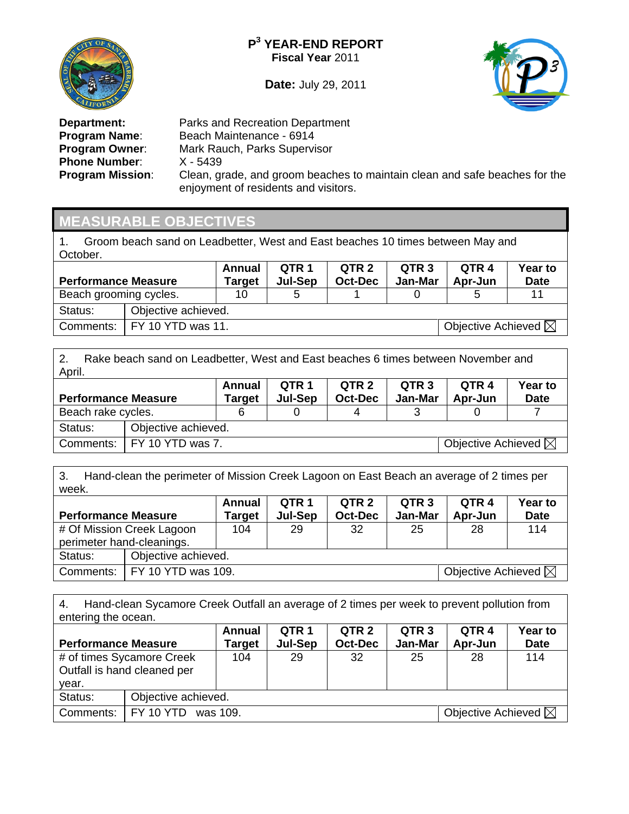

**Date:** July 29, 2011



**Phone Number:**<br>Program Mission:

**Department:** Parks and Recreation Department **Program Name:** Beach Maintenance - 6914<br>**Program Owner:** Mark Rauch, Parks Supervi Mark Rauch, Parks Supervisor<br>X - 5439 Clean, grade, and groom beaches to maintain clean and safe beaches for the enjoyment of residents and visitors.

### **MEASURABLE OBJECTIVES**

1. Groom beach sand on Leadbetter, West and East beaches 10 times between May and October.

|                            |                               | Annual        | QTR 1   | QTR <sub>2</sub> | QTR <sub>3</sub> | QTR <sub>4</sub>               | <b>Year to</b> |
|----------------------------|-------------------------------|---------------|---------|------------------|------------------|--------------------------------|----------------|
| <b>Performance Measure</b> |                               | <b>Target</b> | Jul-Sep | <b>Oct-Dec</b>   | Jan-Mar          | Apr-Jun                        | <b>Date</b>    |
| Beach grooming cycles.     |                               | 10            |         |                  |                  | ∽                              | 11             |
| Status:                    | Objective achieved.           |               |         |                  |                  |                                |                |
|                            | Comments:   FY 10 YTD was 11. |               |         |                  |                  | Objective Achieved $\boxtimes$ |                |

2. Rake beach sand on Leadbetter, West and East beaches 6 times between November and April.

| <b>Performance Measure</b> |                              | Annual<br>Target | QTR <sub>1</sub><br>Jul-Sep | QTR <sub>2</sub><br>Oct-Dec | QTR <sub>3</sub><br>Jan-Mar    | QTR <sub>4</sub><br>Apr-Jun | <b>Year to</b><br><b>Date</b> |
|----------------------------|------------------------------|------------------|-----------------------------|-----------------------------|--------------------------------|-----------------------------|-------------------------------|
| Beach rake cycles.         |                              |                  |                             |                             |                                |                             |                               |
| Status:                    | Objective achieved.          |                  |                             |                             |                                |                             |                               |
|                            | Comments: I FY 10 YTD was 7. |                  |                             |                             | Objective Achieved $\boxtimes$ |                             |                               |

3. Hand-clean the perimeter of Mission Creek Lagoon on East Beach an average of 2 times per week.

|                            |                                                                  | Annual        | QTR 1   | QTR 2          | QTR <sub>3</sub> | QTR 4   | <b>Year to</b> |
|----------------------------|------------------------------------------------------------------|---------------|---------|----------------|------------------|---------|----------------|
| <b>Performance Measure</b> |                                                                  | <b>Target</b> | Jul-Sep | <b>Oct-Dec</b> | Jan-Mar          | Apr-Jun | <b>Date</b>    |
| # Of Mission Creek Lagoon  |                                                                  | 104           | 29      | 32             | 25               | 28      | 114            |
| perimeter hand-cleanings.  |                                                                  |               |         |                |                  |         |                |
| Status:                    | Objective achieved.                                              |               |         |                |                  |         |                |
|                            | Objective Achieved $\boxtimes$<br>Comments:   FY 10 YTD was 109. |               |         |                |                  |         |                |

4. Hand-clean Sycamore Creek Outfall an average of 2 times per week to prevent pollution from entering the ocean.

|                                                                   |                     | Annual        | QTR 1   | QTR 2          | QTR <sub>3</sub> | QTR 4                          | Year to     |
|-------------------------------------------------------------------|---------------------|---------------|---------|----------------|------------------|--------------------------------|-------------|
| <b>Performance Measure</b>                                        |                     | <b>Target</b> | Jul-Sep | <b>Oct-Dec</b> | Jan-Mar          | Apr-Jun                        | <b>Date</b> |
| # of times Sycamore Creek<br>Outfall is hand cleaned per<br>year. |                     | 104           | 29      | 32             | 25               | 28                             | 114         |
| Status:                                                           | Objective achieved. |               |         |                |                  |                                |             |
| FY 10 YTD<br>Comments:                                            |                     | was 109.      |         |                |                  | Objective Achieved $\boxtimes$ |             |